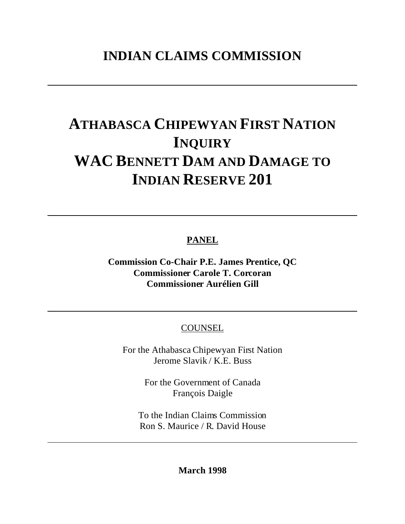# **ATHABASCA CHIPEWYAN FIRST NATION INQUIRY WAC BENNETT DAM AND DAMAGE TO INDIAN RESERVE 201**

**PANEL**

**Commission Co-Chair P.E. James Prentice, QC Commissioner Carole T. Corcoran Commissioner Aurélien Gill**

COUNSEL

For the Athabasca Chipewyan First Nation Jerome Slavik / K.E. Buss

> For the Government of Canada François Daigle

To the Indian Claims Commission Ron S. Maurice / R. David House

**March 1998**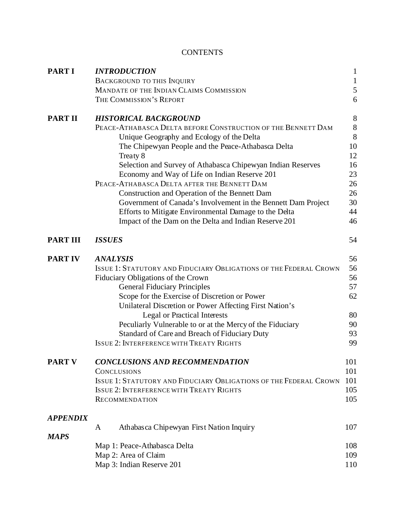# **CONTENTS**

| <b>PART I</b>   | <b>INTRODUCTION</b>                                                                  |                                                                   |              |  |
|-----------------|--------------------------------------------------------------------------------------|-------------------------------------------------------------------|--------------|--|
|                 |                                                                                      | <b>BACKGROUND TO THIS INQUIRY</b>                                 | $\mathbf{1}$ |  |
|                 |                                                                                      | MANDATE OF THE INDIAN CLAIMS COMMISSION                           | 5            |  |
|                 |                                                                                      | THE COMMISSION'S REPORT                                           | 6            |  |
| <b>PART II</b>  |                                                                                      | <b>HISTORICAL BACKGROUND</b>                                      | 8            |  |
|                 | PEACE-ATHABASCA DELTA BEFORE CONSTRUCTION OF THE BENNETT DAM                         |                                                                   |              |  |
|                 |                                                                                      | Unique Geography and Ecology of the Delta                         | 8            |  |
|                 |                                                                                      | The Chipewyan People and the Peace-Athabasca Delta                | 10           |  |
|                 | Treaty 8                                                                             |                                                                   |              |  |
|                 |                                                                                      | Selection and Survey of Athabasca Chipewyan Indian Reserves       | 16           |  |
|                 |                                                                                      | Economy and Way of Life on Indian Reserve 201                     | 23           |  |
|                 | PEACE-ATHABASCA DELTA AFTER THE BENNETT DAM                                          |                                                                   |              |  |
|                 |                                                                                      | Construction and Operation of the Bennett Dam                     | 26           |  |
|                 |                                                                                      | Government of Canada's Involvement in the Bennett Dam Project     | 30           |  |
|                 |                                                                                      | Efforts to Mitigate Environmental Damage to the Delta             | 44           |  |
|                 |                                                                                      | Impact of the Dam on the Delta and Indian Reserve 201             | 46           |  |
| <b>PART III</b> | 54<br><b>ISSUES</b>                                                                  |                                                                   |              |  |
| <b>PART IV</b>  | <b>ANALYSIS</b>                                                                      |                                                                   |              |  |
|                 | <b>ISSUE 1: STATUTORY AND FIDUCIARY OBLIGATIONS OF THE FEDERAL CROWN</b>             |                                                                   |              |  |
|                 | Fiduciary Obligations of the Crown                                                   |                                                                   |              |  |
|                 | <b>General Fiduciary Principles</b><br>Scope for the Exercise of Discretion or Power |                                                                   |              |  |
|                 |                                                                                      |                                                                   |              |  |
|                 | Unilateral Discretion or Power Affecting First Nation's                              |                                                                   |              |  |
|                 | <b>Legal or Practical Interests</b>                                                  |                                                                   |              |  |
|                 | Peculiarly Vulnerable to or at the Mercy of the Fiduciary                            |                                                                   |              |  |
|                 |                                                                                      | Standard of Care and Breach of Fiduciary Duty                     | 93<br>99     |  |
|                 | <b>ISSUE 2: INTERFERENCE WITH TREATY RIGHTS</b>                                      |                                                                   |              |  |
| <b>PART V</b>   | <b>CONCLUSIONS AND RECOMMENDATION</b>                                                |                                                                   |              |  |
|                 | <b>CONCLUSIONS</b>                                                                   |                                                                   |              |  |
|                 |                                                                                      | ISSUE 1: STATUTORY AND FIDUCIARY OBLIGATIONS OF THE FEDERAL CROWN | 101<br>105   |  |
|                 | <b>ISSUE 2: INTERFERENCE WITH TREATY RIGHTS</b>                                      |                                                                   |              |  |
|                 |                                                                                      | <b>RECOMMENDATION</b>                                             | 105          |  |
| APPENDIX        |                                                                                      |                                                                   |              |  |
|                 | A                                                                                    | Athabasca Chipewyan First Nation Inquiry                          | 107          |  |
| <b>MAPS</b>     |                                                                                      |                                                                   | 108          |  |
|                 | Map 1: Peace-Athabasca Delta                                                         |                                                                   |              |  |
|                 | Map 2: Area of Claim<br>109                                                          |                                                                   |              |  |
|                 |                                                                                      | Map 3: Indian Reserve 201                                         | 110          |  |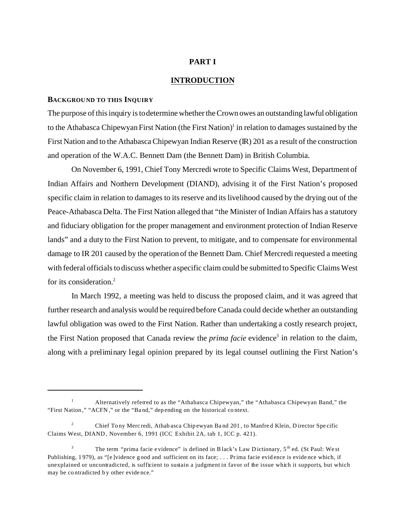# **PART I**

# **INTRODUCTION**

# **BACKGROUND TO THIS INQUIRY**

The purpose of this inquiry is to determine whether the Crown owes an outstanding lawful obligation to the Athabasca Chipewyan First Nation (the First Nation)<sup>1</sup> in relation to damages sustained by the First Nation and to the Athabasca Chipewyan Indian Reserve (IR) 201 as a result of the construction and operation of the W.A.C. Bennett Dam (the Bennett Dam) in British Columbia.

On November 6, 1991, Chief Tony Mercredi wrote to Specific Claims West, Department of Indian Affairs and Northern Development (DIAND), advising it of the First Nation's proposed specific claim in relation to damages to its reserve and its livelihood caused by the drying out of the Peace-Athabasca Delta. The First Nation alleged that "the Minister of Indian Affairs has a statutory and fiduciary obligation for the proper management and environment protection of Indian Reserve lands" and a duty to the First Nation to prevent, to mitigate, and to compensate for environmental damage to IR 201 caused by the operation of the Bennett Dam. Chief Mercredi requested a meeting with federal officials to discuss whether a specific claim could be submitted to Specific Claims West for its consideration.<sup>2</sup>

In March 1992, a meeting was held to discuss the proposed claim, and it was agreed that further research and analysis would be required before Canada could decide whether an outstanding lawful obligation was owed to the First Nation. Rather than undertaking a costly research project, the First Nation proposed that Canada review the *prima facie* evidence<sup>3</sup> in relation to the claim, along with a preliminary legal opinion prepared by its legal counsel outlining the First Nation's

<sup>&</sup>lt;sup>1</sup> Alternatively referred to as the "Athabasca Chipewyan," the "Athabasca Chipewyan Band," the "First Nation," "ACFN ," or the "Ba nd," depending on the historical context.

<sup>&</sup>lt;sup>2</sup> Chief Tony Mercredi, Athabasca Chipewyan Band 201, to Manfred Klein, Director Specific Claims West, DIAND, November 6, 1991 (ICC Exhibit 2A, tab 1, ICC p. 421).

<sup>&</sup>lt;sup>3</sup> The term "prima facie evidence" is defined in B lack's Law D ictionary,  $5<sup>th</sup>$  ed. (St Paul: We st Publishing, 1979), as "[e]vidence good and sufficient on its face; ... Prima facie evidence is evidence which, if unexplained or uncontradicted, is sufficient to sustain a judgment in favor of the issue which it supports, but which may be contradicted by other evidence."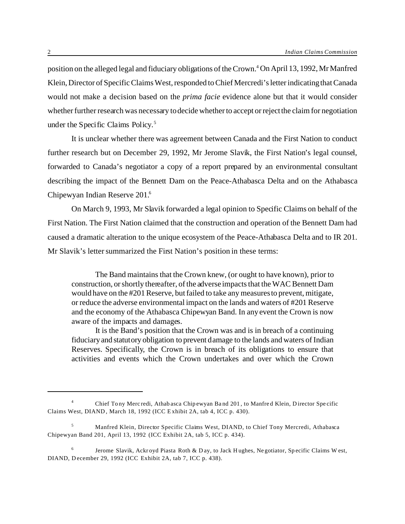position on the alleged legal and fiduciary obligations of the Crown.<sup>4</sup> On April 13, 1992, Mr Manfred Klein, Director of Specific Claims West, responded to Chief Mercredi's letter indicating that Canada would not make a decision based on the *prima facie* evidence alone but that it would consider whether further research was necessary to decide whether to accept or reject the claim for negotiation under the Specific Claims Policy.<sup>5</sup>

It is unclear whether there was agreement between Canada and the First Nation to conduct further research but on December 29, 1992, Mr Jerome Slavik, the First Nation's legal counsel, forwarded to Canada's negotiator a copy of a report prepared by an environmental consultant describing the impact of the Bennett Dam on the Peace-Athabasca Delta and on the Athabasca Chipewyan Indian Reserve 201.<sup>6</sup>

On March 9, 1993, Mr Slavik forwarded a legal opinion to Specific Claims on behalf of the First Nation. The First Nation claimed that the construction and operation of the Bennett Dam had caused a dramatic alteration to the unique ecosystem of the Peace-Athabasca Delta and to IR 201. Mr Slavik's letter summarized the First Nation's position in these terms:

The Band maintains that the Crown knew, (or ought to have known), prior to construction, or shortly thereafter, of the adverse impacts that the WAC Bennett Dam would have on the #201 Reserve, but failed to take any measures to prevent, mitigate, or reduce the adverse environmental impact on the lands and waters of #201 Reserve and the economy of the Athabasca Chipewyan Band. In any event the Crown is now aware of the impacts and damages.

It is the Band's position that the Crown was and is in breach of a continuing fiduciary and statutory obligation to prevent damage to the lands and waters of Indian Reserves. Specifically, the Crown is in breach of its obligations to ensure that activities and events which the Crown undertakes and over which the Crown

<sup>4</sup> Chief Tony Mercredi, Athabasca Chipewyan Band 201, to Manfred Klein, D irector Spe cific Claims West, DIAND, March 18, 1992 (ICC E xhibit 2A, tab 4, ICC p. 430).

<sup>5</sup> Manfred Klein, Director Specific Claims West, DIAND, to Chief Tony Mercredi, Athabasca Chipewyan Band 201, April 13, 1992 (ICC Exhibit 2A, tab 5, ICC p. 434).

<sup>6</sup> Jerome Slavik, Ackroyd Piasta Roth & D ay, to Jack H ughes, Negotiator, Specific Claims W est, DIAND, December 29, 1992 (ICC Exhibit 2A, tab 7, ICC p. 438).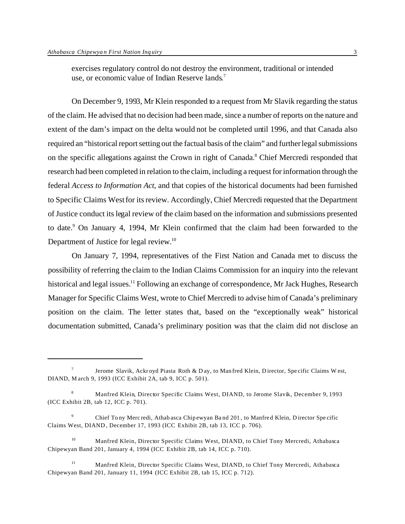exercises regulatory control do not destroy the environment, traditional or intended use, or economic value of Indian Reserve lands.<sup>7</sup>

On December 9, 1993, Mr Klein responded to a request from Mr Slavik regarding the status of the claim. He advised that no decision had been made, since a number of reports on the nature and extent of the dam's impact on the delta would not be completed until 1996, and that Canada also required an "historical report setting out the factual basis of the claim" and further legal submissions on the specific allegations against the Crown in right of Canada.<sup>8</sup> Chief Mercredi responded that research had been completed in relation to the claim, including a request for information through the federal *Access to Information Act*, and that copies of the historical documents had been furnished to Specific Claims West for its review. Accordingly, Chief Mercredi requested that the Department of Justice conduct its legal review of the claim based on the information and submissions presented to date.<sup>9</sup> On January 4, 1994, Mr Klein confirmed that the claim had been forwarded to the Department of Justice for legal review.<sup>10</sup>

On January 7, 1994, representatives of the First Nation and Canada met to discuss the possibility of referring the claim to the Indian Claims Commission for an inquiry into the relevant historical and legal issues.<sup>11</sup> Following an exchange of correspondence, Mr Jack Hughes, Research Manager for Specific Claims West, wrote to Chief Mercredi to advise him of Canada's preliminary position on the claim. The letter states that, based on the "exceptionally weak" historical documentation submitted, Canada's preliminary position was that the claim did not disclose an

<sup>7</sup> Jerome Slavik, Ackroyd Piasta Roth & D ay, to Manfred Klein, D irector, Specific Claims W est, DIAND, M arch 9, 1993 (ICC Exhibit 2A, tab 9, ICC p. 501).

<sup>&</sup>lt;sup>8</sup> Manfred Klein, Director Specific Claims West, DIAND, to Jerome Slavik, December 9, 1993 (ICC Exhibit 2B, tab 12, ICC p. 701).

<sup>&</sup>lt;sup>9</sup> Chief Tony Mercredi, Athabasca Chipewyan Band 201, to Manfred Klein, Director Specific Claims West, DIAND, December 17, 1993 (ICC Exhibit 2B, tab 13, ICC p. 706).

<sup>&</sup>lt;sup>10</sup> Manfred Klein, Director Specific Claims West, DIAND, to Chief Tony Mercredi, Athabasca Chipewyan Band 201, January 4, 1994 (ICC Exhibit 2B, tab 14, ICC p. 710).

<sup>&</sup>lt;sup>11</sup> Manfred Klein, Director Specific Claims West, DIAND, to Chief Tony Mercredi, Athabasca Chipewyan Band 201, January 11, 1994 (ICC Exhibit 2B, tab 15, ICC p. 712).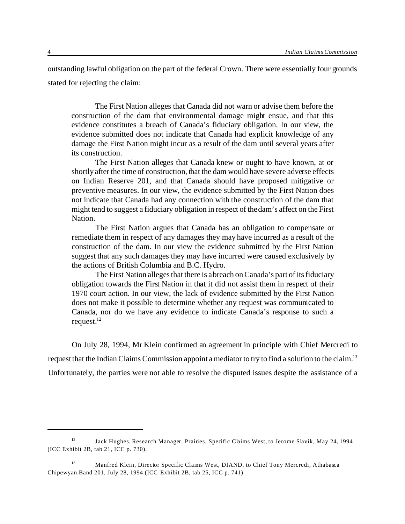outstanding lawful obligation on the part of the federal Crown. There were essentially four grounds stated for rejecting the claim:

The First Nation alleges that Canada did not warn or advise them before the construction of the dam that environmental damage might ensue, and that this evidence constitutes a breach of Canada's fiduciary obligation. In our view, the evidence submitted does not indicate that Canada had explicit knowledge of any damage the First Nation might incur as a result of the dam until several years after its construction.

The First Nation alleges that Canada knew or ought to have known, at or shortly after the time of construction, that the dam would have severe adverse effects on Indian Reserve 201, and that Canada should have proposed mitigative or preventive measures. In our view, the evidence submitted by the First Nation does not indicate that Canada had any connection with the construction of the dam that might tend to suggest a fiduciary obligation in respect of the dam's affect on the First Nation.

The First Nation argues that Canada has an obligation to compensate or remediate them in respect of any damages they may have incurred as a result of the construction of the dam. In our view the evidence submitted by the First Nation suggest that any such damages they may have incurred were caused exclusively by the actions of British Columbia and B.C. Hydro.

The First Nation alleges that there is a breach on Canada's part of its fiduciary obligation towards the First Nation in that it did not assist them in respect of their 1970 court action. In our view, the lack of evidence submitted by the First Nation does not make it possible to determine whether any request was communicated to Canada, nor do we have any evidence to indicate Canada's response to such a request. $12$ 

On July 28, 1994, Mr Klein confirmed an agreement in principle with Chief Mercredi to request that the Indian Claims Commission appoint a mediator to try to find a solution to the claim.<sup>13</sup> Unfortunately, the parties were not able to resolve the disputed issues despite the assistance of a

<sup>12</sup> Jack Hughes, Research Manager, Prairies, Specific Claims West, to Jerome Slavik, May 24, 1994 (ICC Exhibit 2B, tab 21, ICC p. 730).

<sup>&</sup>lt;sup>13</sup> Manfred Klein, Director Specific Claims West, DIAND, to Chief Tony Mercredi, Athabasca Chipewyan Band 201, July 28, 1994 (ICC Exhibit 2B, tab 25, ICC p. 741).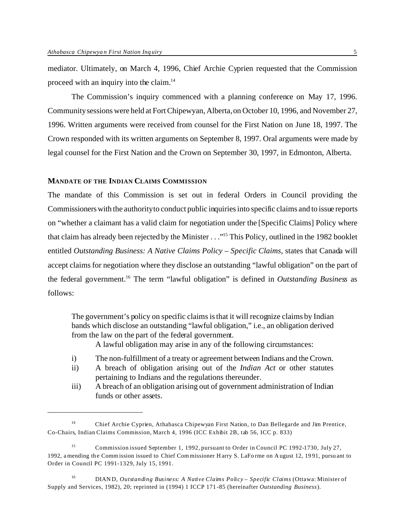mediator. Ultimately, on March 4, 1996, Chief Archie Cyprien requested that the Commission proceed with an inquiry into the claim.<sup>14</sup>

The Commission's inquiry commenced with a planning conference on May 17, 1996. Community sessions were held at Fort Chipewyan, Alberta, on October 10, 1996, and November 27, 1996. Written arguments were received from counsel for the First Nation on June 18, 1997. The Crown responded with its written arguments on September 8, 1997. Oral arguments were made by legal counsel for the First Nation and the Crown on September 30, 1997, in Edmonton, Alberta.

#### **MANDATE OF THE INDIAN CLAIMS COMMISSION**

The mandate of this Commission is set out in federal Orders in Council providing the Commissioners with the authority to conduct public inquiries into specific claims and to issue reports on "whether a claimant has a valid claim for negotiation under the [Specific Claims] Policy where that claim has already been rejected by the Minister . . ."<sup>15</sup> This Policy, outlined in the 1982 booklet entitled *Outstanding Business: A Native Claims Policy – Specific Claims*, states that Canada will accept claims for negotiation where they disclose an outstanding "lawful obligation" on the part of the federal government.<sup>16</sup> The term "lawful obligation" is defined in *Outstanding Business* as follows:

The government's policy on specific claims is that it will recognize claims by Indian bands which disclose an outstanding "lawful obligation," i.e., an obligation derived from the law on the part of the federal government.

A lawful obligation may arise in any of the following circumstances:

- i) The non-fulfillment of a treaty or agreement between Indians and the Crown.
- ii) A breach of obligation arising out of the *Indian Act* or other statutes pertaining to Indians and the regulations thereunder.
- iii) A breach of an obligation arising out of government administration of Indian funds or other assets.

<sup>14</sup> Chief Archie Cyprien, Athabasca Chipewyan First Nation, to Dan Bellegarde and Jim Prentice, Co-Chairs, Indian Claims Commission, March 4, 1996 (ICC Exhibit 2B, tab 56, ICC p. 833)

<sup>15</sup> Commission issued September 1, 1992, pursuant to Order in Council PC 1992-1730, July 27, 1992, amending the Comm ission issued to Chief Com missioner H arry S. LaFo rme on August 12, 19 91, pursuant to Order in Council PC 1991-1329, July 15, 1991.

<sup>16</sup> DIAN D, *Outstanding Business: A Native Claims Policy – Specific Claims* (Ottawa: Minister of Supply and Services, 1982), 20; reprinted in (1994) 1 ICCP 171-85 (hereinafter *Outstanding Business*).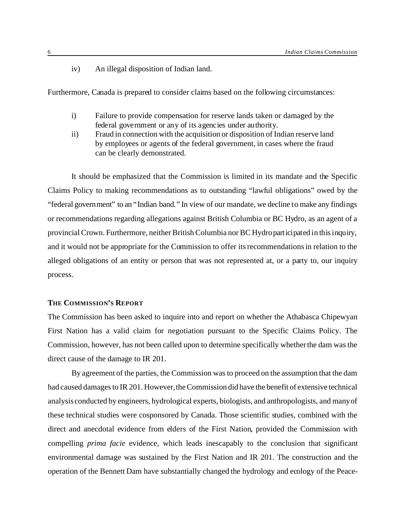iv) An illegal disposition of Indian land.

Furthermore, Canada is prepared to consider claims based on the following circumstances:

- i) Failure to provide compensation for reserve lands taken or damaged by the federal government or any of its agencies under authority.
- ii) Fraud in connection with the acquisition or disposition of Indian reserve land by employees or agents of the federal government, in cases where the fraud can be clearly demonstrated.

It should be emphasized that the Commission is limited in its mandate and the Specific Claims Policy to making recommendations as to outstanding "lawful obligations" owed by the "federal government" to an "Indian band." In view of our mandate, we decline to make any findings or recommendations regarding allegations against British Columbia or BC Hydro, as an agent of a provincial Crown. Furthermore, neither British Columbia nor BC Hydro participated in this inquiry, and it would not be appropriate for the Commission to offer its recommendations in relation to the alleged obligations of an entity or person that was not represented at, or a party to, our inquiry process.

# **THE COMMISSION'S REPORT**

The Commission has been asked to inquire into and report on whether the Athabasca Chipewyan First Nation has a valid claim for negotiation pursuant to the Specific Claims Policy. The Commission, however, has not been called upon to determine specifically whether the dam was the direct cause of the damage to IR 201.

By agreement of the parties, the Commission was to proceed on the assumption that the dam had caused damages to IR 201. However, the Commission did have the benefit of extensive technical analysis conducted by engineers, hydrological experts, biologists, and anthropologists, and many of these technical studies were cosponsored by Canada. Those scientific studies, combined with the direct and anecdotal evidence from elders of the First Nation, provided the Commission with compelling *prima facie* evidence, which leads inescapably to the conclusion that significant environmental damage was sustained by the First Nation and IR 201. The construction and the operation of the Bennett Dam have substantially changed the hydrology and ecology of the Peace-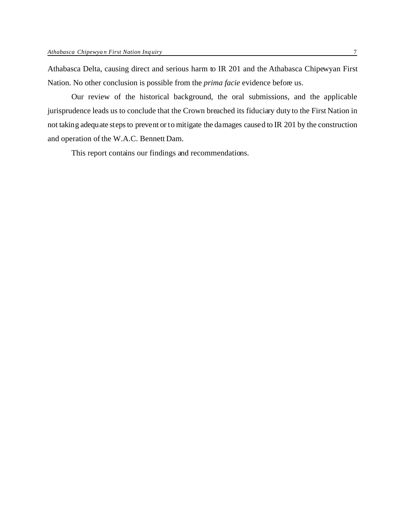Athabasca Delta, causing direct and serious harm to IR 201 and the Athabasca Chipewyan First Nation. No other conclusion is possible from the *prima facie* evidence before us.

Our review of the historical background, the oral submissions, and the applicable jurisprudence leads us to conclude that the Crown breached its fiduciary duty to the First Nation in not taking adequate steps to prevent or to mitigate the damages caused to IR 201 by the construction and operation of the W.A.C. Bennett Dam.

This report contains our findings and recommendations.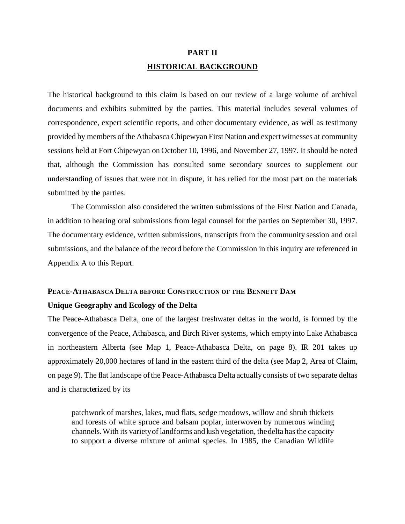# **PART II HISTORICAL BACKGROUND**

The historical background to this claim is based on our review of a large volume of archival documents and exhibits submitted by the parties. This material includes several volumes of correspondence, expert scientific reports, and other documentary evidence, as well as testimony provided by members of the Athabasca Chipewyan First Nation and expert witnesses at community sessions held at Fort Chipewyan on October 10, 1996, and November 27, 1997. It should be noted that, although the Commission has consulted some secondary sources to supplement our understanding of issues that were not in dispute, it has relied for the most part on the materials submitted by the parties.

The Commission also considered the written submissions of the First Nation and Canada, in addition to hearing oral submissions from legal counsel for the parties on September 30, 1997. The documentary evidence, written submissions, transcripts from the community session and oral submissions, and the balance of the record before the Commission in this inquiry are referenced in Appendix A to this Report.

# **PEACE-ATHABASCA DELTA BEFORE CONSTRUCTION OF THE BENNETT DAM**

# **Unique Geography and Ecology of the Delta**

The Peace-Athabasca Delta, one of the largest freshwater deltas in the world, is formed by the convergence of the Peace, Athabasca, and Birch River systems, which empty into Lake Athabasca in northeastern Alberta (see Map 1, Peace-Athabasca Delta, on page 8). IR 201 takes up approximately 20,000 hectares of land in the eastern third of the delta (see Map 2, Area of Claim, on page 9). The flat landscape of the Peace-Athabasca Delta actually consists of two separate deltas and is characterized by its

patchwork of marshes, lakes, mud flats, sedge meadows, willow and shrub thickets and forests of white spruce and balsam poplar, interwoven by numerous winding channels. With its variety of landforms and lush vegetation, the delta has the capacity to support a diverse mixture of animal species. In 1985, the Canadian Wildlife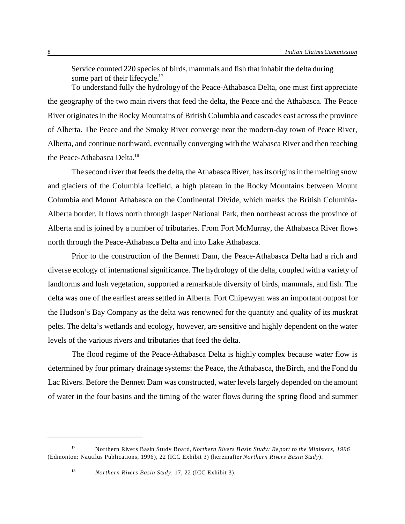Service counted 220 species of birds, mammals and fish that inhabit the delta during some part of their lifecycle.<sup>17</sup>

To understand fully the hydrology of the Peace-Athabasca Delta, one must first appreciate the geography of the two main rivers that feed the delta, the Peace and the Athabasca. The Peace River originates in the Rocky Mountains of British Columbia and cascades east across the province of Alberta. The Peace and the Smoky River converge near the modern-day town of Peace River, Alberta, and continue northward, eventually converging with the Wabasca River and then reaching the Peace-Athabasca Delta.<sup>18</sup>

The second river that feeds the delta, the Athabasca River, has its origins in the melting snow and glaciers of the Columbia Icefield, a high plateau in the Rocky Mountains between Mount Columbia and Mount Athabasca on the Continental Divide, which marks the British Columbia-Alberta border. It flows north through Jasper National Park, then northeast across the province of Alberta and is joined by a number of tributaries. From Fort McMurray, the Athabasca River flows north through the Peace-Athabasca Delta and into Lake Athabasca.

Prior to the construction of the Bennett Dam, the Peace-Athabasca Delta had a rich and diverse ecology of international significance. The hydrology of the delta, coupled with a variety of landforms and lush vegetation, supported a remarkable diversity of birds, mammals, and fish. The delta was one of the earliest areas settled in Alberta. Fort Chipewyan was an important outpost for the Hudson's Bay Company as the delta was renowned for the quantity and quality of its muskrat pelts. The delta's wetlands and ecology, however, are sensitive and highly dependent on the water levels of the various rivers and tributaries that feed the delta.

The flood regime of the Peace-Athabasca Delta is highly complex because water flow is determined by four primary drainage systems: the Peace, the Athabasca, the Birch, and the Fond du Lac Rivers. Before the Bennett Dam was constructed, water levels largely depended on the amount of water in the four basins and the timing of the water flows during the spring flood and summer

<sup>17</sup> Northern Rivers Basin Study Board, *Northern Rivers B asin Study: Report to the Ministers, 1996* (Edmonton: Nautilus Publications, 1996), 22 (ICC Exhibit 3) (hereinafter *Northern Rivers Basin Study*).

<sup>18</sup> *Northern Rivers Basin Study*, 17, 22 (ICC Exhibit 3).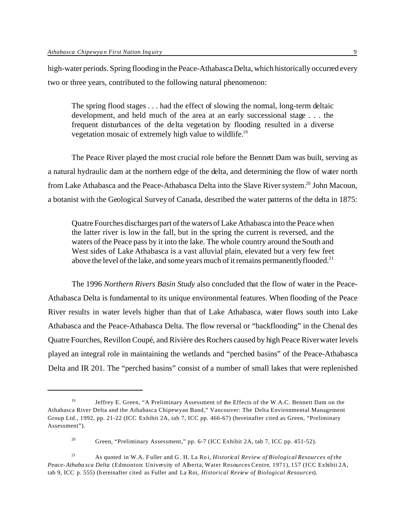high-water periods. Spring flooding in the Peace-Athabasca Delta, which historically occurred every two or three years, contributed to the following natural phenomenon:

The spring flood stages . . . had the effect of slowing the normal, long-term deltaic development, and held much of the area at an early successional stage . . . the frequent disturbances of the delta vegetation by flooding resulted in a diverse vegetation mosaic of extremely high value to wildlife.<sup>19</sup>

The Peace River played the most crucial role before the Bennett Dam was built, serving as a natural hydraulic dam at the northern edge of the delta, and determining the flow of water north from Lake Athabasca and the Peace-Athabasca Delta into the Slave River system.<sup>20</sup> John Macoun, a botanist with the Geological Survey of Canada, described the water patterns of the delta in 1875:

Quatre Fourches discharges part of the waters of Lake Athabasca into the Peace when the latter river is low in the fall, but in the spring the current is reversed, and the waters of the Peace pass by it into the lake. The whole country around the South and West sides of Lake Athabasca is a vast alluvial plain, elevated but a very few feet above the level of the lake, and some years much of it remains permanently flooded.<sup>21</sup>

The 1996 *Northern Rivers Basin Study* also concluded that the flow of water in the Peace-Athabasca Delta is fundamental to its unique environmental features. When flooding of the Peace River results in water levels higher than that of Lake Athabasca, water flows south into Lake Athabasca and the Peace-Athabasca Delta. The flow reversal or "backflooding" in the Chenal des Quatre Fourches, Revillon Coupé, and Rivière des Rochers caused by high Peace River water levels played an integral role in maintaining the wetlands and "perched basins" of the Peace-Athabasca Delta and IR 201. The "perched basins" consist of a number of small lakes that were replenished

<sup>&</sup>lt;sup>19</sup> Jeffrey E. Green, "A Preliminary Assessment of the Effects of the W.A.C. Bennett Dam on the Athabasca River Delta and the Athabasca Chipewyan Band," Vancouver: The Delta Environmental Management Group Ltd., 1992, pp. 21-22 (ICC Exhibit 2A, tab 7, ICC pp. 466-67) (hereinafter cited as Green, "Preliminary Assessment").

<sup>20</sup> Green, "Preliminary Assessment," pp. 6-7 (ICC Exhibit 2A, tab 7, ICC pp. 451-52).

<sup>&</sup>lt;sup>21</sup> As quoted in W.A. Fuller and G. H. La Roi, *Historical Review of Biological Resources of the Peace-Athaba sca Delta* (Edmonton: University of Alberta, Water Resources Centre, 1971), 157 (ICC Exhibit 2A, tab 9, ICC p. 555) (hereinafter cited as Fuller and La Roi, *Historical Review of Biological Resources*).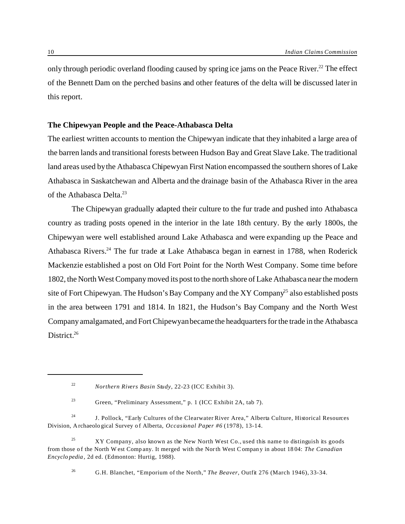only through periodic overland flooding caused by spring ice jams on the Peace River.<sup>22</sup> The effect of the Bennett Dam on the perched basins and other features of the delta will be discussed later in this report.

# **The Chipewyan People and the Peace-Athabasca Delta**

The earliest written accounts to mention the Chipewyan indicate that they inhabited a large area of the barren lands and transitional forests between Hudson Bay and Great Slave Lake. The traditional land areas used by the Athabasca Chipewyan First Nation encompassed the southern shores of Lake Athabasca in Saskatchewan and Alberta and the drainage basin of the Athabasca River in the area of the Athabasca Delta.<sup>23</sup>

The Chipewyan gradually adapted their culture to the fur trade and pushed into Athabasca country as trading posts opened in the interior in the late 18th century. By the early 1800s, the Chipewyan were well established around Lake Athabasca and were expanding up the Peace and Athabasca Rivers.<sup>24</sup> The fur trade at Lake Athabasca began in earnest in 1788, when Roderick Mackenzie established a post on Old Fort Point for the North West Company. Some time before 1802, the North West Company moved its post to the north shore of Lake Athabasca near the modern site of Fort Chipewyan. The Hudson's Bay Company and the XY Company<sup>25</sup> also established posts in the area between 1791 and 1814. In 1821, the Hudson's Bay Company and the North West Company amalgamated, and Fort Chipewyan became the headquarters for the trade in the Athabasca District.<sup>26</sup>

<sup>26</sup> G.H. Blanchet, "Emporium of the North," *The Beaver*, Outfit 276 (March 1946), 33-34.

<sup>22</sup> *Northern Rivers Basin Study*, 22-23 (ICC Exhibit 3).

<sup>23</sup> Green, "Preliminary Assessment," p. 1 (ICC Exhibit 2A, tab 7).

<sup>&</sup>lt;sup>24</sup> J. Pollock, "Early Cultures of the Clearwater River Area," Alberta Culture, Historical Resources Division, Archaeological Survey of Alberta, *Occasional Paper #6* (1978), 13-14.

<sup>&</sup>lt;sup>25</sup> XY Company, also known as the New North West Co., used this name to distinguish its goods from those o f the North W est Comp any. It merged with the North West C ompany in about 18 04: *The Canadian Encyclo pedia* , 2d ed. (Edmonton: Hurtig, 1988).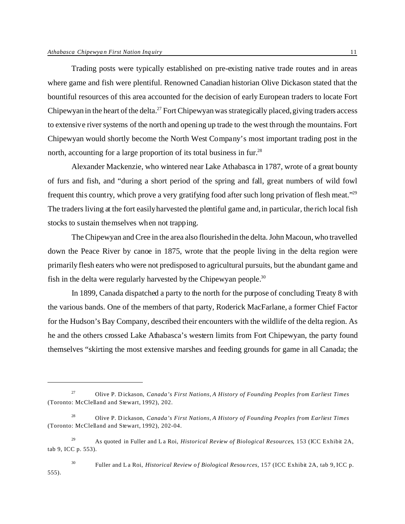Trading posts were typically established on pre-existing native trade routes and in areas where game and fish were plentiful. Renowned Canadian historian Olive Dickason stated that the bountiful resources of this area accounted for the decision of early European traders to locate Fort Chipewyan in the heart of the delta.<sup>27</sup> Fort Chipewyan was strategically placed, giving traders access to extensive river systems of the north and opening up trade to the west through the mountains. Fort Chipewyan would shortly become the North West Company's most important trading post in the north, accounting for a large proportion of its total business in fur.<sup>28</sup>

Alexander Mackenzie, who wintered near Lake Athabasca in 1787, wrote of a great bounty of furs and fish, and "during a short period of the spring and fall, great numbers of wild fowl frequent this country, which prove a very gratifying food after such long privation of flesh meat."<sup>29</sup> The traders living at the fort easily harvested the plentiful game and, in particular, the rich local fish stocks to sustain themselves when not trapping.

The Chipewyan and Cree in the area also flourished in the delta. John Macoun, who travelled down the Peace River by canoe in 1875, wrote that the people living in the delta region were primarily flesh eaters who were not predisposed to agricultural pursuits, but the abundant game and fish in the delta were regularly harvested by the Chipewyan people.<sup>30</sup>

In 1899, Canada dispatched a party to the north for the purpose of concluding Treaty 8 with the various bands. One of the members of that party, Roderick MacFarlane, a former Chief Factor for the Hudson's Bay Company, described their encounters with the wildlife of the delta region. As he and the others crossed Lake Athabasca's western limits from Fort Chipewyan, the party found themselves "skirting the most extensive marshes and feeding grounds for game in all Canada; the

<sup>27</sup> Olive P. D ickason, *Canada's First Nations, A History of Founding Peoples from Earliest Times* (Toronto: McClelland and Stewart, 1992), 202.

<sup>28</sup> Olive P. D ickason, *Canada's First Nations, A History of Founding Peoples from Earliest Times* (Toronto: McClelland and Stewart, 1992), 202-04.

<sup>29</sup> As quoted in Fuller and L a Roi, *Historical Review of Biological Resources*, 153 (ICC Exhibit 2A, tab 9, ICC p. 553).

<sup>30</sup> Fuller and La Roi, *Historical Review of Biological Resou rces,* 157 (ICC Exhibit 2A, tab 9, ICC p. 555).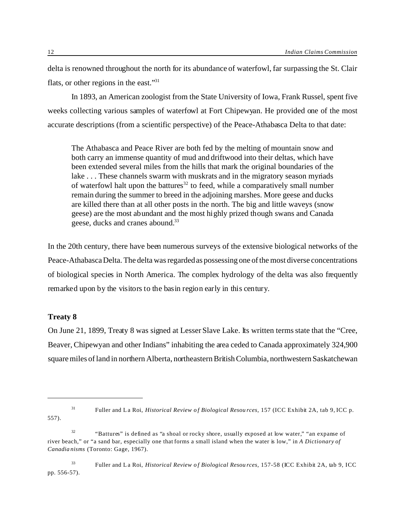delta is renowned throughout the north for its abundance of waterfowl, far surpassing the St. Clair flats, or other regions in the east."<sup>31</sup>

In 1893, an American zoologist from the State University of Iowa, Frank Russel, spent five weeks collecting various samples of waterfowl at Fort Chipewyan. He provided one of the most accurate descriptions (from a scientific perspective) of the Peace-Athabasca Delta to that date:

The Athabasca and Peace River are both fed by the melting of mountain snow and both carry an immense quantity of mud and driftwood into their deltas, which have been extended several miles from the hills that mark the original boundaries of the lake . . . These channels swarm with muskrats and in the migratory season myriads of waterfowl halt upon the battures <sup>32</sup> to feed, while a comparatively small number remain during the summer to breed in the adjoining marshes. More geese and ducks are killed there than at all other posts in the north. The big and little waveys (snow geese) are the most abundant and the most highly prized though swans and Canada geese, ducks and cranes abound.<sup>33</sup>

In the 20th century, there have been numerous surveys of the extensive biological networks of the Peace-Athabasca Delta. The delta was regarded as possessing one of the most diverse concentrations of biological species in North America. The complex hydrology of the delta was also frequently remarked upon by the visitors to the basin region early in this century.

# **Treaty 8**

On June 21, 1899, Treaty 8 was signed at Lesser Slave Lake. Its written terms state that the "Cree, Beaver, Chipewyan and other Indians" inhabiting the area ceded to Canada approximately 324,900 square miles of land in northern Alberta, northeastern BritishColumbia, northwestern Saskatchewan

<sup>557).</sup>

<sup>31</sup> Fuller and La Roi, *Historical Review of Biological Resou rces,* 157 (ICC Exhibit 2A, tab 9, ICC p.

<sup>&</sup>lt;sup>32</sup> "Battures" is defined as "a shoal or rocky shore, usually exposed at low water," "an expanse of river beach," or "a sand bar, especially one that forms a small island when the water is low," in *A Dictionary of Canadianisms* (Toronto: Gage, 1967).

<sup>33</sup> Fuller and La Roi, *Historical Review of Biological Resou rces,* 157-58 (ICC Exhibit 2A, tab 9, ICC pp. 556-57).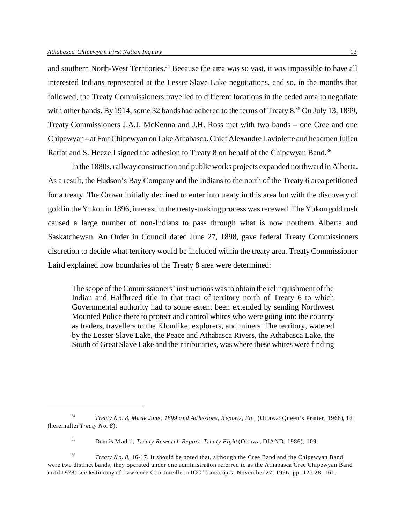and southern North-West Territories.<sup>34</sup> Because the area was so vast, it was impossible to have all interested Indians represented at the Lesser Slave Lake negotiations, and so, in the months that followed, the Treaty Commissioners travelled to different locations in the ceded area to negotiate with other bands. By 1914, some 32 bands had adhered to the terms of Treaty 8.<sup>35</sup> On July 13, 1899, Treaty Commissioners J.A.J. McKenna and J.H. Ross met with two bands – one Cree and one Chipewyan – at Fort Chipewyan on LakeAthabasca. Chief Alexandre Laviolette and headmen Julien Ratfat and S. Heezell signed the adhesion to Treaty 8 on behalf of the Chipewyan Band.<sup>36</sup>

In the 1880s, railway construction and public works projects expanded northward in Alberta. As a result, the Hudson's Bay Company and the Indians to the north of the Treaty 6 area petitioned for a treaty. The Crown initially declined to enter into treaty in this area but with the discovery of gold in the Yukon in 1896, interest in the treaty-making process was renewed. The Yukon gold rush caused a large number of non-Indians to pass through what is now northern Alberta and Saskatchewan. An Order in Council dated June 27, 1898, gave federal Treaty Commissioners discretion to decide what territory would be included within the treaty area. Treaty Commissioner Laird explained how boundaries of the Treaty 8 area were determined:

The scope of the Commissioners' instructions was to obtain the relinquishment of the Indian and Halfbreed title in that tract of territory north of Treaty 6 to which Governmental authority had to some extent been extended by sending Northwest Mounted Police there to protect and control whites who were going into the country as traders, travellers to the Klondike, explorers, and miners. The territory, watered by the Lesser Slave Lake, the Peace and Athabasca Rivers, the Athabasca Lake, the South of Great Slave Lake and their tributaries, was where these whites were finding

<sup>34</sup> *Treaty No. 8, Made June , 1899 and Adhesions, R eports, Etc.* (Ottawa: Queen's Printer, 1966), 12 (hereinafter *Treaty No. 8*).

<sup>35</sup> Dennis M adill, *Treaty Research Report: Treaty Eight* (Ottawa, DIAND, 1986), 109.

<sup>36</sup> *Treaty No. 8,* 16-17. It should be noted that, although the Cree Band and the Chipewyan Band were two distinct bands, they operated under one administration referred to as the Athabasca Cree Chipewyan Band until 1978: see testimony of Lawrence Courtoreille in ICC Transcripts, November 27, 1996, pp. 127-28, 161.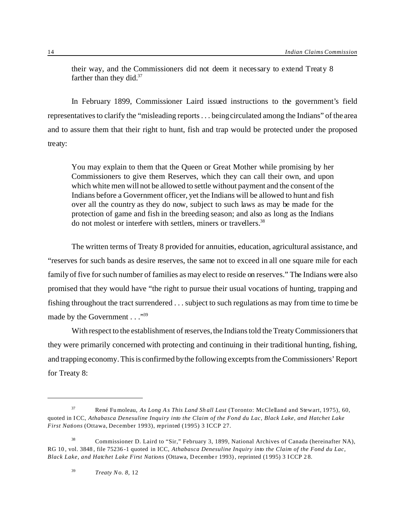their way, and the Commissioners did not deem it necessary to extend Treaty 8 farther than they did. $37$ 

In February 1899, Commissioner Laird issued instructions to the government's field representatives to clarify the "misleading reports . . . being circulated among the Indians" of the area and to assure them that their right to hunt, fish and trap would be protected under the proposed treaty:

You may explain to them that the Queen or Great Mother while promising by her Commissioners to give them Reserves, which they can call their own, and upon which white men will not be allowed to settle without payment and the consent of the Indians before a Government officer, yet the Indians will be allowed to hunt and fish over all the country as they do now, subject to such laws as may be made for the protection of game and fish in the breeding season; and also as long as the Indians do not molest or interfere with settlers, miners or travellers.<sup>38</sup>

The written terms of Treaty 8 provided for annuities, education, agricultural assistance, and "reserves for such bands as desire reserves, the same not to exceed in all one square mile for each family of five for such number of families as may elect to reside on reserves." The Indians were also promised that they would have "the right to pursue their usual vocations of hunting, trapping and fishing throughout the tract surrendered . . . subject to such regulations as may from time to time be made by the Government . . . "39"

With respect to the establishment of reserves, the Indians told the Treaty Commissioners that they were primarily concerned with protecting and continuing in their traditional hunting, fishing, and trapping economy. This is confirmed by the following excerpts from the Commissioners' Report for Treaty 8:

<sup>37</sup> René Fumoleau, *As Long A s This Land Sh all Last* (Toronto: McClelland and Stewart, 1975), 60, quoted in ICC, *Athabasca Denesuline Inquiry into the Claim of the Fond du Lac, Black Lake, and Hatchet Lake First Nations* (Ottawa, December 1993), reprinted (1995) 3 ICCP 27.

<sup>38</sup> Commissioner D. Laird to "Sir," February 3, 1899, National Archives of Canada (hereinafter NA), RG 10 , vol. 3848 , file 75236-1 quoted in ICC, *Athabasca Denesuline Inquiry into the Claim of the Fond du Lac, Black Lake, and Hatchet Lake First Nations* (Ottawa, D ecember 1993), reprinted (1 995) 3 ICCP 2 8.

<sup>39</sup> *Treaty No. 8,* 12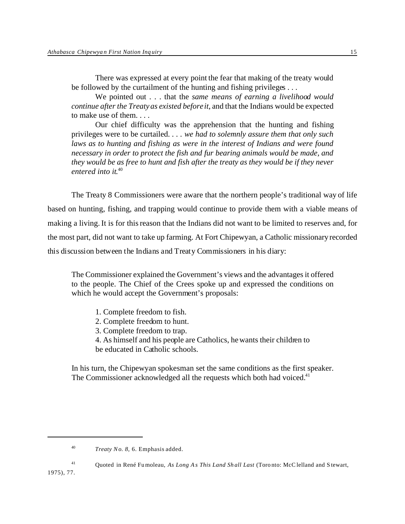There was expressed at every point the fear that making of the treaty would be followed by the curtailment of the hunting and fishing privileges ...

We pointed out . . . that the *same means of earning a livelihood would continue after the Treaty as existed before it*, and that the Indians would be expected to make use of them. . . .

Our chief difficulty was the apprehension that the hunting and fishing privileges were to be curtailed. *. . . we had to solemnly assure them that only such laws as to hunting and fishing as were in the interest of Indians and were found necessary in order to protect the fish and fur bearing animals would be made, and they would be as free to hunt and fish after the treaty as they would be if they never entered into it*. 40

The Treaty 8 Commissioners were aware that the northern people's traditional way of life based on hunting, fishing, and trapping would continue to provide them with a viable means of making a living. It is for this reason that the Indians did not want to be limited to reserves and, for the most part, did not want to take up farming. At Fort Chipewyan, a Catholic missionary recorded this discussion between the Indians and Treaty Commissioners in his diary:

The Commissioner explained the Government's views and the advantages it offered to the people. The Chief of the Crees spoke up and expressed the conditions on which he would accept the Government's proposals:

- 1. Complete freedom to fish.
- 2. Complete freedom to hunt.
- 3. Complete freedom to trap.

4. As himself and his people are Catholics, he wants their children to be educated in Catholic schools.

In his turn, the Chipewyan spokesman set the same conditions as the first speaker. The Commissioner acknowledged all the requests which both had voiced.<sup>41</sup>

1975), 77.

<sup>40</sup> *Treaty No. 8,* 6. Emphasis added.

<sup>41</sup> Quoted in René Fumoleau, *As Long A s This Land Sh all Last* (Toronto: McC lelland and S tewart,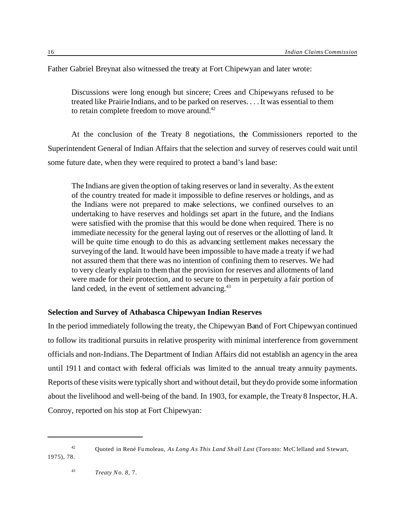Father Gabriel Breynat also witnessed the treaty at Fort Chipewyan and later wrote:

Discussions were long enough but sincere; Crees and Chipewyans refused to be treated like Prairie Indians, and to be parked on reserves. . . . It was essential to them to retain complete freedom to move around.<sup>42</sup>

At the conclusion of the Treaty 8 negotiations, the Commissioners reported to the Superintendent General of Indian Affairs that the selection and survey of reserves could wait until some future date, when they were required to protect a band's land base:

The Indians are given the option of taking reserves or land in severalty. As the extent of the country treated for made it impossible to define reserves or holdings, and as the Indians were not prepared to make selections, we confined ourselves to an undertaking to have reserves and holdings set apart in the future, and the Indians were satisfied with the promise that this would be done when required. There is no immediate necessity for the general laying out of reserves or the allotting of land. It will be quite time enough to do this as advancing settlement makes necessary the surveying of the land. It would have been impossible to have made a treaty if we had not assured them that there was no intention of confining them to reserves. We had to very clearly explain to them that the provision for reserves and allotments of land were made for their protection, and to secure to them in perpetuity a fair portion of land ceded, in the event of settlement advancing.<sup>43</sup>

# **Selection and Survey of Athabasca Chipewyan Indian Reserves**

In the period immediately following the treaty, the Chipewyan Band of Fort Chipewyan continued to follow its traditional pursuits in relative prosperity with minimal interference from government officials and non-Indians. The Department of Indian Affairs did not establish an agency in the area until 1911 and contact with federal officials was limited to the annual treaty annuity payments. Reports of these visits were typically short and without detail, but they do provide some information about the livelihood and well-being of the band. In 1903, for example, the Treaty 8 Inspector, H.A. Conroy, reported on his stop at Fort Chipewyan:

<sup>42</sup> Quoted in René Fumoleau, *As Long A s This Land Sh all Last* (Toronto: McC lelland and S tewart, 1975), 78.

<sup>43</sup> *Treaty No. 8*, 7.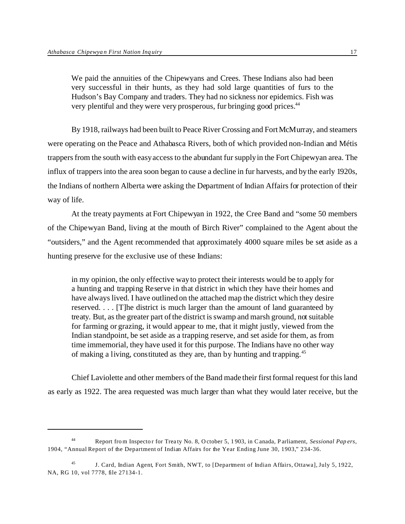We paid the annuities of the Chipewyans and Crees. These Indians also had been very successful in their hunts, as they had sold large quantities of furs to the Hudson's Bay Company and traders. They had no sickness nor epidemics. Fish was very plentiful and they were very prosperous, fur bringing good prices.<sup>44</sup>

By 1918, railways had been built to Peace River Crossing and Fort McMurray, and steamers were operating on the Peace and Athabasca Rivers, both of which provided non-Indian and Métis trappers from the south with easy access to the abundant fur supply in the Fort Chipewyan area. The influx of trappers into the area soon began to cause a decline in fur harvests, and by the early 1920s, the Indians of northern Alberta were asking the Department of Indian Affairs for protection of their way of life.

At the treaty payments at Fort Chipewyan in 1922, the Cree Band and "some 50 members of the Chipewyan Band, living at the mouth of Birch River" complained to the Agent about the "outsiders," and the Agent recommended that approximately 4000 square miles be set aside as a hunting preserve for the exclusive use of these Indians:

in my opinion, the only effective way to protect their interests would be to apply for a hunting and trapping Reserve in that district in which they have their homes and have always lived. I have outlined on the attached map the district which they desire reserved. . . . [T]he district is much larger than the amount of land guaranteed by treaty. But, as the greater part of the district is swamp and marsh ground, not suitable for farming or grazing, it would appear to me, that it might justly, viewed from the Indian standpoint, be set aside as a trapping reserve, and set aside for them, as from time immemorial, they have used it for this purpose. The Indians have no other way of making a living, constituted as they are, than by hunting and trapping.<sup>45</sup>

Chief Laviolette and other members of the Band made their first formal request for this land as early as 1922. The area requested was much larger than what they would later receive, but the

<sup>44</sup> Report fro m Inspecto r for Treaty No. 8, October 5, 1 903, in Canada, Parliament, *Sessional Pap ers*, 1904, "Annual Report of the Department of Indian Affairs for the Year Ending June 30, 1903," 234-36.

<sup>45</sup> J. Card, Indian Agent, Fort Smith, NWT, to [Department of Indian Affairs, Ottawa], July 5, 1922, NA, RG 10, vol 7778, file 27134-1.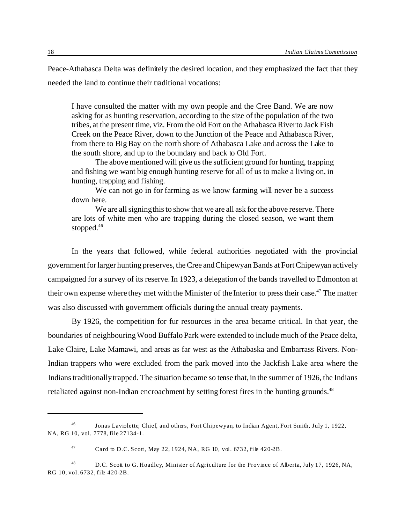Peace-Athabasca Delta was definitely the desired location, and they emphasized the fact that they needed the land to continue their traditional vocations:

I have consulted the matter with my own people and the Cree Band. We are now asking for as hunting reservation, according to the size of the population of the two tribes, at the present time, viz. From the old Fort on the Athabasca River to Jack Fish Creek on the Peace River, down to the Junction of the Peace and Athabasca River, from there to Big Bay on the north shore of Athabasca Lake and across the Lake to the south shore, and up to the boundary and back to Old Fort.

The above mentioned will give us the sufficient ground for hunting, trapping and fishing we want big enough hunting reserve for all of us to make a living on, in hunting, trapping and fishing.

We can not go in for farming as we know farming will never be a success down here.

We are all signing this to show that we are all ask for the above reserve. There are lots of white men who are trapping during the closed season, we want them stopped.<sup>46</sup>

In the years that followed, while federal authorities negotiated with the provincial government for larger hunting preserves, the Cree and Chipewyan Bands at Fort Chipewyan actively campaigned for a survey of its reserve. In 1923, a delegation of the bands travelled to Edmonton at their own expense where they met with the Minister of the Interior to press their case.<sup>47</sup> The matter was also discussed with government officials during the annual treaty payments.

By 1926, the competition for fur resources in the area became critical. In that year, the boundaries of neighbouring Wood Buffalo Park were extended to include much of the Peace delta, Lake Claire, Lake Mamawi, and areas as far west as the Athabaska and Embarrass Rivers. Non-Indian trappers who were excluded from the park moved into the Jackfish Lake area where the Indians traditionally trapped. The situation became so tense that, in the summer of 1926, the Indians retaliated against non-Indian encroachment by setting forest fires in the hunting grounds.<sup>48</sup>

<sup>46</sup> Jonas Laviolette, Chief, and others, Fort Chipewyan, to Indian Agent, Fort Smith, July 1, 1922, NA, RG 10, vol. 7778, file 27134-1.

<sup>&</sup>lt;sup>47</sup> Card to D.C. Scott, May 22, 1924, NA, RG 10, vol. 6732, file 420-2B.

<sup>&</sup>lt;sup>48</sup> D.C. Scott to G. Hoadley, Minister of Agriculture for the Province of Alberta, July 17, 1926, NA, RG 10, vol. 6732, file 420-2B.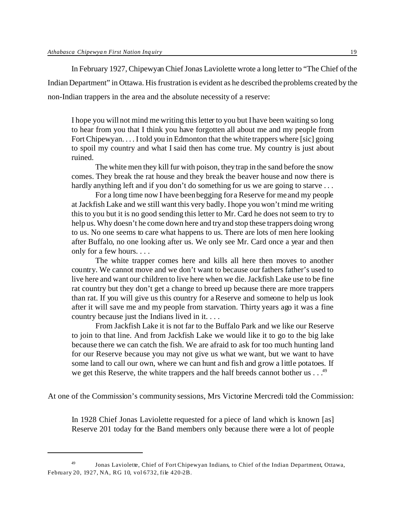In February 1927, Chipewyan Chief Jonas Laviolette wrote a long letter to "The Chief of the Indian Department" in Ottawa. His frustration is evident as he described the problems created by the non-Indian trappers in the area and the absolute necessity of a reserve:

I hope you will not mind me writing this letter to you but I have been waiting so long to hear from you that I think you have forgotten all about me and my people from Fort Chipewyan. . . . I told you in Edmonton that the white trappers where [sic] going to spoil my country and what I said then has come true. My country is just about ruined.

The white men they kill fur with poison, they trap in the sand before the snow comes. They break the rat house and they break the beaver house and now there is hardly anything left and if you don't do something for us we are going to starve ...

For a long time now I have been begging for a Reserve for me and my people at Jackfish Lake and we still want this very badly. I hope you won't mind me writing this to you but it is no good sending this letter to Mr. Card he does not seem to try to help us. Why doesn't he come down here and try and stop these trappers doing wrong to us. No one seems to care what happens to us. There are lots of men here looking after Buffalo, no one looking after us. We only see Mr. Card once a year and then only for a few hours. . . .

The white trapper comes here and kills all here then moves to another country. We cannot move and we don't want to because our fathers father's used to live here and want our children to live here when we die. Jackfish Lake use to be fine rat country but they don't get a change to breed up because there are more trappers than rat. If you will give us this country for a Reserve and someone to help us look after it will save me and my people from starvation. Thirty years ago it was a fine country because just the Indians lived in it. . . .

From Jackfish Lake it is not far to the Buffalo Park and we like our Reserve to join to that line. And from Jackfish Lake we would like it to go to the big lake because there we can catch the fish. We are afraid to ask for too much hunting land for our Reserve because you may not give us what we want, but we want to have some land to call our own, where we can hunt and fish and grow a little potatoes. If we get this Reserve, the white trappers and the half breeds cannot bother us . . .<sup>49</sup>

At one of the Commission's community sessions, Mrs Victorine Mercredi told the Commission:

In 1928 Chief Jonas Laviolette requested for a piece of land which is known [as] Reserve 201 today for the Band members only because there were a lot of people

<sup>49</sup> Jonas Laviolette, Chief of Fort Chipewyan Indians, to Chief of the Indian Department, Ottawa, February 20, 1927, NA, RG 10, vol 6732, file 420-2B.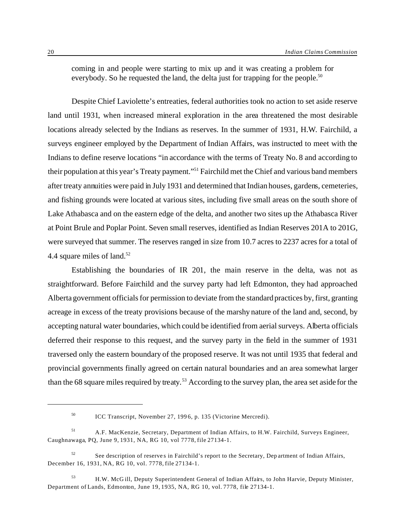coming in and people were starting to mix up and it was creating a problem for everybody. So he requested the land, the delta just for trapping for the people.<sup>50</sup>

Despite Chief Laviolette's entreaties, federal authorities took no action to set aside reserve land until 1931, when increased mineral exploration in the area threatened the most desirable locations already selected by the Indians as reserves. In the summer of 1931, H.W. Fairchild, a surveys engineer employed by the Department of Indian Affairs, was instructed to meet with the Indians to define reserve locations "in accordance with the terms of Treaty No. 8 and according to their population at this year's Treaty payment."<sup>51</sup> Fairchild met the Chief and various band members after treaty annuities were paid in July 1931 and determined that Indian houses, gardens, cemeteries, and fishing grounds were located at various sites, including five small areas on the south shore of Lake Athabasca and on the eastern edge of the delta, and another two sites up the Athabasca River at Point Brule and Poplar Point. Seven small reserves, identified as Indian Reserves 201A to 201G, were surveyed that summer. The reserves ranged in size from 10.7 acres to 2237 acres for a total of 4.4 square miles of land.<sup>52</sup>

Establishing the boundaries of IR 201, the main reserve in the delta, was not as straightforward. Before Fairchild and the survey party had left Edmonton, they had approached Alberta government officials for permission to deviate from the standard practices by, first, granting acreage in excess of the treaty provisions because of the marshy nature of the land and, second, by accepting natural water boundaries, which could be identified from aerial surveys. Alberta officials deferred their response to this request, and the survey party in the field in the summer of 1931 traversed only the eastern boundary of the proposed reserve. It was not until 1935 that federal and provincial governments finally agreed on certain natural boundaries and an area somewhat larger than the 68 square miles required by treaty.<sup>53</sup> According to the survey plan, the area set aside for the

<sup>50</sup> ICC Transcript, November 27, 1996, p. 135 (Victorine Mercredi).

<sup>51</sup> A.F. MacKenzie, Secretary, Department of Indian Affairs, to H.W. Fairchild, Surveys Engineer, Caughnawaga, PQ, June 9, 1931, NA, RG 10, vol 7778, file 27134-1.

 $52$  See description of reserves in Fairchild's report to the Secretary, Department of Indian Affairs, December 16, 1931, NA, RG 10, vol. 7778, file 27134-1.

<sup>53</sup> H.W. McG ill, Deputy Superintendent General of Indian Affairs, to John Harvie, Deputy Minister, Department of Lands, Edmonton, June 19, 1935, NA, RG 10, vol. 7778, file 27134-1.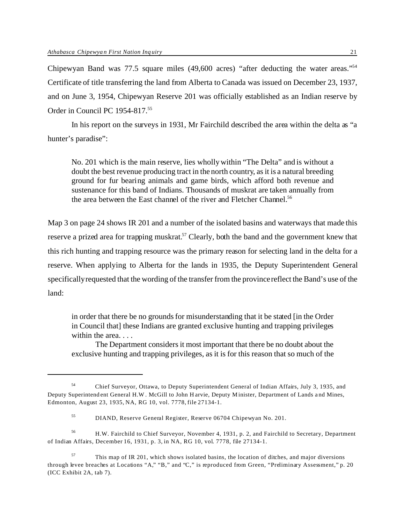Chipewyan Band was 77.5 square miles (49,600 acres) "after deducting the water areas."<sup>54</sup> Certificate of title transferring the land from Alberta to Canada was issued on December 23, 1937, and on June 3, 1954, Chipewyan Reserve 201 was officially established as an Indian reserve by Order in Council PC 1954-817.<sup>55</sup>

In his report on the surveys in 1931, Mr Fairchild described the area within the delta as "a hunter's paradise":

No. 201 which is the main reserve, lies wholly within "The Delta" and is without a doubt the best revenue producing tract in the north country, as it is a natural breeding ground for fur bearing animals and game birds, which afford both revenue and sustenance for this band of Indians. Thousands of muskrat are taken annually from the area between the East channel of the river and Fletcher Channel.<sup>56</sup>

Map 3 on page 24 shows IR 201 and a number of the isolated basins and waterways that made this reserve a prized area for trapping muskrat.<sup>57</sup> Clearly, both the band and the government knew that this rich hunting and trapping resource was the primary reason for selecting land in the delta for a reserve. When applying to Alberta for the lands in 1935, the Deputy Superintendent General specifically requested that the wording of the transfer from the province reflect the Band's use of the land:

in order that there be no grounds for misunderstanding that it be stated [in the Order in Council that] these Indians are granted exclusive hunting and trapping privileges within the area. . . .

The Department considers it most important that there be no doubt about the exclusive hunting and trapping privileges, as it is for this reason that so much of the

<sup>56</sup> H.W. Fairchild to Chief Surveyor, November 4, 1931, p. 2, and Fairchild to Secretary, Department of Indian Affairs, December 16, 1931, p. 3, in NA, RG 10, vol. 7778, file 27134-1.

<sup>54</sup> Chief Surveyor, Ottawa, to Deputy Superintendent General of Indian Affairs, July 3, 1935, and Deputy Superintend ent General H.W . McGill to John H arvie, Deputy Minister, Department of Lands and Mines, Edmonton, August 23, 1935, NA, RG 10, vol. 7778, file 27134-1.

<sup>55</sup> DIAND, Reserve General Register, Reserve 06704 Chipewyan No. 201.

 $57$  This map of IR 201, which shows isolated basins, the location of ditches, and major diversions through levee breaches at Locations "A," "B," and "C," is reproduced from Green, "Preliminary Assessment," p. 20 (ICC Exhibit 2A, tab 7).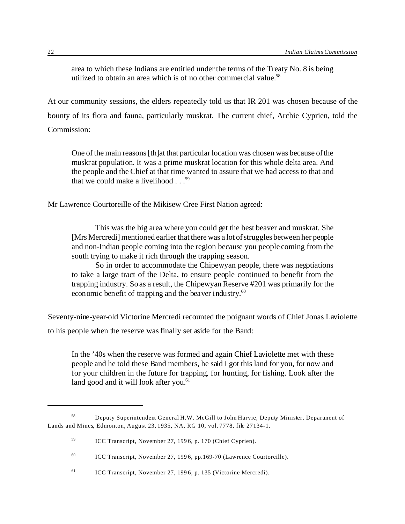area to which these Indians are entitled under the terms of the Treaty No. 8 is being utilized to obtain an area which is of no other commercial value.<sup>58</sup>

At our community sessions, the elders repeatedly told us that IR 201 was chosen because of the bounty of its flora and fauna, particularly muskrat. The current chief, Archie Cyprien, told the Commission:

One of the main reasons [th]at that particular location was chosen was because of the muskrat population. It was a prime muskrat location for this whole delta area. And the people and the Chief at that time wanted to assure that we had access to that and that we could make a livelihood  $\ldots$ <sup>59</sup>

Mr Lawrence Courtoreille of the Mikisew Cree First Nation agreed:

This was the big area where you could get the best beaver and muskrat. She [Mrs Mercredi] mentioned earlier that there was a lot of struggles between her people and non-Indian people coming into the region because you people coming from the south trying to make it rich through the trapping season.

So in order to accommodate the Chipewyan people, there was negotiations to take a large tract of the Delta, to ensure people continued to benefit from the trapping industry. So as a result, the Chipewyan Reserve #201 was primarily for the economic benefit of trapping and the beaver industry.<sup>60</sup>

Seventy-nine-year-old Victorine Mercredi recounted the poignant words of Chief Jonas Laviolette to his people when the reserve was finally set aside for the Band:

In the '40s when the reserve was formed and again Chief Laviolette met with these people and he told these Band members, he said I got this land for you, for now and for your children in the future for trapping, for hunting, for fishing. Look after the land good and it will look after you.<sup>61</sup>

<sup>58</sup> Deputy Superintendent General H.W. McGill to John Harvie, Deputy Minister, Department of Lands and Mines, Edmonton, August 23, 1935, NA, RG 10, vol. 7778, file 27134-1.

<sup>59</sup> ICC Transcript, November 27, 1996, p. 170 (Chief Cyprien).

<sup>60</sup> ICC Transcript, November 27, 1996, pp.169-70 (Lawrence Courtoreille).

<sup>61</sup> ICC Transcript, November 27, 1996, p. 135 (Victorine Mercredi).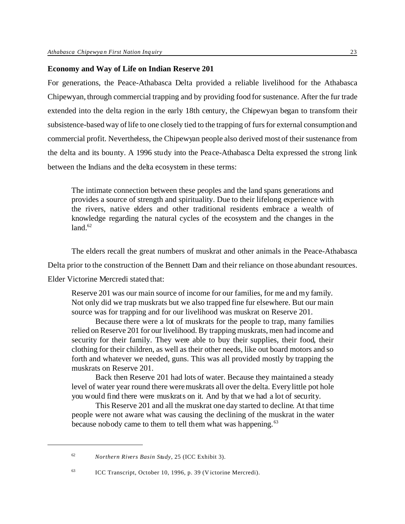#### **Economy and Way of Life on Indian Reserve 201**

For generations, the Peace-Athabasca Delta provided a reliable livelihood for the Athabasca Chipewyan, through commercial trapping and by providing food for sustenance. After the fur trade extended into the delta region in the early 18th century, the Chipewyan began to transform their subsistence-based way of life to one closely tied to the trapping of furs for external consumption and commercial profit. Nevertheless, the Chipewyan people also derived most of their sustenance from the delta and its bounty. A 1996 study into the Peace-Athabasca Delta expressed the strong link between the Indians and the delta ecosystem in these terms:

The intimate connection between these peoples and the land spans generations and provides a source of strength and spirituality. Due to their lifelong experience with the rivers, native elders and other traditional residents embrace a wealth of knowledge regarding the natural cycles of the ecosystem and the changes in the  $land.<sup>62</sup>$ 

The elders recall the great numbers of muskrat and other animals in the Peace-Athabasca

Delta prior to the construction of the Bennett Dam and their reliance on those abundant resources.

Elder Victorine Mercredi stated that:

Reserve 201 was our main source of income for our families, for me and my family. Not only did we trap muskrats but we also trapped fine fur elsewhere. But our main source was for trapping and for our livelihood was muskrat on Reserve 201.

Because there were a lot of muskrats for the people to trap, many families relied on Reserve 201 for our livelihood. By trapping muskrats, men had income and security for their family. They were able to buy their supplies, their food, their clothing for their children, as well as their other needs, like out board motors and so forth and whatever we needed, guns. This was all provided mostly by trapping the muskrats on Reserve 201.

Back then Reserve 201 had lots of water. Because they maintained a steady level of water year round there were muskrats all over the delta. Every little pot hole you would find there were muskrats on it. And by that we had a lot of security.

This Reserve 201 and all the muskrat one day started to decline. At that time people were not aware what was causing the declining of the muskrat in the water because nobody came to them to tell them what was happening.<sup>63</sup>

<sup>62</sup> *Northern Rivers Basin Study*, 25 (ICC Exhibit 3).

<sup>63</sup> ICC Transcript, October 10, 1996, p. 39 (Victorine Mercredi).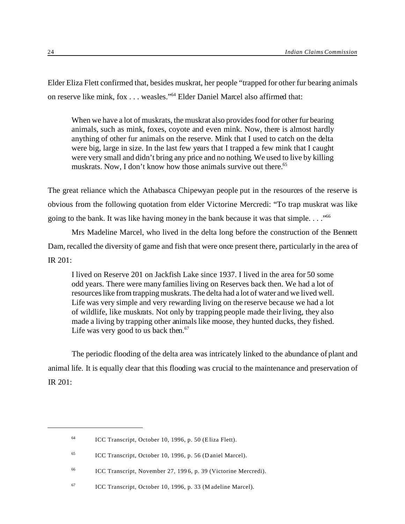Elder Eliza Flett confirmed that, besides muskrat, her people "trapped for other fur bearing animals on reserve like mink, fox . . . weasles."<sup>64</sup> Elder Daniel Marcel also affirmed that:

When we have a lot of muskrats, the muskrat also provides food for other fur bearing animals, such as mink, foxes, coyote and even mink. Now, there is almost hardly anything of other fur animals on the reserve. Mink that I used to catch on the delta were big, large in size. In the last few years that I trapped a few mink that I caught were very small and didn't bring any price and no nothing. We used to live by killing muskrats. Now, I don't know how those animals survive out there.<sup>65</sup>

The great reliance which the Athabasca Chipewyan people put in the resources of the reserve is obvious from the following quotation from elder Victorine Mercredi: "To trap muskrat was like going to the bank. It was like having money in the bank because it was that simple. . . . "<sup>66</sup>

Mrs Madeline Marcel, who lived in the delta long before the construction of the Bennett Dam, recalled the diversity of game and fish that were once present there, particularly in the area of IR 201:

I lived on Reserve 201 on Jackfish Lake since 1937. I lived in the area for 50 some odd years. There were many families living on Reserves back then. We had a lot of resources like from trapping muskrats. The delta had a lot of water and we lived well. Life was very simple and very rewarding living on the reserve because we had a lot of wildlife, like muskrats. Not only by trapping people made their living, they also made a living by trapping other animals like moose, they hunted ducks, they fished. Life was very good to us back then. $67$ 

The periodic flooding of the delta area was intricately linked to the abundance of plant and animal life. It is equally clear that this flooding was crucial to the maintenance and preservation of IR 201:

<sup>64</sup> ICC Transcript, October 10, 1996, p. 50 (Eliza Flett).

<sup>65</sup> ICC Transcript, October 10, 1996, p. 56 (Daniel Marcel).

<sup>66</sup> ICC Transcript, November 27, 1996, p. 39 (Victorine Mercredi).

<sup>67</sup> ICC Transcript, October 10, 1996, p. 33 (M adeline Marcel).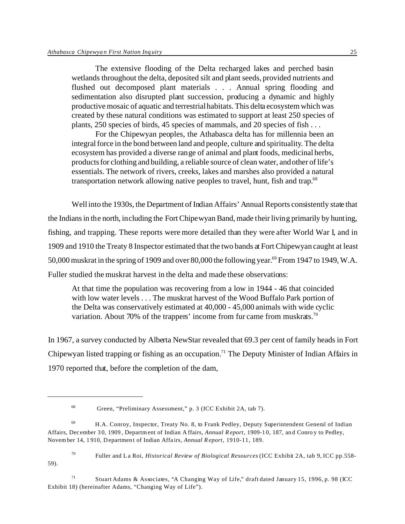The extensive flooding of the Delta recharged lakes and perched basin wetlands throughout the delta, deposited silt and plant seeds, provided nutrients and flushed out decomposed plant materials . . . Annual spring flooding and sedimentation also disrupted plant succession, producing a dynamic and highly productive mosaic of aquatic and terrestrial habitats. This delta ecosystem which was created by these natural conditions was estimated to support at least 250 species of plants, 250 species of birds, 45 species of mammals, and 20 species of fish . . .

For the Chipewyan peoples, the Athabasca delta has for millennia been an integral force in the bond between land and people, culture and spirituality. The delta ecosystem has provided a diverse range of animal and plant foods, medicinal herbs, products for clothing and building, a reliable source of clean water, and other of life's essentials. The network of rivers, creeks, lakes and marshes also provided a natural transportation network allowing native peoples to travel, hunt, fish and trap.<sup>68</sup>

Well into the 1930s, the Department of Indian Affairs' Annual Reports consistently state that the Indians in the north, including the Fort Chipewyan Band, made their living primarily by hunting, fishing, and trapping. These reports were more detailed than they were after World War I, and in 1909 and 1910 the Treaty 8 Inspector estimated that the two bands at Fort Chipewyan caught at least 50,000 muskrat in the spring of 1909 and over 80,000 the following year.<sup>69</sup> From 1947 to 1949, W.A. Fuller studied the muskrat harvest in the delta and made these observations:

At that time the population was recovering from a low in 1944 - 46 that coincided with low water levels . . . The muskrat harvest of the Wood Buffalo Park portion of the Delta was conservatively estimated at 40,000 - 45,000 animals with wide cyclic variation. About 70% of the trappers' income from fur came from muskrats.<sup>70</sup>

In 1967, a survey conducted by Alberta NewStar revealed that 69.3 per cent of family heads in Fort Chipewyan listed trapping or fishing as an occupation.<sup>71</sup> The Deputy Minister of Indian Affairs in 1970 reported that, before the completion of the dam,

<sup>70</sup> Fuller and La Roi, *Historical Review of Biological Resources* (ICC Exhibit 2A, tab 9, ICC pp.558- 59).

<sup>71</sup> Stuart Adams & Associates, "A Changing Way of Life," draft dated January 15, 1996, p. 98 (ICC Exhibit 18) (hereinafter Adams, "Changing Way of Life").

<sup>68</sup> Green, "Preliminary Assessment," p. 3 (ICC Exhibit 2A, tab 7).

 $^{69}$  H.A. Conroy, Inspector, Treaty No. 8, to Frank Pedley, Deputy Superintendent General of Indian Affairs, December 30, 1909 , Departm ent of Indian A ffairs, *Annual Report*, 1909-10, 187, and Conro y to Pedley, Novem ber 14, 1910, Department of Indian Affairs, *Annual Report*, 1910-11, 189.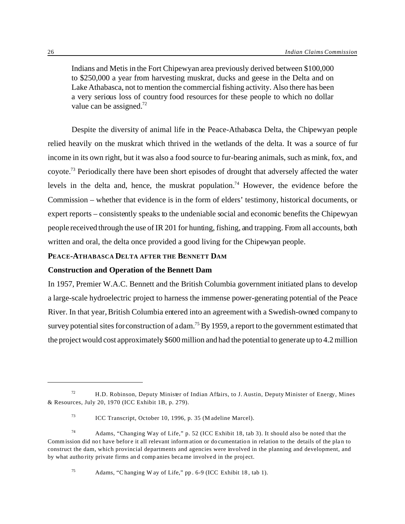Indians and Metis in the Fort Chipewyan area previously derived between \$100,000 to \$250,000 a year from harvesting muskrat, ducks and geese in the Delta and on Lake Athabasca, not to mention the commercial fishing activity. Also there has been a very serious loss of country food resources for these people to which no dollar value can be assigned. $72$ 

Despite the diversity of animal life in the Peace-Athabasca Delta, the Chipewyan people relied heavily on the muskrat which thrived in the wetlands of the delta. It was a source of fur income in its own right, but it was also a food source to fur-bearing animals, such as mink, fox, and coyote.<sup>73</sup> Periodically there have been short episodes of drought that adversely affected the water levels in the delta and, hence, the muskrat population.<sup>74</sup> However, the evidence before the Commission – whether that evidence is in the form of elders' testimony, historical documents, or expert reports – consistently speaks to the undeniable social and economic benefits the Chipewyan people received through the use of IR 201 for hunting, fishing, and trapping. From all accounts, both written and oral, the delta once provided a good living for the Chipewyan people.

# **PEACE-ATHABASCA DELTA AFTER THE BENNETT DAM**

### **Construction and Operation of the Bennett Dam**

In 1957, Premier W.A.C. Bennett and the British Columbia government initiated plans to develop a large-scale hydroelectric project to harness the immense power-generating potential of the Peace River. In that year, British Columbia entered into an agreement with a Swedish-owned company to survey potential sites for construction of a dam.<sup>75</sup> By 1959, a report to the government estimated that the project would cost approximately \$600 million and had the potential to generate up to 4.2 million

<sup>75</sup> Adams, "C hanging W ay of Life," pp. 6-9 (ICC Exhibit 18, tab 1).

 $72$  H.D. Robinson, Deputy Minister of Indian Affairs, to J. Austin, Deputy Minister of Energy, Mines & Resources, July 20, 1970 (ICC Exhibit 1B, p. 279).

<sup>73</sup> ICC Transcript, October 10, 1996, p. 35 (M adeline Marcel).

<sup>74</sup> Adams, "Changing Way of Life," p. 52 (ICC Exhibit 18, tab 3). It should also be noted that the Commission did not have before it all relevant inform ation or do cumentation in relation to the details of the plan to construct the dam, which provincial departments and agencies were involved in the planning and development, and by what autho rity private firms and companies became involved in the project.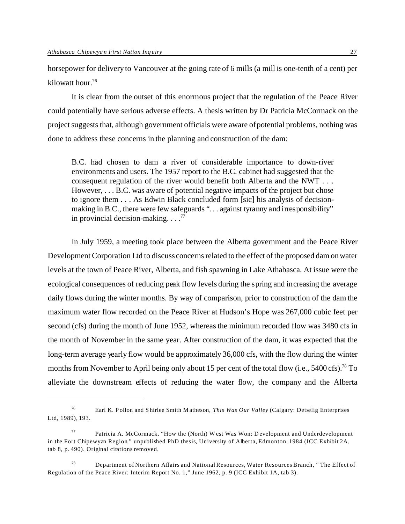horsepower for delivery to Vancouver at the going rate of 6 mills (a mill is one-tenth of a cent) per kilowatt hour.<sup>76</sup>

It is clear from the outset of this enormous project that the regulation of the Peace River could potentially have serious adverse effects. A thesis written by Dr Patricia McCormack on the project suggests that, although government officials were aware of potential problems, nothing was done to address these concerns in the planning and construction of the dam:

B.C. had chosen to dam a river of considerable importance to down-river environments and users. The 1957 report to the B.C. cabinet had suggested that the consequent regulation of the river would benefit both Alberta and the NWT . . . However, . . . B.C. was aware of potential negative impacts of the project but chose to ignore them . . . As Edwin Black concluded form [sic] his analysis of decisionmaking in B.C., there were few safeguards "... against tyranny and irresponsibility" in provincial decision-making.  $\ldots$ <sup>77</sup>

In July 1959, a meeting took place between the Alberta government and the Peace River Development Corporation Ltd to discuss concerns related to the effect of the proposed dam on water levels at the town of Peace River, Alberta, and fish spawning in Lake Athabasca. At issue were the ecological consequences of reducing peak flow levels during the spring and increasing the average daily flows during the winter months. By way of comparison, prior to construction of the dam the maximum water flow recorded on the Peace River at Hudson's Hope was 267,000 cubic feet per second (cfs) during the month of June 1952, whereas the minimum recorded flow was 3480 cfs in the month of November in the same year. After construction of the dam, it was expected that the long-term average yearly flow would be approximately 36,000 cfs, with the flow during the winter months from November to April being only about 15 per cent of the total flow (i.e.,  $5400 \text{ cfs}$ ).<sup>78</sup> To alleviate the downstream effects of reducing the water flow, the company and the Alberta

<sup>76</sup> Earl K. P ollon and S hirlee Smith M atheson, *This Was Our Valley* (Calgary: Detselig Enterprises Ltd, 1989), 193.

Patricia A. McCormack, "How the (North) W est Was Won: Development and Underdevelopment in the Fort Chipewyan Region," unpublished PhD thesis, University of Alberta, Edmonton, 1984 (ICC Exhibit 2A, tab 8, p. 490). Original citations removed.

<sup>&</sup>lt;sup>78</sup> Department of Northern Affairs and National Resources, Water Resources Branch, "The Effect of Regulation of the Peace River: Interim Report No. 1," June 1962, p. 9 (ICC Exhibit 1A, tab 3).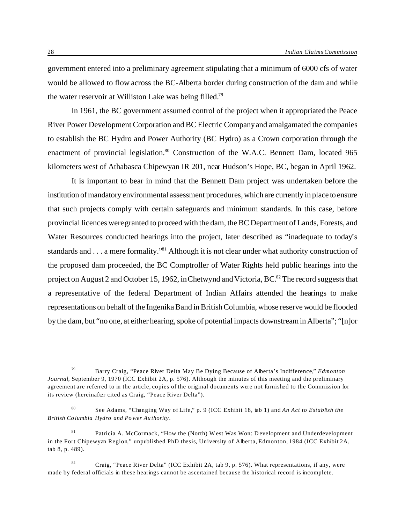government entered into a preliminary agreement stipulating that a minimum of 6000 cfs of water would be allowed to flow across the BC-Alberta border during construction of the dam and while the water reservoir at Williston Lake was being filled.<sup>79</sup>

In 1961, the BC government assumed control of the project when it appropriated the Peace River Power Development Corporation and BC Electric Company and amalgamated the companies to establish the BC Hydro and Power Authority (BC Hydro) as a Crown corporation through the enactment of provincial legislation.<sup>80</sup> Construction of the W.A.C. Bennett Dam, located 965 kilometers west of Athabasca Chipewyan IR 201, near Hudson's Hope, BC, began in April 1962.

It is important to bear in mind that the Bennett Dam project was undertaken before the institution of mandatory environmental assessment procedures, which are currently in place to ensure that such projects comply with certain safeguards and minimum standards. In this case, before provincial licences were granted to proceed with the dam, the BC Department of Lands, Forests, and Water Resources conducted hearings into the project, later described as "inadequate to today's standards and . . . a mere formality."<sup>81</sup> Although it is not clear under what authority construction of the proposed dam proceeded, the BC Comptroller of Water Rights held public hearings into the project on August 2 and October 15, 1962, in Chetwynd and Victoria, BC.<sup>82</sup> The record suggests that a representative of the federal Department of Indian Affairs attended the hearings to make representations on behalf of the Ingenika Band in British Columbia, whose reserve would be flooded by the dam, but "no one, at either hearing, spoke of potential impacts downstream in Alberta"; "[n]or

<sup>79</sup> Barry Craig, "Peace River Delta May Be Dying Because of Alberta's Indifference," *Edmonton Journal*, September 9, 1970 (ICC Exhibit 2A, p. 576). Although the minutes of this meeting and the preliminary agreement are referred to in the article, copies of the original documents were not furnished to the Commission for its review (hereinafter cited as Craig, "Peace River Delta").

<sup>80</sup> See Adams, "Changing Way of Life," p. 9 (ICC Exhibit 18, tab 1) and *An Act to Establish the British Columbia Hydro and Po wer Authority*.

Patricia A. McCormack, "How the (North) W est Was Won: Development and Underdevelopment in the Fort Chipewyan Region," unpublished PhD thesis, University of Alberta, Edmonton, 1984 (ICC Exhibit 2A, tab 8, p. 489).

<sup>&</sup>lt;sup>82</sup> Craig, "Peace River Delta" (ICC Exhibit 2A, tab 9, p. 576). What representations, if any, were made by federal officials in these hearings cannot be ascertained because the historical record is incomplete.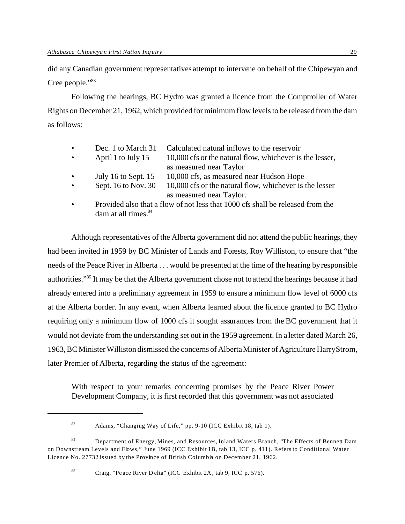did any Canadian government representatives attempt to intervene on behalf of the Chipewyan and Cree people."<sup>83</sup>

Following the hearings, BC Hydro was granted a licence from the Comptroller of Water Rights on December 21, 1962, which provided for minimum flow levels to be released from the dam as follows:

| $\bullet$ | Dec. 1 to March 31  | Calculated natural inflows to the reservoir                                    |
|-----------|---------------------|--------------------------------------------------------------------------------|
| $\bullet$ | April 1 to July 15  | 10,000 cfs or the natural flow, whichever is the lesser,                       |
|           |                     | as measured near Taylor                                                        |
| $\bullet$ | July 16 to Sept. 15 | 10,000 cfs, as measured near Hudson Hope                                       |
| $\bullet$ | Sept. 16 to Nov. 30 | 10,000 cfs or the natural flow, whichever is the lesser                        |
|           |                     | as measured near Taylor.                                                       |
|           |                     | Provided also that a flow of not less that 1000 cfs shall be released from the |

 $\pm$  not less that 1000 cfs shall be released from the dam at all times.<sup>84</sup>

Although representatives of the Alberta government did not attend the public hearings, they had been invited in 1959 by BC Minister of Lands and Forests, Roy Williston, to ensure that "the needs of the Peace River in Alberta . . . would be presented at the time of the hearing by responsible authorities."<sup>85</sup> It may be that the Alberta government chose not to attend the hearings because it had already entered into a preliminary agreement in 1959 to ensure a minimum flow level of 6000 cfs at the Alberta border. In any event, when Alberta learned about the licence granted to BC Hydro requiring only a minimum flow of 1000 cfs it sought assurances from the BC government that it would not deviate from the understanding set out in the 1959 agreement. In a letter dated March 26, 1963, BC Minister Williston dismissed the concerns of Alberta Minister of Agriculture Harry Strom, later Premier of Alberta, regarding the status of the agreement:

With respect to your remarks concerning promises by the Peace River Power Development Company, it is first recorded that this government was not associated

<sup>83</sup> Adams, "Changing Way of Life," pp. 9-10 (ICC Exhibit 18, tab 1).

<sup>84</sup> Department of Energy, Mines, and Resources, Inland Waters Branch, "The Effects of Bennett Dam on Downstream Levels and Flows," June 1969 (ICC Exhibit 1B, tab 13, ICC p. 411). Refers to Conditional Water Licence No. 27732 issued by the Province of British Columbia on December 21, 1962.

<sup>85</sup> Craig, "Peace River D elta" (ICC Exhibit 2A , tab 9, ICC p. 576).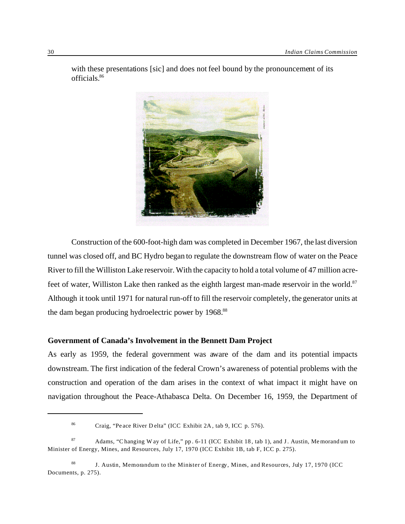

with these presentations [sic] and does not feel bound by the pronouncement of its officials.<sup>86</sup>

Construction of the 600-foot-high dam was completed in December 1967, the last diversion tunnel was closed off, and BC Hydro began to regulate the downstream flow of water on the Peace River to fill the Williston Lake reservoir. With the capacity to hold a total volume of 47 million acrefeet of water, Williston Lake then ranked as the eighth largest man-made reservoir in the world.<sup>87</sup> Although it took until 1971 for natural run-off to fill the reservoir completely, the generator units at the dam began producing hydroelectric power by 1968.<sup>88</sup>

# **Government of Canada's Involvement in the Bennett Dam Project**

As early as 1959, the federal government was aware of the dam and its potential impacts downstream. The first indication of the federal Crown's awareness of potential problems with the construction and operation of the dam arises in the context of what impact it might have on navigation throughout the Peace-Athabasca Delta. On December 16, 1959, the Department of

<sup>86</sup> Craig, "Peace River D elta" (ICC Exhibit 2A , tab 9, ICC p. 576).

<sup>87</sup> Adams, "Changing W ay of Life," pp. 6-11 (ICC Exhibit 18, tab 1), and J. Austin, Memorandum to Minister of Energy, Mines, and Resources, July 17, 1970 (ICC Exhibit 1B, tab F, ICC p. 275).

<sup>&</sup>lt;sup>88</sup> J. Austin, Memorandum to the Minister of Energy, Mines, and Resources, July 17, 1970 (ICC Documents, p. 275).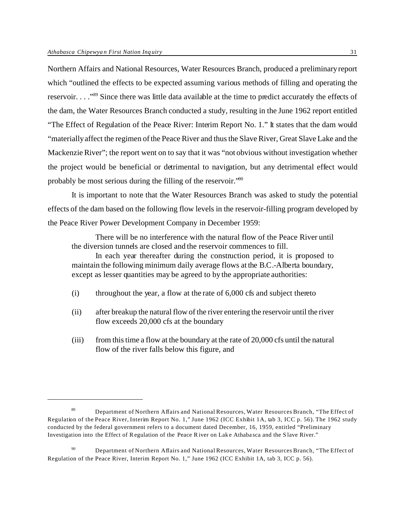Northern Affairs and National Resources, Water Resources Branch, produced a preliminary report which "outlined the effects to be expected assuming various methods of filling and operating the reservoir. . . ."<sup>89</sup> Since there was little data available at the time to predict accurately the effects of the dam, the Water Resources Branch conducted a study, resulting in the June 1962 report entitled "The Effect of Regulation of the Peace River: Interim Report No. 1." It states that the dam would "materially affect the regimen of the Peace River and thus the Slave River, Great Slave Lake and the Mackenzie River"; the report went on to say that it was "not obvious without investigation whether the project would be beneficial or detrimental to navigation, but any detrimental effect would probably be most serious during the filling of the reservoir."<sup>90</sup>

It is important to note that the Water Resources Branch was asked to study the potential effects of the dam based on the following flow levels in the reservoir-filling program developed by the Peace River Power Development Company in December 1959:

There will be no interference with the natural flow of the Peace River until the diversion tunnels are closed and the reservoir commences to fill.

In each year thereafter during the construction period, it is proposed to maintain the following minimum daily average flows at the B.C.-Alberta boundary, except as lesser quantities may be agreed to by the appropriate authorities:

- (i) throughout the year, a flow at the rate of 6,000 cfs and subject thereto
- (ii) after breakup the natural flow of the river entering the reservoir until the river flow exceeds 20,000 cfs at the boundary
- (iii) from this time a flow at the boundary at the rate of 20,000 cfs until the natural flow of the river falls below this figure, and

 $90$  Department of Northern Affairs and National Resources, Water Resources Branch, "The Effect of Regulation of the Peace River, Interim Report No. 1," June 1962 (ICC Exhibit 1A, tab 3, ICC p. 56).

<sup>89</sup> Department of Northern Affairs and National Resources, Water Resources Branch, "The Effect of Regulation of the Peace River, Interim Report No. 1," June 1962 (ICC Exhibit 1A, tab 3, ICC p. 56). The 1962 study conducted by the federal government refers to a document dated December, 16, 1959, entitled "Preliminary Investigation into the Effect of Regulation of the Peace R iver on Lake Athabasca and the S lave River."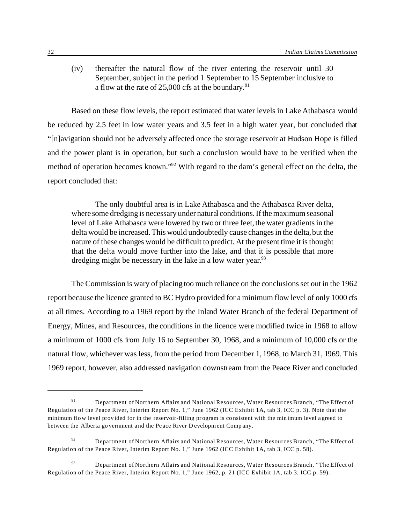(iv) thereafter the natural flow of the river entering the reservoir until 30 September, subject in the period 1 September to 15 September inclusive to a flow at the rate of  $25,000$  cfs at the boundary.<sup>91</sup>

Based on these flow levels, the report estimated that water levels in Lake Athabasca would be reduced by 2.5 feet in low water years and 3.5 feet in a high water year, but concluded that "[n]avigation should not be adversely affected once the storage reservoir at Hudson Hope is filled and the power plant is in operation, but such a conclusion would have to be verified when the method of operation becomes known."<sup>92</sup> With regard to the dam's general effect on the delta, the report concluded that:

The only doubtful area is in Lake Athabasca and the Athabasca River delta, where some dredging is necessary under natural conditions. If the maximum seasonal level of Lake Athabasca were lowered by two or three feet, the water gradients in the delta would be increased. This would undoubtedly cause changes in the delta, but the nature of these changes would be difficult to predict. At the present time it is thought that the delta would move further into the lake, and that it is possible that more dredging might be necessary in the lake in a low water year.<sup>93</sup>

The Commission is wary of placing too much reliance on the conclusions set out in the 1962 report because the licence granted to BC Hydro provided for a minimum flow level of only 1000 cfs at all times. According to a 1969 report by the Inland Water Branch of the federal Department of Energy, Mines, and Resources, the conditions in the licence were modified twice in 1968 to allow a minimum of 1000 cfs from July 16 to September 30, 1968, and a minimum of 10,000 cfs or the natural flow, whichever was less, from the period from December 1, 1968, to March 31, 1969. This 1969 report, however, also addressed navigation downstream from the Peace River and concluded

<sup>91</sup> Department of Northern Affairs and National Resources, Water Resources Branch, "The Effect of Regulation of the Peace River, Interim Report No. 1," June 1962 (ICC Exhibit 1A, tab 3, ICC p. 3). Note that the minimum flow level provided for in the reservoir-filling program is co nsistent with the minimum level agreed to between the Alberta government and the Peace River D evelopment Comp any.

 $92$  Department of Northern Affairs and National Resources, Water Resources Branch, "The Effect of Regulation of the Peace River, Interim Report No. 1," June 1962 (ICC Exhibit 1A, tab 3, ICC p. 58).

<sup>&</sup>lt;sup>93</sup> Department of Northern Affairs and National Resources, Water Resources Branch, "The Effect of Regulation of the Peace River, Interim Report No. 1," June 1962, p. 21 (ICC Exhibit 1A, tab 3, ICC p. 59).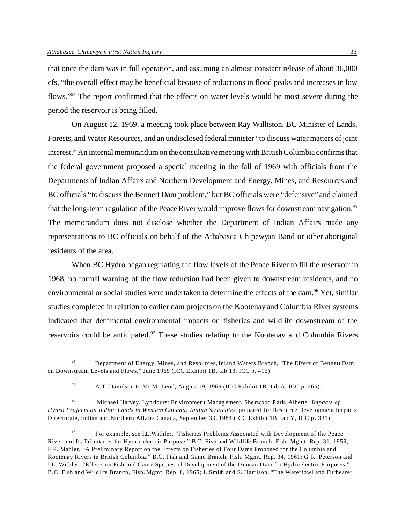that once the dam was in full operation, and assuming an almost constant release of about 36,000 cfs, "the overall effect may be beneficial because of reductions in flood peaks and increases in low flows."<sup>94</sup> The report confirmed that the effects on water levels would be most severe during the period the reservoir is being filled.

On August 12, 1969, a meeting took place between Ray Williston, BC Minister of Lands, Forests, and Water Resources, and an undisclosed federal minister "to discuss water matters of joint interest." An internal memorandum on the consultative meeting with British Columbia confirms that the federal government proposed a special meeting in the fall of 1969 with officials from the Departments of Indian Affairs and Northern Development and Energy, Mines, and Resources and BC officials "to discuss the Bennett Dam problem," but BC officials were "defensive" and claimed that the long-term regulation of the Peace River would improve flows for downstream navigation.<sup>95</sup> The memorandum does not disclose whether the Department of Indian Affairs made any representations to BC officials on behalf of the Athabasca Chipewyan Band or other aboriginal residents of the area.

When BC Hydro began regulating the flow levels of the Peace River to fill the reservoir in 1968, no formal warning of the flow reduction had been given to downstream residents, and no environmental or social studies were undertaken to determine the effects of the dam.<sup>96</sup> Yet, similar studies completed in relation to earlier dam projects on the Kootenay and Columbia River systems indicated that detrimental environmental impacts on fisheries and wildlife downstream of the reservoirs could be anticipated.<sup>97</sup> These studies relating to the Kootenay and Columbia Rivers

<sup>96</sup> Michael Harvey, Lyndburst Environment Management, Sherwood P ark, Alberta, *Impacts of Hydro Projects on Indian Lands in Western Canada: Indian Strategies*, prepared for Resource Deve lopment Im pacts Directorate, Indian and Northern Affairs Canada, September 30, 1984 (ICC Exhibit 1B, tab Y, ICC p. 331).

<sup>97</sup> For example, see I.L.Withler, "Fisheries Problems Associated with Development of the Peace River and Its Tributaries for Hydro-electric Purpose," B.C. Fish and Wildlife Branch, Fish. Mgmt. Rep. 31, 1959; F.P. Mahler, "A Preliminary Report on the Effects on Fisheries of Four Dams Proposed for the Columbia and Kootenay Rivers in British Columbia." B.C. Fish and Game Branch, Fish. Mgmt. Rep. 34, 1961; G.R. Peterson and I.L. Withler, "Effects on Fish and Game Species of Development of the Duncan Dam for Hyd roelectric Purposes," B.C. Fish and Wildlife Branch, Fish. Mgmt. Rep. 8, 1965; I. Smith and S. Harrison, "The Waterfowl and Furbearer

<sup>94</sup> Department of Energy, Mines, and Resources, Inland Waters Branch, "The Effect of Bennett Dam on Downstream Levels and Flows," June 1969 (ICC Exhibit 1B, tab 13, ICC p. 415).

<sup>95</sup> A.T. Davidson to Mr M cLeod, August 19, 1969 (ICC Exhibit 1B, tab A, ICC p. 265).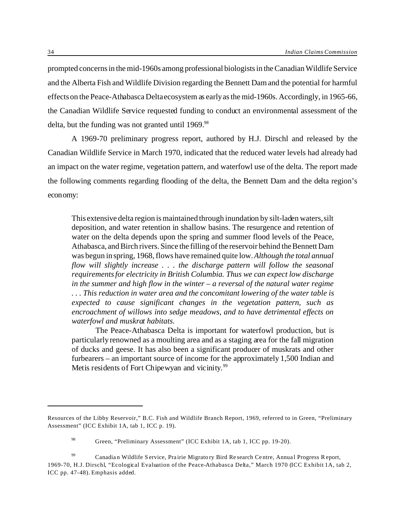prompted concerns in the mid-1960s among professional biologists in the Canadian Wildlife Service and the Alberta Fish and Wildlife Division regarding the Bennett Dam and the potential for harmful effects on the Peace-Athabasca Delta ecosystem as early as the mid-1960s. Accordingly, in 1965-66, the Canadian Wildlife Service requested funding to conduct an environmental assessment of the delta, but the funding was not granted until 1969.<sup>98</sup>

A 1969-70 preliminary progress report, authored by H.J. Dirschl and released by the Canadian Wildlife Service in March 1970, indicated that the reduced water levels had already had an impact on the water regime, vegetation pattern, and waterfowl use of the delta. The report made the following comments regarding flooding of the delta, the Bennett Dam and the delta region's economy:

This extensive delta region is maintained through inundation by silt-laden waters, silt deposition, and water retention in shallow basins. The resurgence and retention of water on the delta depends upon the spring and summer flood levels of the Peace, Athabasca, and Birch rivers. Since the filling of the reservoir behind the Bennett Dam was begun in spring, 1968, flows have remained quite low. *Although the total annual flow will slightly increase . . . the discharge pattern will follow the seasonal requirements for electricity in British Columbia. Thus we can expect low discharge in the summer and high flow in the winter – a reversal of the natural water regime . . . This reduction in water area and the concomitant lowering of the water table is expected to cause significant changes in the vegetation pattern, such as encroachment of willows into sedge meadows, and to have detrimental effects on waterfowl and muskrat habitats.*

The Peace-Athabasca Delta is important for waterfowl production, but is particularly renowned as a moulting area and as a staging area for the fall migration of ducks and geese. It has also been a significant producer of muskrats and other furbearers – an important source of income for the approximately 1,500 Indian and Metis residents of Fort Chipewyan and vicinity.<sup>99</sup>

Resources of the Libby Reservoir," B.C. Fish and Wildlife Branch Report, 1969, referred to in Green, "Preliminary Assessment" (ICC Exhibit 1A, tab 1, ICC p. 19).

<sup>98</sup> Green, "Preliminary Assessment" (ICC Exhibit 1A, tab 1, ICC pp. 19-20).

<sup>&</sup>lt;sup>99</sup> Canadian Wildlife Service, Prairie Migrato ry Bird Research Centre, Annual Progress Report, 1969-70, H.J. Dirschl, "Ecological Evaluation of the Peace-Athabasca Delta," March 1970 (ICC Exhibit 1A, tab 2, ICC pp. 47-48). Emphasis added.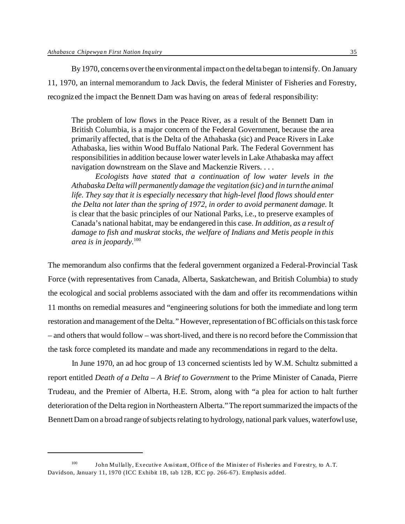By 1970, concerns over the environmental impact on the delta began to intensify. On January 11, 1970, an internal memorandum to Jack Davis, the federal Minister of Fisheries and Forestry, recognized the impact the Bennett Dam was having on areas of federal responsibility:

The problem of low flows in the Peace River, as a result of the Bennett Dam in British Columbia, is a major concern of the Federal Government, because the area primarily affected, that is the Delta of the Athabaska (sic) and Peace Rivers in Lake Athabaska, lies within Wood Buffalo National Park. The Federal Government has responsibilities in addition because lower water levels in Lake Athabaska may affect navigation downstream on the Slave and Mackenzie Rivers. . . .

*Ecologists have stated that a continuation of low water levels in the Athabaska Delta will permanently damage the vegitation (sic) and in turn the animal life. They say that it is especially necessary that high-level flood flows should enter the Delta not later than the spring of 1972, in order to avoid permanent damage.* It is clear that the basic principles of our National Parks, i.e., to preserve examples of Canada's national habitat, may be endangered in this case. *In addition, as a result of damage to fish and muskrat stocks, the welfare of Indians and Metis people in this area is in jeopardy.*<sup>100</sup>

The memorandum also confirms that the federal government organized a Federal-Provincial Task Force (with representatives from Canada, Alberta, Saskatchewan, and British Columbia) to study the ecological and social problems associated with the dam and offer its recommendations within 11 months on remedial measures and "engineering solutions for both the immediate and long term restoration and management of the Delta." However, representation of BC officials on this task force – and others that would follow – was short-lived, and there is no record before the Commission that the task force completed its mandate and made any recommendations in regard to the delta.

In June 1970, an ad hoc group of 13 concerned scientists led by W.M. Schultz submitted a report entitled *Death of a Delta – A Brief to Government* to the Prime Minister of Canada, Pierre Trudeau, and the Premier of Alberta, H.E. Strom, along with "a plea for action to halt further deterioration of the Delta region in Northeastern Alberta." The report summarized the impacts of the Bennett Dam on a broad range of subjects relating to hydrology, national park values, waterfowl use,

<sup>100</sup> John Mullally, Executive Assistant, Office of the Minister of Fisheries and Forestry, to A.T. Davidson, January 11, 1970 (ICC Exhibit 1B, tab 12B, ICC pp. 266-67). Emphasis added.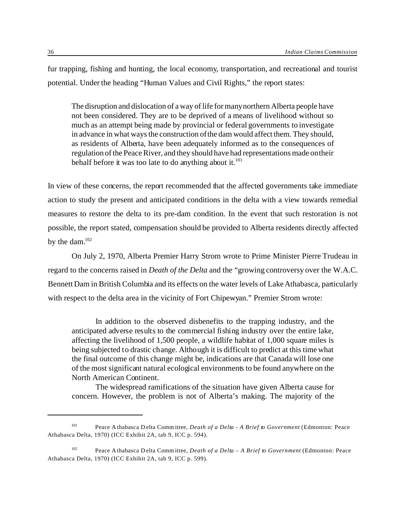fur trapping, fishing and hunting, the local economy, transportation, and recreational and tourist potential. Under the heading "Human Values and Civil Rights," the report states:

The disruption and dislocation of a way of life for many northern Alberta people have not been considered. They are to be deprived of a means of livelihood without so much as an attempt being made by provincial or federal governments to investigate in advance in what ways the construction of the dam would affect them. They should, as residents of Alberta, have been adequately informed as to the consequences of regulation of the Peace River, and they should have had representations made on their behalf before it was too late to do anything about it. $101$ 

In view of these concerns, the report recommended that the affected governments take immediate action to study the present and anticipated conditions in the delta with a view towards remedial measures to restore the delta to its pre-dam condition. In the event that such restoration is not possible, the report stated, compensation should be provided to Alberta residents directly affected by the dam.<sup>102</sup>

On July 2, 1970, Alberta Premier Harry Strom wrote to Prime Minister Pierre Trudeau in regard to the concerns raised in *Death of the Delta* and the "growing controversy over the W.A.C. Bennett Dam in British Columbia and its effects on the water levels of Lake Athabasca, particularly with respect to the delta area in the vicinity of Fort Chipewyan." Premier Strom wrote:

In addition to the observed disbenefits to the trapping industry, and the anticipated adverse results to the commercial fishing industry over the entire lake, affecting the livelihood of 1,500 people, a wildlife habitat of 1,000 square miles is being subjected to drastic change. Although it is difficult to predict at this time what the final outcome of this change might be, indications are that Canada will lose one of the most significant natural ecological environments to be found anywhere on the North American Continent.

The widespread ramifications of the situation have given Alberta cause for concern. However, the problem is not of Alberta's making. The majority of the

<sup>101</sup> Peace A thabasca D elta Comm ittee, *Death of a Delta - A Brief to Government* (Edmonton: Peace Athabasca Delta, 1970) (ICC Exhibit 2A, tab 9, ICC p. 594).

<sup>102</sup> Peace A thabasca D elta Comm ittee, *Death of a Delta – A Brief to Government* (Edmonton: Peace Athabasca Delta, 1970) (ICC Exhibit 2A, tab 9, ICC p. 599).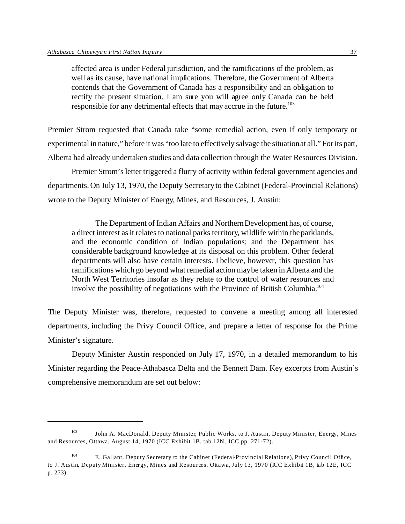affected area is under Federal jurisdiction, and the ramifications of the problem, as well as its cause, have national implications. Therefore, the Government of Alberta contends that the Government of Canada has a responsibility and an obligation to rectify the present situation. I am sure you will agree only Canada can be held responsible for any detrimental effects that may accrue in the future.<sup>103</sup>

Premier Strom requested that Canada take "some remedial action, even if only temporary or experimental in nature," before it was "too late to effectively salvage the situation at all." For its part, Alberta had already undertaken studies and data collection through the Water Resources Division.

Premier Strom's letter triggered a flurry of activity within federal government agencies and departments. On July 13, 1970, the Deputy Secretary to the Cabinet (Federal-Provincial Relations) wrote to the Deputy Minister of Energy, Mines, and Resources, J. Austin:

The Department of Indian Affairs and Northern Development has, of course, a direct interest as it relates to national parks territory, wildlife within the parklands, and the economic condition of Indian populations; and the Department has considerable background knowledge at its disposal on this problem. Other federal departments will also have certain interests. I believe, however, this question has ramifications which go beyond what remedial action may be taken in Alberta and the North West Territories insofar as they relate to the control of water resources and involve the possibility of negotiations with the Province of British Columbia.<sup>104</sup>

The Deputy Minister was, therefore, requested to convene a meeting among all interested departments, including the Privy Council Office, and prepare a letter of response for the Prime Minister's signature.

Deputy Minister Austin responded on July 17, 1970, in a detailed memorandum to his Minister regarding the Peace-Athabasca Delta and the Bennett Dam. Key excerpts from Austin's comprehensive memorandum are set out below:

<sup>103</sup> John A. MacDonald, Deputy Minister, Public Works, to J. Austin, Deputy Minister, Energy, Mines and Resources, Ottawa, August 14, 1970 (ICC Exhibit 1B, tab 12N, ICC pp. 271-72).

<sup>104</sup> E. Gallant, Deputy Secretary to the Cabinet (Federal-Provincial Relations), Privy Council Office, to J. Austin, Deputy Minister, Energy, Mines and Resources, Ottawa, July 13, 1970 (ICC Exhibit 1B, tab 12E, ICC p. 273).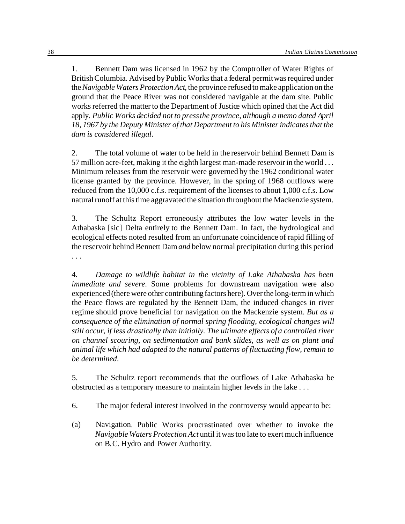1. Bennett Dam was licensed in 1962 by the Comptroller of Water Rights of British Columbia. Advised by Public Works that a federal permit was required under the*Navigable Waters Protection Act*, the province refused to make application on the ground that the Peace River was not considered navigable at the dam site. Public works referred the matter to the Department of Justice which opined that the Act did apply. *Public Works decided not to press the province, although a memo dated April 18, 1967 by the Deputy Minister of that Department to his Minister indicates that the dam is considered illegal*.

2. The total volume of water to be held in the reservoir behind Bennett Dam is 57 million acre-feet, making it the eighth largest man-made reservoir in the world . . . Minimum releases from the reservoir were governed by the 1962 conditional water license granted by the province. However, in the spring of 1968 outflows were reduced from the 10,000 c.f.s. requirement of the licenses to about 1,000 c.f.s. Low natural runoff at this time aggravated the situation throughout the Mackenzie system.

3. The Schultz Report erroneously attributes the low water levels in the Athabaska [sic] Delta entirely to the Bennett Dam. In fact, the hydrological and ecological effects noted resulted from an unfortunate coincidence of rapid filling of the reservoir behind Bennett Dam*and* below normal precipitation during this period . . .

4. *Damage to wildlife habitat in the vicinity of Lake Athabaska has been immediate and severe.* Some problems for downstream navigation were also experienced (there were other contributing factors here). Over the long-term in which the Peace flows are regulated by the Bennett Dam, the induced changes in river regime should prove beneficial for navigation on the Mackenzie system. *But as a consequence of the elimination of normal spring flooding, ecological changes will still occur, if less drastically than initially. The ultimate effects of a controlled river on channel scouring, on sedimentation and bank slides, as well as on plant and animal life which had adapted to the natural patterns of fluctuating flow, remain to be determined*.

5. The Schultz report recommends that the outflows of Lake Athabaska be obstructed as a temporary measure to maintain higher levels in the lake . . .

6. The major federal interest involved in the controversy would appear to be:

(a) Navigation*.* Public Works procrastinated over whether to invoke the *Navigable Waters Protection Act* until it was too late to exert much influence on B.C. Hydro and Power Authority.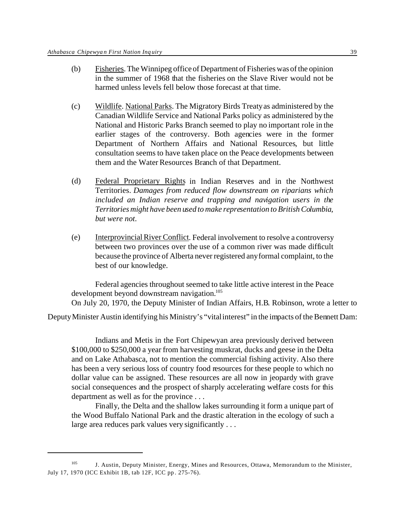- (b) Fisheries. The Winnipeg office of Department of Fisheries was of the opinion in the summer of 1968 that the fisheries on the Slave River would not be harmed unless levels fell below those forecast at that time.
- (c) Wildlife. National Parks. The Migratory Birds Treaty as administered by the Canadian Wildlife Service and National Parks policy as administered by the National and Historic Parks Branch seemed to play no important role in the earlier stages of the controversy. Both agencies were in the former Department of Northern Affairs and National Resources, but little consultation seems to have taken place on the Peace developments between them and the Water Resources Branch of that Department.
- (d) Federal Proprietary Rights in Indian Reserves and in the Northwest Territories. *Damages from reduced flow downstream on riparians which included an Indian reserve and trapping and navigation users in the Territories might have been used to make representation to British Columbia, but were not*.
- (e) Interprovincial River Conflict. Federal involvement to resolve a controversy between two provinces over the use of a common river was made difficult because the province of Alberta never registered any formal complaint, to the best of our knowledge.

Federal agencies throughout seemed to take little active interest in the Peace development beyond downstream navigation.<sup>105</sup> On July 20, 1970, the Deputy Minister of Indian Affairs, H.B. Robinson, wrote a letter to

Deputy Minister Austin identifying his Ministry's "vital interest" in the impacts of the Bennett Dam:

Indians and Metis in the Fort Chipewyan area previously derived between \$100,000 to \$250,000 a year from harvesting muskrat, ducks and geese in the Delta and on Lake Athabasca, not to mention the commercial fishing activity. Also there has been a very serious loss of country food resources for these people to which no dollar value can be assigned. These resources are all now in jeopardy with grave social consequences and the prospect of sharply accelerating welfare costs for this department as well as for the province . . .

Finally, the Delta and the shallow lakes surrounding it form a unique part of the Wood Buffalo National Park and the drastic alteration in the ecology of such a large area reduces park values very significantly . . .

<sup>&</sup>lt;sup>105</sup> J. Austin, Deputy Minister, Energy, Mines and Resources, Ottawa, Memorandum to the Minister, July 17, 1970 (ICC Exhibit 1B, tab 12F, ICC pp. 275-76).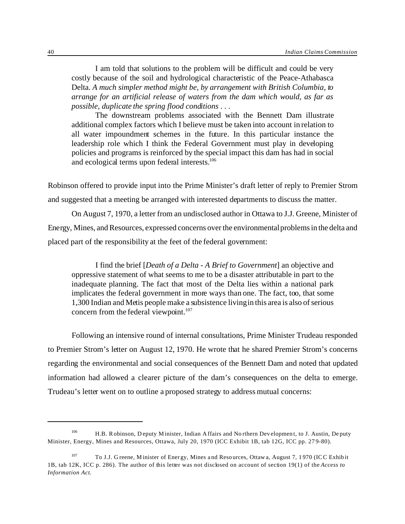I am told that solutions to the problem will be difficult and could be very costly because of the soil and hydrological characteristic of the Peace-Athabasca Delta. *A much simpler method might be, by arrangement with British Columbia, to arrange for an artificial release of waters from the dam which would, as far as possible, duplicate the spring flood conditions* . . .

The downstream problems associated with the Bennett Dam illustrate additional complex factors which I believe must be taken into account in relation to all water impoundment schemes in the future. In this particular instance the leadership role which I think the Federal Government must play in developing policies and programs is reinforced by the special impact this dam has had in social and ecological terms upon federal interests.<sup>106</sup>

Robinson offered to provide input into the Prime Minister's draft letter of reply to Premier Strom and suggested that a meeting be arranged with interested departments to discuss the matter.

On August 7, 1970, a letter from an undisclosed author in Ottawa to J.J. Greene, Minister of Energy, Mines, and Resources, expressed concerns over the environmental problems in the delta and placed part of the responsibility at the feet of the federal government:

I find the brief [*Death of a Delta - A Brief to Government*] an objective and oppressive statement of what seems to me to be a disaster attributable in part to the inadequate planning. The fact that most of the Delta lies within a national park implicates the federal government in more ways than one. The fact, too, that some 1,300 Indian and Metis people make a subsistence living in this area is also of serious concern from the federal viewpoint. $107$ 

Following an intensive round of internal consultations, Prime Minister Trudeau responded to Premier Strom's letter on August 12, 1970. He wrote that he shared Premier Strom's concerns regarding the environmental and social consequences of the Bennett Dam and noted that updated information had allowed a clearer picture of the dam's consequences on the delta to emerge. Trudeau's letter went on to outline a proposed strategy to address mutual concerns:

<sup>106</sup> H.B. Robinson, D eputy Minister, Indian Affairs and No rthern Development, to J. Austin, De puty Minister, Energy, Mines and Resources, Ottawa, July 20, 1970 (ICC Exhibit 1B, tab 12G, ICC pp. 279-80).

<sup>107</sup> To J.J. G reene, M inister of Energy, Mines and Resources, Ottawa, August 7, 1970 (ICC Exhibit 1B, tab 12K, ICC p. 286). The author of this letter was not disclosed on account of section 19(1) of the *Access to Information Act*.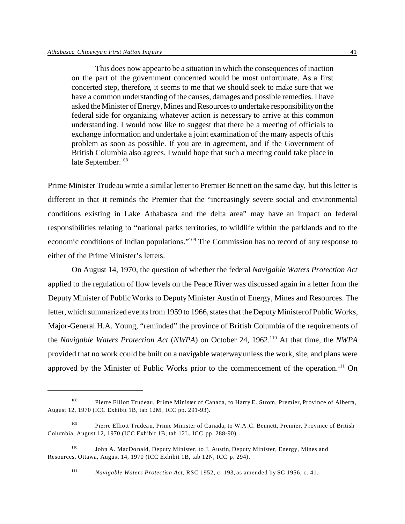This does now appear to be a situation in which the consequences of inaction on the part of the government concerned would be most unfortunate. As a first concerted step, therefore, it seems to me that we should seek to make sure that we have a common understanding of the causes, damages and possible remedies. I have asked the Minister of Energy, Mines and Resources to undertake responsibility on the federal side for organizing whatever action is necessary to arrive at this common understanding. I would now like to suggest that there be a meeting of officials to exchange information and undertake a joint examination of the many aspects of this problem as soon as possible. If you are in agreement, and if the Government of British Columbia also agrees, I would hope that such a meeting could take place in late September.<sup>108</sup>

Prime Minister Trudeau wrote a similar letter to Premier Bennett on the same day, but this letter is different in that it reminds the Premier that the "increasingly severe social and environmental conditions existing in Lake Athabasca and the delta area" may have an impact on federal responsibilities relating to "national parks territories, to wildlife within the parklands and to the economic conditions of Indian populations."<sup>109</sup> The Commission has no record of any response to either of the Prime Minister's letters.

On August 14, 1970, the question of whether the federal *Navigable Waters Protection Act* applied to the regulation of flow levels on the Peace River was discussed again in a letter from the Deputy Minister of Public Works to Deputy Minister Austin of Energy, Mines and Resources. The letter, which summarized events from 1959 to 1966, states that the Deputy Minister of Public Works, Major-General H.A. Young, "reminded" the province of British Columbia of the requirements of the *Navigable Waters Protection Act* (*NWPA*) on October 24, 1962.<sup>110</sup> At that time, the *NWPA* provided that no work could be built on a navigable waterway unless the work, site, and plans were approved by the Minister of Public Works prior to the commencement of the operation.<sup>111</sup> On

<sup>108</sup> Pierre Elliott Trudeau, Prime Minister of Canada, to Harry E. Strom, Premier, Province of Alberta, August 12, 1970 (ICC Exhibit 1B, tab 12M , ICC pp. 291-93).

<sup>&</sup>lt;sup>109</sup> Pierre Elliott Trudeau, Prime Minister of Canada, to W.A.C. Bennett, Premier, Province of British Columbia, August 12, 1970 (ICC Exhibit 1B, tab 12L, ICC pp. 288-90).

<sup>110</sup> John A. MacDo nald, Deputy Minister, to J. Austin, Deputy Minister, Energy, Mines and Resources, Ottawa, August 14, 1970 (ICC Exhibit 1B, tab 12N, ICC p. 294).

<sup>111</sup> *Navigable Waters Protection Act*, RSC 1952, c. 193, as amended by SC 1956, c. 41.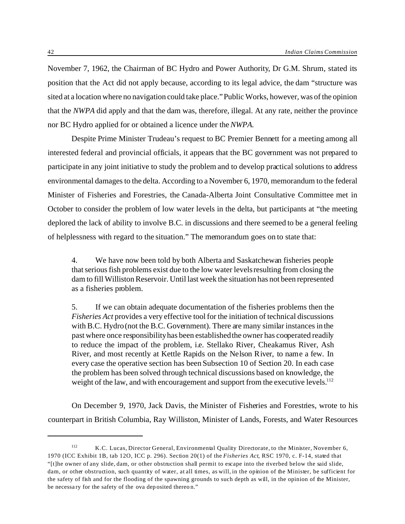November 7, 1962, the Chairman of BC Hydro and Power Authority, Dr G.M. Shrum, stated its position that the Act did not apply because, according to its legal advice, the dam "structure was sited at a location where no navigation could take place." Public Works, however, was of the opinion that the *NWPA* did apply and that the dam was, therefore, illegal. At any rate, neither the province nor BC Hydro applied for or obtained a licence under the *NWPA*.

Despite Prime Minister Trudeau's request to BC Premier Bennett for a meeting among all interested federal and provincial officials, it appears that the BC government was not prepared to participate in any joint initiative to study the problem and to develop practical solutions to address environmental damages to the delta. According to a November 6, 1970, memorandum to the federal Minister of Fisheries and Forestries, the Canada-Alberta Joint Consultative Committee met in October to consider the problem of low water levels in the delta, but participants at "the meeting deplored the lack of ability to involve B.C. in discussions and there seemed to be a general feeling of helplessness with regard to the situation." The memorandum goes on to state that:

4. We have now been told by both Alberta and Saskatchewan fisheries people that serious fish problems exist due to the low water levels resulting from closing the dam to fill Williston Reservoir. Until last week the situation has not been represented as a fisheries problem.

5. If we can obtain adequate documentation of the fisheries problems then the *Fisheries Act* provides a very effective tool for the initiation of technical discussions with B.C. Hydro (not the B.C. Government). There are many similar instances in the past where once responsibility has been established the owner has cooperated readily to reduce the impact of the problem, i.e. Stellako River, Cheakamus River, Ash River, and most recently at Kettle Rapids on the Nelson River, to name a few. In every case the operative section has been Subsection 10 of Section 20. In each case the problem has been solved through technical discussions based on knowledge, the weight of the law, and with encouragement and support from the executive levels.<sup>112</sup>

On December 9, 1970, Jack Davis, the Minister of Fisheries and Forestries, wrote to his counterpart in British Columbia, Ray Williston, Minister of Lands, Forests, and Water Resources

<sup>112</sup> K.C. Lucas, Director General, Environmental Quality Directorate, to the Minister, November 6, 1970 (ICC Exhibit 1B, tab 12O, ICC p. 296). Section 20(1) of the *Fisheries Act*, RSC 1970, c. F-14, stated that "[t]he owner of any slide, dam, or other obstruction shall permit to escape into the riverbed below the said slide, dam, or other obstruction, such quantity of water, at all times, as will, in the opinion of the Minister, be sufficient for the safety of fish and for the flooding of the spawning grounds to such depth as will, in the opinion of the Minister, be necessa ry for the safety of the ova deposited thereo n."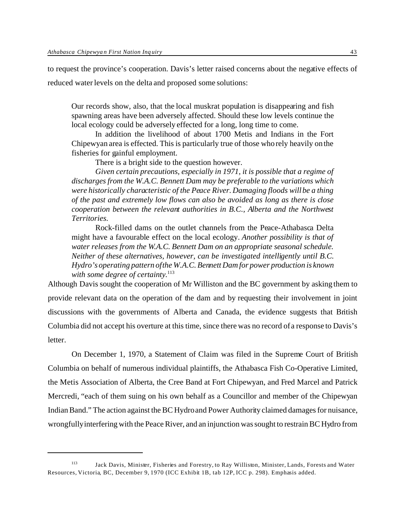to request the province's cooperation. Davis's letter raised concerns about the negative effects of reduced water levels on the delta and proposed some solutions:

Our records show, also, that the local muskrat population is disappearing and fish spawning areas have been adversely affected. Should these low levels continue the local ecology could be adversely effected for a long, long time to come.

In addition the livelihood of about 1700 Metis and Indians in the Fort Chipewyan area is effected. This is particularly true of those who rely heavily on the fisheries for gainful employment.

There is a bright side to the question however.

*Given certain precautions, especially in 1971, it is possible that a regime of discharges from the W.A.C. Bennett Dam may be preferable to the variations which were historically characteristic of the Peace River. Damaging floods will be a thing of the past and extremely low flows can also be avoided as long as there is close cooperation between the relevant authorities in B.C., Alberta and the Northwest Territories.*

Rock-filled dams on the outlet channels from the Peace-Athabasca Delta might have a favourable effect on the local ecology. *Another possibility is that of water releases from the W.A.C. Bennett Dam on an appropriate seasonal schedule. Neither of these alternatives, however, can be investigated intelligently until B.C. Hydro's operating pattern of the W.A.C. Bennett Dam for power production is known* with some degree of certainty.<sup>113</sup>

Although Davis sought the cooperation of Mr Williston and the BC government by asking them to provide relevant data on the operation of the dam and by requesting their involvement in joint discussions with the governments of Alberta and Canada, the evidence suggests that British Columbia did not accept his overture at this time, since there was no record of a response to Davis's letter.

On December 1, 1970, a Statement of Claim was filed in the Supreme Court of British Columbia on behalf of numerous individual plaintiffs, the Athabasca Fish Co-Operative Limited, the Metis Association of Alberta, the Cree Band at Fort Chipewyan, and Fred Marcel and Patrick Mercredi, "each of them suing on his own behalf as a Councillor and member of the Chipewyan Indian Band." The action against the BC Hydro and Power Authority claimed damages for nuisance, wrongfully interfering with the Peace River, and an injunction was sought to restrain BC Hydro from

<sup>113</sup> Jack Davis, Minister, Fisheries and Forestry, to Ray Williston, Minister, Lands, Forests and Water Resources, Victoria, BC, December 9, 1970 (ICC Exhibit 1B, tab 12P, ICC p. 298). Emphasis added.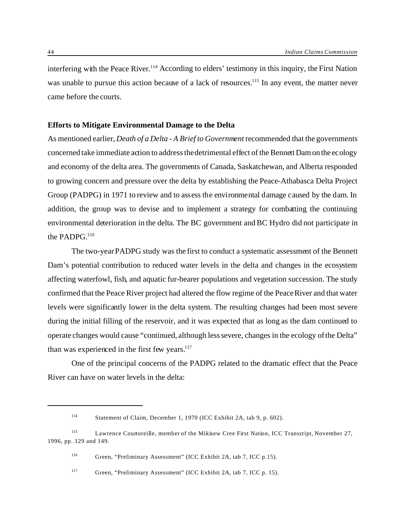interfering with the Peace River.<sup>114</sup> According to elders' testimony in this inquiry, the First Nation was unable to pursue this action because of a lack of resources.<sup>115</sup> In any event, the matter never came before the courts.

### **Efforts to Mitigate Environmental Damage to the Delta**

As mentioned earlier, *Death of a Delta - A Brief to Government* recommended that the governments concerned take immediate action to address the detrimental effect of the Bennett Dam on the ecology and economy of the delta area. The governments of Canada, Saskatchewan, and Alberta responded to growing concern and pressure over the delta by establishing the Peace-Athabasca Delta Project Group (PADPG) in 1971 to review and to assess the environmental damage caused by the dam. In addition, the group was to devise and to implement a strategy for combatting the continuing environmental deterioration in the delta. The BC government and BC Hydro did not participate in the PADPG.<sup>116</sup>

The two-year PADPG study was the first to conduct a systematic assessment of the Bennett Dam's potential contribution to reduced water levels in the delta and changes in the ecosystem affecting waterfowl, fish, and aquatic fur-bearer populations and vegetation succession. The study confirmed that the Peace River project had altered the flow regime of the Peace River and that water levels were significantly lower in the delta system. The resulting changes had been most severe during the initial filling of the reservoir, and it was expected that as long as the dam continued to operate changes would cause "continued, although less severe, changes in the ecology of the Delta" than was experienced in the first few years.<sup>117</sup>

One of the principal concerns of the PADPG related to the dramatic effect that the Peace River can have on water levels in the delta:

<sup>114</sup> Statement of Claim, December 1, 1970 (ICC Exhibit 2A, tab 9, p. 602).

<sup>115</sup> Lawrence Courtoreille, member of the Mikisew Cree First Nation, ICC Transcript, November 27, 1996, pp. 129 and 149.

<sup>116</sup> Green, "Preliminary Assessment" (ICC Exhibit 2A, tab 7, ICC p.15).

<sup>117</sup> Green, "Preliminary Assessment" (ICC Exhibit 2A, tab 7, ICC p. 15).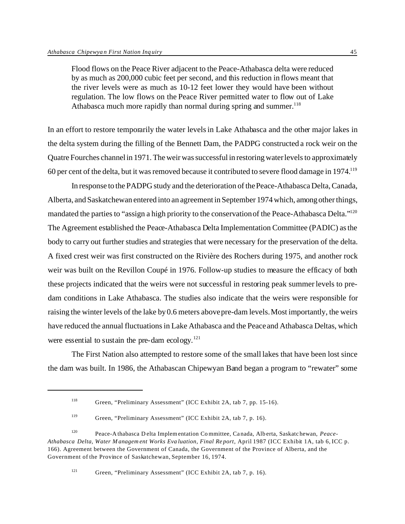Flood flows on the Peace River adjacent to the Peace-Athabasca delta were reduced by as much as 200,000 cubic feet per second, and this reduction in flows meant that the river levels were as much as 10-12 feet lower they would have been without regulation. The low flows on the Peace River permitted water to flow out of Lake Athabasca much more rapidly than normal during spring and summer.<sup>118</sup>

In an effort to restore temporarily the water levels in Lake Athabasca and the other major lakes in the delta system during the filling of the Bennett Dam, the PADPG constructed a rock weir on the Quatre Fourches channel in 1971. The weir was successful in restoring water levels to approximately 60 per cent of the delta, but it was removed because it contributed to severe flood damage in 1974.<sup>119</sup>

In response to the PADPG study and the deterioration of the Peace-Athabasca Delta, Canada, Alberta, and Saskatchewan entered into an agreement in September 1974 which, among other things, mandated the parties to "assign a high priority to the conservation of the Peace-Athabasca Delta."<sup>120</sup> The Agreement established the Peace-Athabasca Delta Implementation Committee (PADIC) as the body to carry out further studies and strategies that were necessary for the preservation of the delta. A fixed crest weir was first constructed on the Rivière des Rochers during 1975, and another rock weir was built on the Revillon Coupé in 1976. Follow-up studies to measure the efficacy of both these projects indicated that the weirs were not successful in restoring peak summer levels to predam conditions in Lake Athabasca. The studies also indicate that the weirs were responsible for raising the winter levels of the lake by 0.6 meters above pre-dam levels. Most importantly, the weirs have reduced the annual fluctuations in Lake Athabasca and the Peace and Athabasca Deltas, which were essential to sustain the pre-dam ecology. $121$ 

The First Nation also attempted to restore some of the small lakes that have been lost since the dam was built. In 1986, the Athabascan Chipewyan Band began a program to "rewater" some

<sup>118</sup> Green, "Preliminary Assessment" (ICC Exhibit 2A, tab 7, pp. 15-16).

<sup>119</sup> Green, "Preliminary Assessment" (ICC Exhibit 2A, tab 7, p. 16).

<sup>120</sup> Peace-A thabasca D elta Implementation Co mmittee, Canada, Alberta, Saskatchewan, *Peace-Athabasca Delta, Water Managem ent Works Eva luation, Final Report*, April 1987 (ICC Exhibit 1A, tab 6, ICC p. 166). Agreement between the Government of Canada, the Government of the Province of Alberta, and the Government of the Province of Saskatchewan, September 16, 1974.

<sup>121</sup> Green, "Preliminary Assessment" (ICC Exhibit 2A, tab 7, p. 16).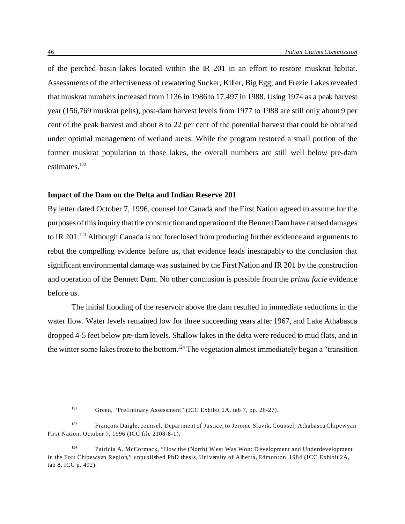of the perched basin lakes located within the IR 201 in an effort to restore muskrat habitat. Assessments of the effectiveness of rewatering Sucker, Killer, Big Egg, and Frezie Lakes revealed that muskrat numbers increased from 1136 in 1986 to 17,497 in 1988. Using 1974 as a peak harvest year (156,769 muskrat pelts), post-dam harvest levels from 1977 to 1988 are still only about 9 per cent of the peak harvest and about 8 to 22 per cent of the potential harvest that could be obtained under optimal management of wetland areas. While the program restored a small portion of the former muskrat population to those lakes, the overall numbers are still well below pre-dam estimates.<sup>122</sup>

### **Impact of the Dam on the Delta and Indian Reserve 201**

By letter dated October 7, 1996, counsel for Canada and the First Nation agreed to assume for the purposes of this inquiry that the construction and operation of the Bennett Dam have caused damages to IR 201.<sup>123</sup> Although Canada is not foreclosed from producing further evidence and arguments to rebut the compelling evidence before us, that evidence leads inescapably to the conclusion that significant environmental damage was sustained by the First Nation and IR 201 by the construction and operation of the Bennett Dam. No other conclusion is possible from the *prima facie* evidence before us.

The initial flooding of the reservoir above the dam resulted in immediate reductions in the water flow. Water levels remained low for three succeeding years after 1967, and Lake Athabasca dropped 4-5 feet below pre-dam levels. Shallow lakes in the delta were reduced to mud flats, and in the winter some lakes froze to the bottom.<sup>124</sup> The vegetation almost immediately began a "transition"

<sup>122</sup> Green, "Preliminary Assessment" (ICC Exhibit 2A, tab 7, pp. 26-27).

<sup>123</sup> François Daigle, counsel, Department of Justice, to Jerome Slavik, Counsel, Athabasca Chipewyan First Nation, October 7, 1996 (ICC file 2108-8-1).

<sup>124</sup> Patricia A. McCormack, "How the (North) W est Was Won: Development and Underdevelopment in the Fort Chipewyan Region," unpublished PhD thesis, University of Alberta, Edmonton, 1984 (ICC Exhibit 2A, tab 8, ICC p. 492).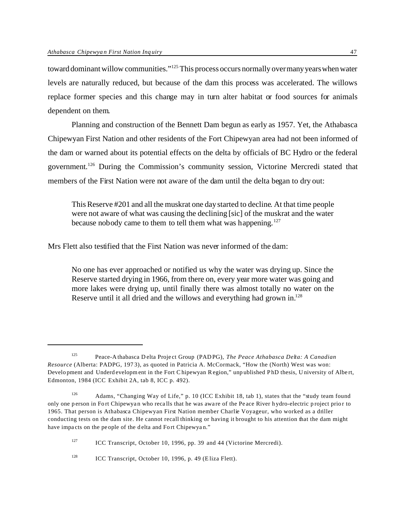toward dominant willow communities."<sup>125</sup> This process occurs normally over many years when water levels are naturally reduced, but because of the dam this process was accelerated. The willows replace former species and this change may in turn alter habitat or food sources for animals dependent on them.

Planning and construction of the Bennett Dam begun as early as 1957. Yet, the Athabasca Chipewyan First Nation and other residents of the Fort Chipewyan area had not been informed of the dam or warned about its potential effects on the delta by officials of BC Hydro or the federal government.<sup>126</sup> During the Commission's community session, Victorine Mercredi stated that members of the First Nation were not aware of the dam until the delta began to dry out:

This Reserve #201 and all the muskrat one day started to decline. At that time people were not aware of what was causing the declining [sic] of the muskrat and the water because nobody came to them to tell them what was happening.<sup>127</sup>

Mrs Flett also testified that the First Nation was never informed of the dam:

No one has ever approached or notified us why the water was drying up. Since the Reserve started drying in 1966, from there on, every year more water was going and more lakes were drying up, until finally there was almost totally no water on the Reserve until it all dried and the willows and everything had grown in.<sup>128</sup>

<sup>125</sup> Peace-A thabasca D elta Project Group (PADPG), *The Peace Athabasca Delta: A Canadian Resource* (Alberta: PADPG, 1973), as quoted in Patricia A. McCormack, "How the (North) West was won: Development and Underd evelopment in the Fort C hipewyan R egion," unp ublished P hD thesis, University of Albert, Edmonton, 1984 (ICC Exhibit 2A, tab 8, ICC p. 492).

<sup>126</sup> Adams, "Changing Way of Life," p. 10 (ICC Exhibit 18, tab 1), states that the "study team found only one person in Fort Chipewyan who recalls that he was aware of the Peace River hydro-electric p roject prior to 1965. That person is Athabasca Chipewyan First Nation member Charlie Voyageur, who worked as a driller conducting tests on the dam site. He cannot recall thinking or having it brought to his attention that the dam might have impacts on the people of the d elta and Fort Chipewyan."

<sup>&</sup>lt;sup>127</sup> ICC Transcript, October 10, 1996, pp. 39 and 44 (Victorine Mercredi).

<sup>128</sup> ICC Transcript, October 10, 1996, p. 49 (Eliza Flett).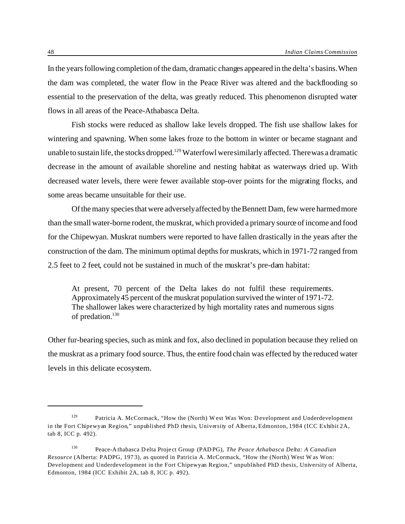In the years following completion of the dam, dramatic changes appeared in the delta's basins. When the dam was completed, the water flow in the Peace River was altered and the backflooding so essential to the preservation of the delta, was greatly reduced. This phenomenon disrupted water flows in all areas of the Peace-Athabasca Delta.

Fish stocks were reduced as shallow lake levels dropped. The fish use shallow lakes for wintering and spawning. When some lakes froze to the bottom in winter or became stagnant and unable to sustain life, the stocks dropped.<sup>129</sup> Waterfowl were similarly affected. There was a dramatic decrease in the amount of available shoreline and nesting habitat as waterways dried up. With decreased water levels, there were fewer available stop-over points for the migrating flocks, and some areas became unsuitable for their use.

Of the many species that were adversely affected by the Bennett Dam, few were harmed more than the small water-borne rodent, the muskrat, which provided a primary source of income and food for the Chipewyan. Muskrat numbers were reported to have fallen drastically in the years after the construction of the dam. The minimum optimal depths for muskrats, which in 1971-72 ranged from 2.5 feet to 2 feet, could not be sustained in much of the muskrat's pre-dam habitat:

At present, 70 percent of the Delta lakes do not fulfil these requirements. Approximately 45 percent of the muskrat population survived the winter of 1971-72. The shallower lakes were characterized by high mortality rates and numerous signs of predation.<sup>130</sup>

Other fur-bearing species, such as mink and fox, also declined in population because they relied on the muskrat as a primary food source. Thus, the entire food chain was effected by the reduced water levels in this delicate ecosystem.

<sup>129</sup> Patricia A. McCormack, "How the (North) W est Was Won: Development and Underdevelopment in the Fort Chipewyan Region," unpublished PhD thesis, University of Alberta, Edmonton, 1984 (ICC Exhibit 2A, tab 8, ICC p. 492).

<sup>130</sup> Peace-A thabasca D elta Project Group (PADPG), *The Peace Athabasca Delta: A Canadian Resource* (Alberta: PADPG, 1973), as quoted in Patricia A. McCormack, "How the (North) West W as Won: Development and Underdevelopment in the Fort Chipewyan Region," unpublished PhD thesis, University of Alberta, Edmonton, 1984 (ICC Exhibit 2A, tab 8, ICC p. 492).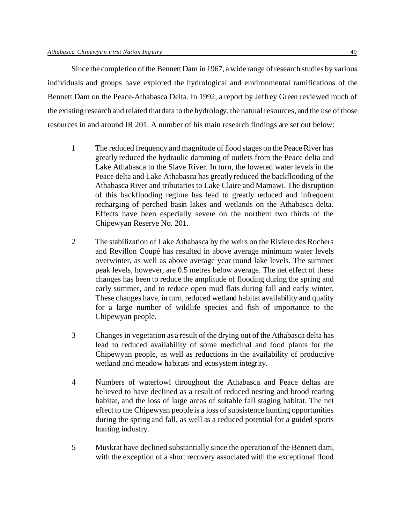Since the completion of the Bennett Dam in 1967, a wide range of research studies by various individuals and groups have explored the hydrological and environmental ramifications of the Bennett Dam on the Peace-Athabasca Delta. In 1992, a report by Jeffrey Green reviewed much of the existing research and related that data to the hydrology, the natural resources, and the use of those resources in and around IR 201. A number of his main research findings are set out below:

- 1 The reduced frequency and magnitude of flood stages on the Peace River has greatly reduced the hydraulic damming of outlets from the Peace delta and Lake Athabasca to the Slave River. In turn, the lowered water levels in the Peace delta and Lake Athabasca has greatly reduced the backflooding of the Athabasca River and tributaries to Lake Claire and Mamawi. The disruption of this backflooding regime has lead to greatly reduced and infrequent recharging of perched basin lakes and wetlands on the Athabasca delta. Effects have been especially severe on the northern two thirds of the Chipewyan Reserve No. 201.
- 2 The stabilization of Lake Athabasca by the weirs on the Riviere des Rochers and Revillon Coupé has resulted in above average minimum water levels overwinter, as well as above average year round lake levels. The summer peak levels, however, are 0.5 metres below average. The net effect of these changes has been to reduce the amplitude of flooding during the spring and early summer, and to reduce open mud flats during fall and early winter. These changes have, in turn, reduced wetland habitat availability and quality for a large number of wildlife species and fish of importance to the Chipewyan people.
- 3 Changes in vegetation as a result of the drying out of the Athabasca delta has lead to reduced availability of some medicinal and food plants for the Chipewyan people, as well as reductions in the availability of productive wetland and meadow habitats and ecosystem integrity.
- 4 Numbers of waterfowl throughout the Athabasca and Peace deltas are believed to have declined as a result of reduced nesting and brood rearing habitat, and the loss of large areas of suitable fall staging habitat. The net effect to the Chipewyan people is a loss of subsistence hunting opportunities during the spring and fall, as well as a reduced potential for a guided sports hunting industry.
- 5 Muskrat have declined substantially since the operation of the Bennett dam, with the exception of a short recovery associated with the exceptional flood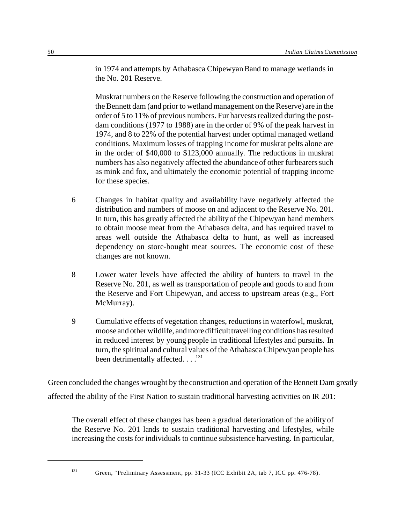in 1974 and attempts by Athabasca Chipewyan Band to manage wetlands in the No. 201 Reserve.

Muskrat numbers on the Reserve following the construction and operation of the Bennett dam (and prior to wetland management on the Reserve) are in the order of 5 to 11% of previous numbers. Fur harvests realized during the postdam conditions (1977 to 1988) are in the order of 9% of the peak harvest in 1974, and 8 to 22% of the potential harvest under optimal managed wetland conditions. Maximum losses of trapping income for muskrat pelts alone are in the order of \$40,000 to \$123,000 annually. The reductions in muskrat numbers has also negatively affected the abundance of other furbearers such as mink and fox, and ultimately the economic potential of trapping income for these species.

- 6 Changes in habitat quality and availability have negatively affected the distribution and numbers of moose on and adjacent to the Reserve No. 201. In turn, this has greatly affected the ability of the Chipewyan band members to obtain moose meat from the Athabasca delta, and has required travel to areas well outside the Athabasca delta to hunt, as well as increased dependency on store-bought meat sources. The economic cost of these changes are not known.
- 8 Lower water levels have affected the ability of hunters to travel in the Reserve No. 201, as well as transportation of people and goods to and from the Reserve and Fort Chipewyan, and access to upstream areas (e.g., Fort McMurray).
- 9 Cumulative effects of vegetation changes, reductions in waterfowl, muskrat, moose and other wildlife, and more difficulttravelling conditions has resulted in reduced interest by young people in traditional lifestyles and pursuits. In turn, the spiritual and cultural values of the Athabasca Chipewyan people has been detrimentally affected.  $\dots$ <sup>131</sup>

Green concluded the changes wrought by the construction and operation of the Bennett Dam greatly affected the ability of the First Nation to sustain traditional harvesting activities on IR 201:

The overall effect of these changes has been a gradual deterioration of the ability of the Reserve No. 201 lands to sustain traditional harvesting and lifestyles, while increasing the costs for individuals to continue subsistence harvesting. In particular,

<sup>131</sup> Green, "Preliminary Assessment, pp. 31-33 (ICC Exhibit 2A, tab 7, ICC pp. 476-78).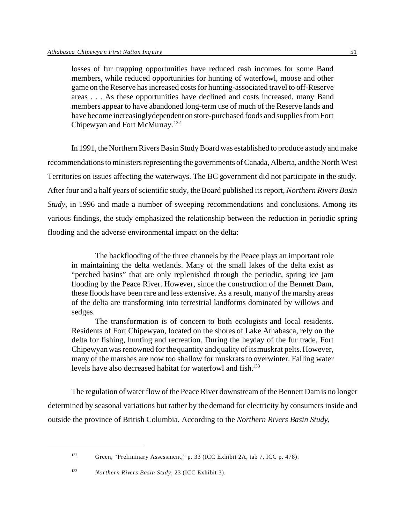losses of fur trapping opportunities have reduced cash incomes for some Band members, while reduced opportunities for hunting of waterfowl, moose and other game on the Reserve has increased costs for hunting-associated travel to off-Reserve areas . . . As these opportunities have declined and costs increased, many Band members appear to have abandoned long-term use of much of the Reserve lands and have become increasinglydependent on store-purchased foods and supplies from Fort Chipewyan and Fort McMurray. <sup>132</sup>

In 1991, the Northern Rivers Basin Study Board was established to produce a study and make recommendations to ministers representing the governments of Canada, Alberta, and the North West Territories on issues affecting the waterways. The BC government did not participate in the study. After four and a half years of scientific study, the Board published its report, *Northern Rivers Basin Study*, in 1996 and made a number of sweeping recommendations and conclusions. Among its various findings, the study emphasized the relationship between the reduction in periodic spring flooding and the adverse environmental impact on the delta:

The backflooding of the three channels by the Peace plays an important role in maintaining the delta wetlands. Many of the small lakes of the delta exist as "perched basins" that are only replenished through the periodic, spring ice jam flooding by the Peace River. However, since the construction of the Bennett Dam, these floods have been rare and less extensive. As a result, many of the marshy areas of the delta are transforming into terrestrial landforms dominated by willows and sedges.

The transformation is of concern to both ecologists and local residents. Residents of Fort Chipewyan, located on the shores of Lake Athabasca, rely on the delta for fishing, hunting and recreation. During the heyday of the fur trade, Fort Chipewyan was renowned for the quantity and quality of its muskrat pelts. However, many of the marshes are now too shallow for muskrats to overwinter. Falling water levels have also decreased habitat for waterfowl and fish.<sup>133</sup>

The regulation of water flow of the Peace River downstream of the Bennett Dam is no longer determined by seasonal variations but rather by the demand for electricity by consumers inside and outside the province of British Columbia. According to the *Northern Rivers Basin Study*,

<sup>132</sup> Green, "Preliminary Assessment," p. 33 (ICC Exhibit 2A, tab 7, ICC p. 478).

<sup>133</sup> *Northern Rivers Basin Study*, 23 (ICC Exhibit 3).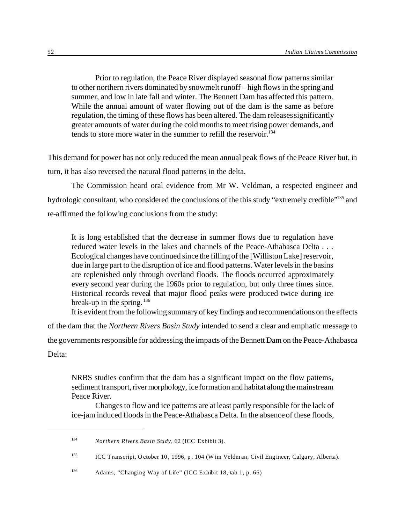Prior to regulation, the Peace River displayed seasonal flow patterns similar to other northern rivers dominated by snowmelt runoff – high flows in the spring and summer, and low in late fall and winter. The Bennett Dam has affected this pattern. While the annual amount of water flowing out of the dam is the same as before regulation, the timing of these flows has been altered. The dam releases significantly greater amounts of water during the cold months to meet rising power demands, and tends to store more water in the summer to refill the reservoir.<sup>134</sup>

This demand for power has not only reduced the mean annual peak flows of the Peace River but, in turn, it has also reversed the natural flood patterns in the delta.

The Commission heard oral evidence from Mr W. Veldman, a respected engineer and hydrologic consultant, who considered the conclusions of the this study "extremely credible"<sup>135</sup> and re-affirmed the following conclusions from the study:

It is long established that the decrease in summer flows due to regulation have reduced water levels in the lakes and channels of the Peace-Athabasca Delta . . . Ecological changes have continued since the filling of the [Williston Lake] reservoir, due in large part to the disruption of ice and flood patterns. Water levels in the basins are replenished only through overland floods. The floods occurred approximately every second year during the 1960s prior to regulation, but only three times since. Historical records reveal that major flood peaks were produced twice during ice break-up in the spring.  $136$ 

It is evident from the following summary of key findings and recommendations on the effects

of the dam that the *Northern Rivers Basin Study* intended to send a clear and emphatic message to

the governments responsible for addressing the impacts of the Bennett Dam on the Peace-Athabasca Delta:

NRBS studies confirm that the dam has a significant impact on the flow patterns, sediment transport, river morphology, ice formation and habitat along the mainstream Peace River.

Changes to flow and ice patterns are at least partly responsible for the lack of ice-jam induced floods in the Peace-Athabasca Delta. In the absence of these floods,

<sup>134</sup> *Northern Rivers Basin Study*, 62 (ICC Exhibit 3).

<sup>135</sup> ICC Transcript, October 10 , 1996, p. 104 (W im Veldm an, Civil Engineer, Calgary, Alberta).

<sup>136</sup> Adams, "Changing Way of Life" (ICC Exhibit 18, tab 1, p. 66)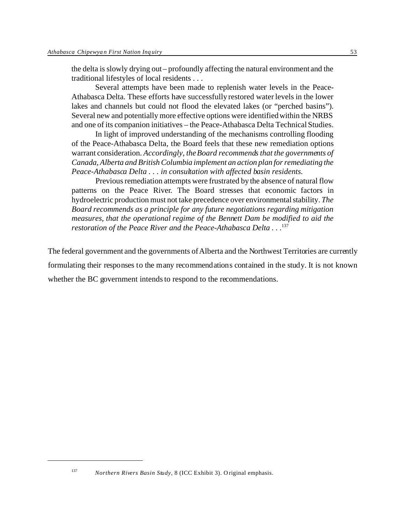the delta is slowly drying out – profoundly affecting the natural environment and the traditional lifestyles of local residents . . .

Several attempts have been made to replenish water levels in the Peace-Athabasca Delta. These efforts have successfully restored water levels in the lower lakes and channels but could not flood the elevated lakes (or "perched basins"). Several new and potentially more effective options were identified within the NRBS and one of its companion initiatives – the Peace-Athabasca Delta Technical Studies.

In light of improved understanding of the mechanisms controlling flooding of the Peace-Athabasca Delta, the Board feels that these new remediation options warrant consideration. *Accordingly, the Board recommends that the governments of Canada, Alberta and British Columbia implement an action plan for remediating the Peace-Athabasca Delta . . . in consultation with affected basin residents.*

Previous remediation attempts were frustrated by the absence of natural flow patterns on the Peace River. The Board stresses that economic factors in hydroelectric production must not take precedence over environmental stability. *The Board recommends as a principle for any future negotiations regarding mitigation measures, that the operational regime of the Bennett Dam be modified to aid the restoration of the Peace River and the Peace-Athabasca Delta* . . . 137

The federal government and the governments of Alberta and the Northwest Territories are currently formulating their responses to the many recommendations contained in the study. It is not known whether the BC government intends to respond to the recommendations.

<sup>137</sup> *Northern Rivers Basin Study*, 8 (ICC Exhibit 3). Original emphasis.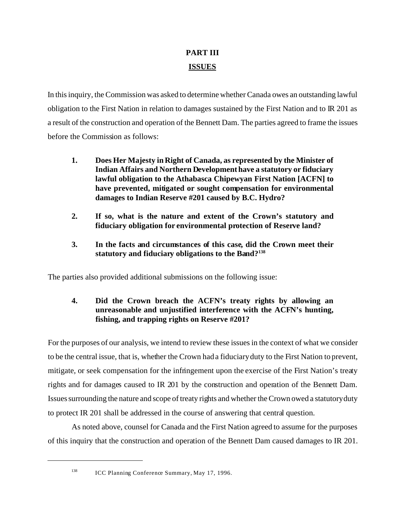# **PART III ISSUES**

In this inquiry, the Commission was asked to determine whether Canada owes an outstanding lawful obligation to the First Nation in relation to damages sustained by the First Nation and to IR 201 as a result of the construction and operation of the Bennett Dam. The parties agreed to frame the issues before the Commission as follows:

- **1. Does Her Majesty in Right of Canada, as represented by the Minister of Indian Affairs and Northern Development have a statutory or fiduciary lawful obligation to the Athabasca Chipewyan First Nation [ACFN] to have prevented, mitigated or sought compensation for environmental damages to Indian Reserve #201 caused by B.C. Hydro?**
- **2. If so, what is the nature and extent of the Crown's statutory and fiduciary obligation for environmental protection of Reserve land?**
- **3. In the facts and circumstances of this case, did the Crown meet their statutory and fiduciary obligations to the Band?<sup>138</sup>**

The parties also provided additional submissions on the following issue:

# **4. Did the Crown breach the ACFN's treaty rights by allowing an unreasonable and unjustified interference with the ACFN's hunting, fishing, and trapping rights on Reserve #201?**

For the purposes of our analysis, we intend to review these issues in the context of what we consider to be the central issue, that is, whether the Crown had a fiduciary duty to the First Nation to prevent, mitigate, or seek compensation for the infringement upon the exercise of the First Nation's treaty rights and for damages caused to IR 201 by the construction and operation of the Bennett Dam. Issues surrounding the nature and scope of treaty rights and whether the Crown owed a statutory duty to protect IR 201 shall be addressed in the course of answering that central question.

As noted above, counsel for Canada and the First Nation agreed to assume for the purposes of this inquiry that the construction and operation of the Bennett Dam caused damages to IR 201.

<sup>&</sup>lt;sup>138</sup> ICC Planning Conference Summary, May 17, 1996.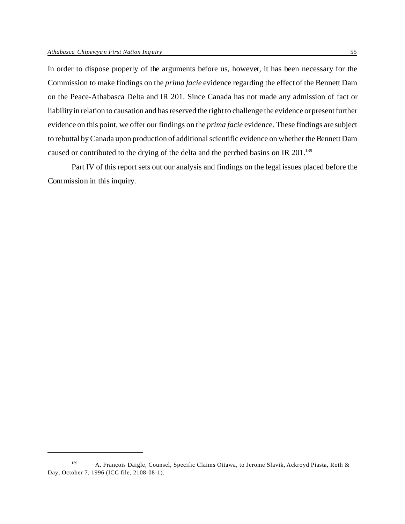In order to dispose properly of the arguments before us, however, it has been necessary for the Commission to make findings on the *prima facie* evidence regarding the effect of the Bennett Dam on the Peace-Athabasca Delta and IR 201. Since Canada has not made any admission of fact or liability in relation to causation and has reserved the right to challenge the evidence or present further evidence on this point, we offer our findings on the *prima facie* evidence. These findings are subject to rebuttal by Canada upon production of additional scientific evidence on whether the Bennett Dam caused or contributed to the drying of the delta and the perched basins on IR 201.<sup>139</sup>

Part IV of this report sets out our analysis and findings on the legal issues placed before the Commission in this inquiry.

<sup>139</sup> A. François Daigle, Counsel, Specific Claims Ottawa, to Jerome Slavik, Ackroyd Piasta, Roth & Day, October 7, 1996 (ICC file, 2108-08-1).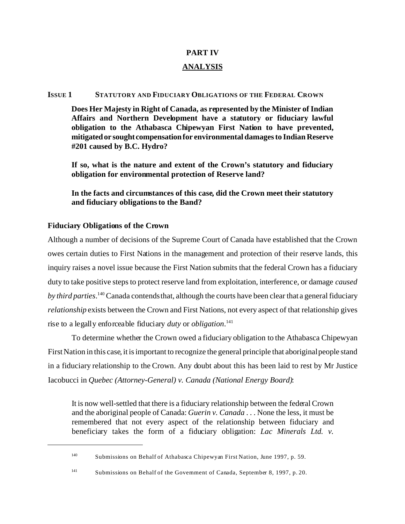# **PART IV**

# **ANALYSIS**

# **ISSUE 1 STATUTORY AND FIDUCIARY OBLIGATIONS OF THE FEDERAL CROWN**

**Does Her Majesty in Right of Canada, as represented by the Minister of Indian Affairs and Northern Development have a statutory or fiduciary lawful obligation to the Athabasca Chipewyan First Nation to have prevented, mitigatedor sought compensation for environmental damages to Indian Reserve #201 caused by B.C. Hydro?**

**If so, what is the nature and extent of the Crown's statutory and fiduciary obligation for environmental protection of Reserve land?**

**In the facts and circumstances of this case, did the Crown meet their statutory and fiduciary obligations to the Band?**

# **Fiduciary Obligations of the Crown**

Although a number of decisions of the Supreme Court of Canada have established that the Crown owes certain duties to First Nations in the management and protection of their reserve lands, this inquiry raises a novel issue because the First Nation submits that the federal Crown has a fiduciary duty to take positive steps to protect reserve land from exploitation, interference, or damage *caused by third parties*. <sup>140</sup> Canada contends that, although the courts have been clear that a general fiduciary *relationship* exists between the Crown and First Nations, not every aspect of that relationship gives rise to a legally enforceable fiduciary *duty* or *obligation*. 141

To determine whether the Crown owed a fiduciary obligation to the Athabasca Chipewyan First Nation in this case, it is important to recognize the general principle that aboriginal people stand in a fiduciary relationship to the Crown. Any doubt about this has been laid to rest by Mr Justice Iacobucci in *Quebec (Attorney-General) v. Canada (National Energy Board)*:

It is now well-settled that there is a fiduciary relationship between the federal Crown and the aboriginal people of Canada: *Guerin v. Canada* . . . None the less, it must be remembered that not every aspect of the relationship between fiduciary and beneficiary takes the form of a fiduciary obligation: *Lac Minerals Ltd. v.*

<sup>140</sup> Submissions on Behalf of Athabasca Chipewyan First Nation, June 1997, p. 59.

<sup>141</sup> Submissions on Behalf of the Government of Canada, September 8, 1997, p. 20.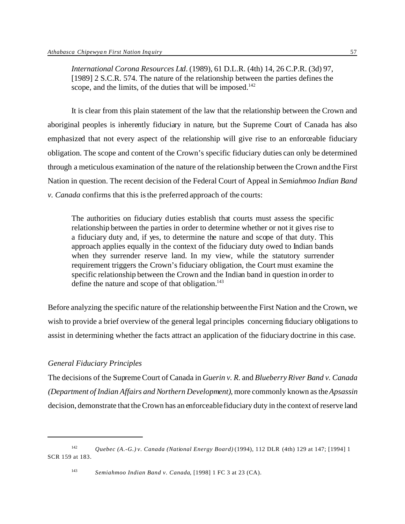*International Corona Resources Ltd*. (1989), 61 D.L.R. (4th) 14, 26 C.P.R. (3d) 97, [1989] 2 S.C.R. 574. The nature of the relationship between the parties defines the scope, and the limits, of the duties that will be imposed.<sup>142</sup>

It is clear from this plain statement of the law that the relationship between the Crown and aboriginal peoples is inherently fiduciary in nature, but the Supreme Court of Canada has also emphasized that not every aspect of the relationship will give rise to an enforceable fiduciary obligation. The scope and content of the Crown's specific fiduciary duties can only be determined through a meticulous examination of the nature of the relationship between the Crown and the First Nation in question. The recent decision of the Federal Court of Appeal in *Semiahmoo Indian Band v. Canada* confirms that this is the preferred approach of the courts:

The authorities on fiduciary duties establish that courts must assess the specific relationship between the parties in order to determine whether or not it gives rise to a fiduciary duty and, if yes, to determine the nature and scope of that duty. This approach applies equally in the context of the fiduciary duty owed to Indian bands when they surrender reserve land. In my view, while the statutory surrender requirement triggers the Crown's fiduciary obligation, the Court must examine the specific relationship between the Crown and the Indian band in question in order to define the nature and scope of that obligation. $143$ 

Before analyzing the specific nature of the relationship between the First Nation and the Crown, we wish to provide a brief overview of the general legal principles concerning fiduciary obligations to assist in determining whether the facts attract an application of the fiduciary doctrine in this case.

# *General Fiduciary Principles*

The decisions of the Supreme Court of Canada in *Guerin v. R.* and *Blueberry River Band v. Canada (Department of Indian Affairs and Northern Development)*, more commonly known as the *Apsassin* decision, demonstrate that the Crown has an enforceable fiduciary duty in the context of reserve land

<sup>142</sup> *Quebec (A.-G.) v. Canada (National Energy Board)* (1994), 112 DLR (4th) 129 at 147; [1994] 1 SCR 159 at 183.

<sup>143</sup> *Semiahmoo Indian Band v. Canada*, [1998] 1 FC 3 at 23 (CA).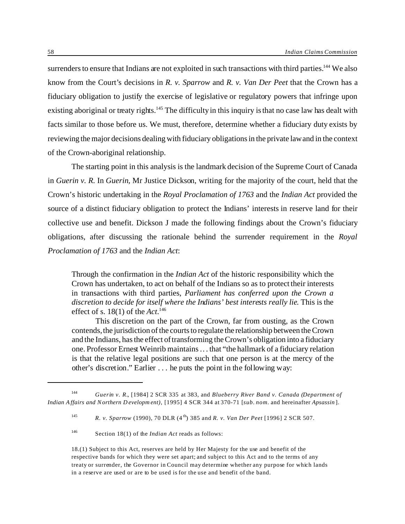surrenders to ensure that Indians are not exploited in such transactions with third parties.<sup>144</sup> We also know from the Court's decisions in *R. v. Sparrow* and *R. v. Van Der Peet* that the Crown has a fiduciary obligation to justify the exercise of legislative or regulatory powers that infringe upon existing aboriginal or treaty rights.<sup>145</sup> The difficulty in this inquiry is that no case law has dealt with facts similar to those before us. We must, therefore, determine whether a fiduciary duty exists by reviewing the major decisions dealing with fiduciary obligations in the private law and in the context of the Crown-aboriginal relationship.

The starting point in this analysis is the landmark decision of the Supreme Court of Canada in *Guerin v. R.* In *Guerin*, Mr Justice Dickson, writing for the majority of the court, held that the Crown's historic undertaking in the *Royal Proclamation of 1763* and the *Indian Act* provided the source of a distinct fiduciary obligation to protect the Indians' interests in reserve land for their collective use and benefit. Dickson J made the following findings about the Crown's fiduciary obligations, after discussing the rationale behind the surrender requirement in the *Royal Proclamation of 1763* and the *Indian Act*:

Through the confirmation in the *Indian Act* of the historic responsibility which the Crown has undertaken, to act on behalf of the Indians so as to protect their interests in transactions with third parties, *Parliament has conferred upon the Crown a discretion to decide for itself where the Indians' best interests really lie*. This is the effect of s. 18(1) of the *Act*. 146

This discretion on the part of the Crown, far from ousting, as the Crown contends, the jurisdiction of the courts to regulate the relationship between the Crown and the Indians, has the effect of transforming the Crown's obligation into a fiduciary one. Professor Ernest Weinrib maintains . . . that "the hallmark of a fiduciary relation is that the relative legal positions are such that one person is at the mercy of the other's discretion." Earlier . . . he puts the point in the following way:

<sup>144</sup> *Guerin v. R.*, [1984] 2 SCR 335 at 383, and *Blueberry River Band v. Canada (Department of Indian A ffairs and N orthern D evelopm ent)*, [1995] 4 SCR 344 at 370-71 [*sub. nom.* and hereinafter *Apsassin* ].

<sup>145</sup> *R. v. Sparrow* (1990), 70 DLR (4 th) 385 and *R. v. Van Der Peet* [1996] 2 SCR 507.

<sup>146</sup> Section 18(1) of the *Indian Act* reads as follows:

<sup>18.(1)</sup> Subject to this Act, reserves are held by Her Majesty for the use and benefit of the respective bands for which they were set apart; and subject to this Act and to the terms of any treaty or surrender, the Governor in Council may determine whether any purpose for which lands in a reserve are used or are to be used is for the use and benefit of the band.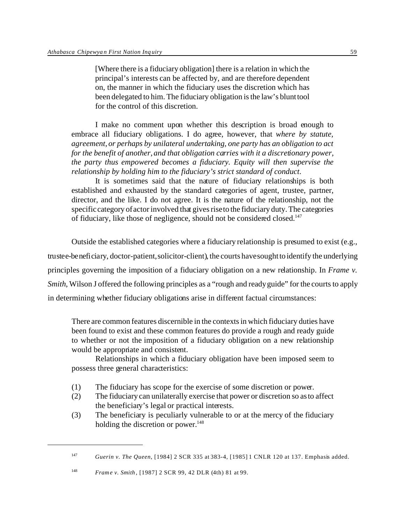[Where there is a fiduciary obligation] there is a relation in which the principal's interests can be affected by, and are therefore dependent on, the manner in which the fiduciary uses the discretion which has been delegated to him. The fiduciary obligation is the law's blunt tool for the control of this discretion.

I make no comment upon whether this description is broad enough to embrace all fiduciary obligations. I do agree, however, that *where by statute, agreement, or perhaps by unilateral undertaking, one party has an obligation to act for the benefit of another, and that obligation carries with it a discretionary power, the party thus empowered becomes a fiduciary. Equity will then supervise the relationship by holding him to the fiduciary's strict standard of conduct*.

It is sometimes said that the nature of fiduciary relationships is both established and exhausted by the standard categories of agent, trustee, partner, director, and the like. I do not agree. It is the nature of the relationship, not the specific category of actor involved that gives rise to the fiduciary duty. The categories of fiduciary, like those of negligence, should not be considered closed.<sup>147</sup>

Outside the established categories where a fiduciary relationship is presumed to exist (e.g., trustee-beneficiary, doctor-patient, solicitor-client), the courts have sought to identify the underlying principles governing the imposition of a fiduciary obligation on a new relationship. In *Frame v. Smith*, Wilson J offered the following principles as a "rough and ready guide" for the courts to apply in determining whether fiduciary obligations arise in different factual circumstances:

There are common features discernible in the contexts in which fiduciary duties have been found to exist and these common features do provide a rough and ready guide to whether or not the imposition of a fiduciary obligation on a new relationship would be appropriate and consistent.

Relationships in which a fiduciary obligation have been imposed seem to possess three general characteristics:

- (1) The fiduciary has scope for the exercise of some discretion or power.
- (2) The fiduciary can unilaterally exercise that power or discretion so as to affect the beneficiary's legal or practical interests.
- (3) The beneficiary is peculiarly vulnerable to or at the mercy of the fiduciary holding the discretion or power. $148$

<sup>147</sup> *Guerin v. The Queen*, [1984] 2 SCR 335 at 383-4, [1985] 1 CNLR 120 at 137. Emphasis added.

<sup>148</sup> *Frame v. Smith* , [1987] 2 SCR 99, 42 DLR (4th) 81 at 99.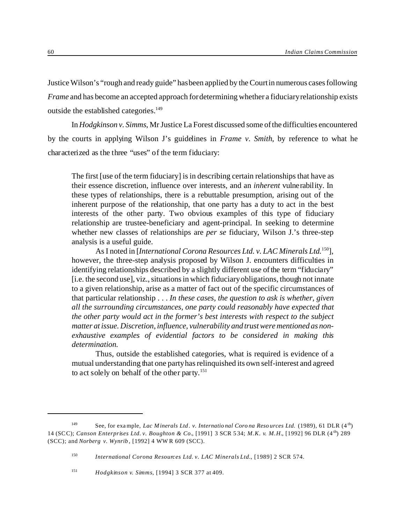Justice Wilson's "rough and ready guide" has been applied by the Court in numerous cases following *Frame* and has become an accepted approach for determining whether a fiduciary relationship exists outside the established categories.<sup>149</sup>

In *Hodgkinson v. Simms*, Mr Justice La Forest discussed some of the difficulties encountered by the courts in applying Wilson J's guidelines in *Frame v. Smith*, by reference to what he characterized as the three "uses" of the term fiduciary:

The first [use of the term fiduciary] is in describing certain relationships that have as their essence discretion, influence over interests, and an *inherent* vulnerability. In these types of relationships, there is a rebuttable presumption, arising out of the inherent purpose of the relationship, that one party has a duty to act in the best interests of the other party. Two obvious examples of this type of fiduciary relationship are trustee-beneficiary and agent-principal. In seeking to determine whether new classes of relationships are *per se* fiduciary, Wilson J.'s three-step analysis is a useful guide.

As I noted in [*International Corona Resources Ltd. v. LAC Minerals Ltd.*<sup>150</sup>], however, the three-step analysis proposed by Wilson J. encounters difficulties in identifying relationships described by a slightly different use of the term "fiduciary" [i.e. the second use], viz., situations in which fiduciary obligations, though not innate to a given relationship, arise as a matter of fact out of the specific circumstances of that particular relationship . . . *In these cases, the question to ask is whether, given all the surrounding circumstances, one party could reasonably have expected that the other party would act in the former's best interests with respect to the subject matter at issue. Discretion, influence, vulnerability and trust were mentioned as nonexhaustive examples of evidential factors to be considered in making this determination.*

Thus, outside the established categories, what is required is evidence of a mutual understanding that one party has relinquished its own self-interest and agreed to act solely on behalf of the other party.151

<sup>&</sup>lt;sup>149</sup> See, for example, *Lac Minerals Ltd. v. International Corona Resources Ltd.* (1989), 61 DLR (4<sup>th</sup>) 14 (SCC); *Canson Enterprises Ltd. v. Boughton & Co.*, [1991] 3 SCR 5 34; *M.K. v. M.H.*, [1992] 96 DLR (4 th) 289 (SCC); and *Norberg v. Wynrib* , [1992] 4 WW R 609 (SCC).

<sup>150</sup> *International Corona Resources Ltd. v. LAC Minerals Ltd.*, [1989] 2 SCR 574.

<sup>151</sup> *Hodgkinson v. Simms*, [1994] 3 SCR 377 at 409.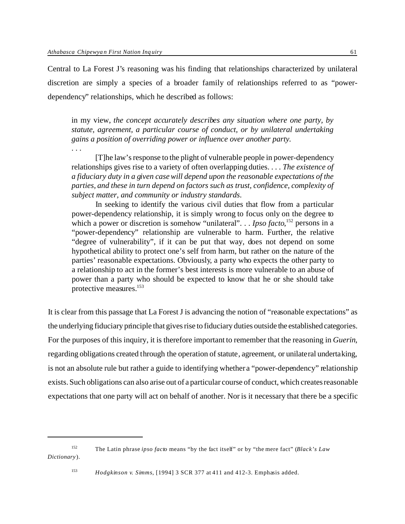Central to La Forest J's reasoning was his finding that relationships characterized by unilateral discretion are simply a species of a broader family of relationships referred to as "powerdependency" relationships, which he described as follows:

in my view, *the concept accurately describes any situation where one party, by statute, agreement, a particular course of conduct, or by unilateral undertaking gains a position of overriding power or influence over another party.*

. . .

[T]he law's response to the plight of vulnerable people in power-dependency relationships gives rise to a variety of often overlapping duties. . . . *The existence of a fiduciary duty in a given case will depend upon the reasonable expectations of the parties, and these in turn depend on factors such as trust, confidence, complexity of subject matter, and community or industry standards*.

In seeking to identify the various civil duties that flow from a particular power-dependency relationship, it is simply wrong to focus only on the degree to which a power or discretion is somehow "unilateral". . . *Ipso facto*,<sup>152</sup> persons in a "power-dependency" relationship are vulnerable to harm. Further, the relative "degree of vulnerability", if it can be put that way, does not depend on some hypothetical ability to protect one's self from harm, but rather on the nature of the parties' reasonable expectations. Obviously, a party who expects the other party to a relationship to act in the former's best interests is more vulnerable to an abuse of power than a party who should be expected to know that he or she should take protective measures.<sup>153</sup>

It is clear from this passage that La Forest J is advancing the notion of "reasonable expectations" as the underlying fiduciary principle that gives rise to fiduciary duties outside the established categories. For the purposes of this inquiry, it is therefore important to remember that the reasoning in *Guerin*, regarding obligations created through the operation of statute, agreement, or unilateral undertaking, is not an absolute rule but rather a guide to identifying whether a "power-dependency" relationship exists. Such obligations can also arise out of a particular course of conduct, which creates reasonable expectations that one party will act on behalf of another. Nor is it necessary that there be a specific

<sup>152</sup> The Latin phrase *ipso facto* means "by the fact itself" or by "the mere fact" (*Black's Law Dictionary* ).

<sup>153</sup> *Hodgkinson v. Simms*, [1994] 3 SCR 377 at 411 and 412-3. Emphasis added.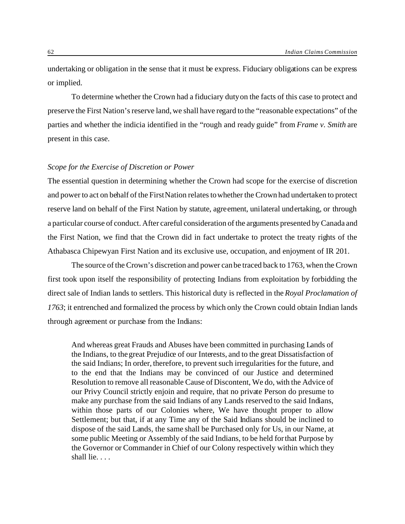undertaking or obligation in the sense that it must be express. Fiduciary obligations can be express or implied.

To determine whether the Crown had a fiduciary duty on the facts of this case to protect and preserve the First Nation's reserve land, we shall have regard to the "reasonable expectations" of the parties and whether the indicia identified in the "rough and ready guide" from *Frame v. Smith* are present in this case.

# *Scope for the Exercise of Discretion or Power*

The essential question in determining whether the Crown had scope for the exercise of discretion and power to act on behalf of the First Nation relates to whether the Crown had undertaken to protect reserve land on behalf of the First Nation by statute, agreement, unilateral undertaking, or through a particular course of conduct. After careful consideration of the arguments presented by Canada and the First Nation, we find that the Crown did in fact undertake to protect the treaty rights of the Athabasca Chipewyan First Nation and its exclusive use, occupation, and enjoyment of IR 201.

The source of the Crown's discretion and power can be traced back to 1763, when the Crown first took upon itself the responsibility of protecting Indians from exploitation by forbidding the direct sale of Indian lands to settlers. This historical duty is reflected in the *Royal Proclamation of 1763*; it entrenched and formalized the process by which only the Crown could obtain Indian lands through agreement or purchase from the Indians:

And whereas great Frauds and Abuses have been committed in purchasing Lands of the Indians, to the great Prejudice of our Interests, and to the great Dissatisfaction of the said Indians; In order, therefore, to prevent such irregularities for the future, and to the end that the Indians may be convinced of our Justice and determined Resolution to remove all reasonable Cause of Discontent, We do, with the Advice of our Privy Council strictly enjoin and require, that no private Person do presume to make any purchase from the said Indians of any Lands reserved to the said Indians, within those parts of our Colonies where, We have thought proper to allow Settlement; but that, if at any Time any of the Said Indians should be inclined to dispose of the said Lands, the same shall be Purchased only for Us, in our Name, at some public Meeting or Assembly of the said Indians, to be held for that Purpose by the Governor or Commander in Chief of our Colony respectively within which they shall lie. . . .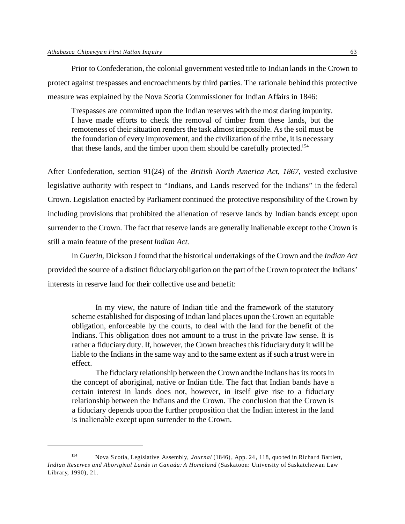Prior to Confederation, the colonial government vested title to Indian lands in the Crown to protect against trespasses and encroachments by third parties. The rationale behind this protective measure was explained by the Nova Scotia Commissioner for Indian Affairs in 1846:

Trespasses are committed upon the Indian reserves with the most daring impunity. I have made efforts to check the removal of timber from these lands, but the remoteness of their situation renders the task almost impossible. As the soil must be the foundation of every improvement, and the civilization of the tribe, it is necessary that these lands, and the timber upon them should be carefully protected.<sup>154</sup>

After Confederation, section 91(24) of the *British North America Act, 1867*, vested exclusive legislative authority with respect to "Indians, and Lands reserved for the Indians" in the federal Crown. Legislation enacted by Parliament continued the protective responsibility of the Crown by including provisions that prohibited the alienation of reserve lands by Indian bands except upon surrender to the Crown. The fact that reserve lands are generally inalienable except to the Crown is still a main feature of the present *Indian Act*.

In *Guerin*, Dickson J found that the historical undertakings of the Crown and the *Indian Act* provided the source of a distinct fiduciary obligation on the part of the Crown to protect the Indians' interests in reserve land for their collective use and benefit:

In my view, the nature of Indian title and the framework of the statutory scheme established for disposing of Indian land places upon the Crown an equitable obligation, enforceable by the courts, to deal with the land for the benefit of the Indians. This obligation does not amount to a trust in the private law sense. It is rather a fiduciary duty. If, however, the Crown breaches this fiduciary duty it will be liable to the Indians in the same way and to the same extent as if such a trust were in effect.

The fiduciary relationship between the Crown and the Indians has its roots in the concept of aboriginal, native or Indian title. The fact that Indian bands have a certain interest in lands does not, however, in itself give rise to a fiduciary relationship between the Indians and the Crown. The conclusion that the Crown is a fiduciary depends upon the further proposition that the Indian interest in the land is inalienable except upon surrender to the Crown.

<sup>154</sup> Nova Scotia, Legislative Assembly, *Journal* (1846), App. 24 , 118, quo ted in Richard Bartlett, *Indian Reserves and Aboriginal Lands in Canada: A Homeland* (Saskatoon: University of Saskatchewan Law Library, 1990), 21.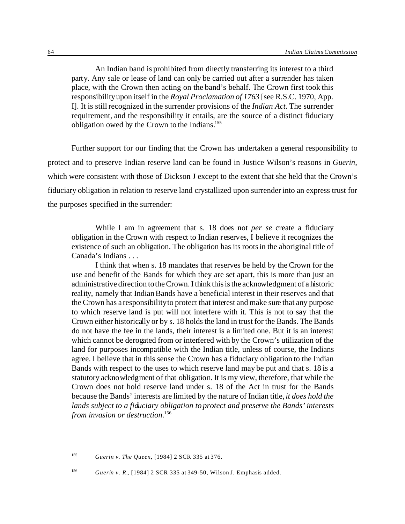An Indian band is prohibited from directly transferring its interest to a third party. Any sale or lease of land can only be carried out after a surrender has taken place, with the Crown then acting on the band's behalf. The Crown first took this responsibility upon itself in the *Royal Proclamation of 1763* [see R.S.C. 1970, App. I]. It is still recognized in the surrender provisions of the *Indian Act.* The surrender requirement, and the responsibility it entails, are the source of a distinct fiduciary obligation owed by the Crown to the Indians.<sup>155</sup>

Further support for our finding that the Crown has undertaken a general responsibility to protect and to preserve Indian reserve land can be found in Justice Wilson's reasons in *Guerin,* which were consistent with those of Dickson J except to the extent that she held that the Crown's fiduciary obligation in relation to reserve land crystallized upon surrender into an express trust for the purposes specified in the surrender:

While I am in agreement that s. 18 does not *per se* create a fiduciary obligation in the Crown with respect to Indian reserves, I believe it recognizes the existence of such an obligation. The obligation has its roots in the aboriginal title of Canada's Indians . . .

I think that when s. 18 mandates that reserves be held by the Crown for the use and benefit of the Bands for which they are set apart, this is more than just an administrative direction to the Crown. I think this is the acknowledgment of a historic reality, namely that Indian Bands have a beneficial interest in their reserves and that the Crown has a responsibility to protect that interest and make sure that any purpose to which reserve land is put will not interfere with it. This is not to say that the Crown either historically or by s. 18 holds the land in trust for the Bands. The Bands do not have the fee in the lands, their interest is a limited one. But it is an interest which cannot be derogated from or interfered with by the Crown's utilization of the land for purposes incompatible with the Indian title, unless of course, the Indians agree. I believe that in this sense the Crown has a fiduciary obligation to the Indian Bands with respect to the uses to which reserve land may be put and that s. 18 is a statutory acknowledgment of that obligation. It is my view, therefore, that while the Crown does not hold reserve land under s. 18 of the Act in trust for the Bands because the Bands' interests are limited by the nature of Indian title, *it does hold the lands subject to a fiduciary obligation to protect and preserve the Bands' interests from invasion or destruction*. 156

<sup>155</sup> *Guerin v. The Queen*, [1984] 2 SCR 335 at 376.

<sup>156</sup> *Guerin v. R.*, [1984] 2 SCR 335 at 349-50, Wilson J. Emphasis added.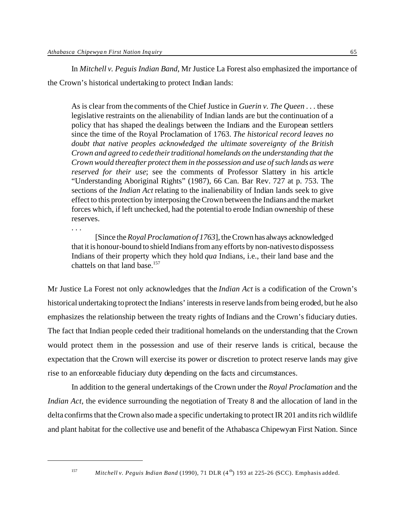In *Mitchell v. Peguis Indian Band*, Mr Justice La Forest also emphasized the importance of the Crown's historical undertaking to protect Indian lands:

As is clear from the comments of the Chief Justice in *Guerin v. The Queen* . . . these legislative restraints on the alienability of Indian lands are but the continuation of a policy that has shaped the dealings between the Indians and the European settlers since the time of the Royal Proclamation of 1763. *The historical record leaves no doubt that native peoples acknowledged the ultimate sovereignty of the British Crown and agreed to cede their traditional homelands on the understanding that the Crown would thereafter protect them in the possession and use of such lands as were reserved for their use*; see the comments of Professor Slattery in his article "Understanding Aboriginal Rights" (1987), 66 Can. Bar Rev. 727 at p. 753. The sections of the *Indian Act* relating to the inalienability of Indian lands seek to give effect to this protection by interposing the Crown between the Indians and the market forces which, if left unchecked, had the potential to erode Indian ownership of these reserves.

[Since the *Royal Proclamation of 1763*], the Crown has always acknowledged that it is honour-bound to shield Indians from any efforts by non-natives to dispossess Indians of their property which they hold *qua* Indians, i.e., their land base and the chattels on that land base.<sup>157</sup>

Mr Justice La Forest not only acknowledges that the *Indian Act* is a codification of the Crown's historical undertaking to protect the Indians' interests in reserve lands from being eroded, but he also emphasizes the relationship between the treaty rights of Indians and the Crown's fiduciary duties. The fact that Indian people ceded their traditional homelands on the understanding that the Crown would protect them in the possession and use of their reserve lands is critical, because the expectation that the Crown will exercise its power or discretion to protect reserve lands may give rise to an enforceable fiduciary duty depending on the facts and circumstances.

In addition to the general undertakings of the Crown under the *Royal Proclamation* and the *Indian Act*, the evidence surrounding the negotiation of Treaty 8 and the allocation of land in the delta confirms that the Crown also made a specific undertaking to protect IR 201 and its rich wildlife and plant habitat for the collective use and benefit of the Athabasca Chipewyan First Nation. Since

. . .

<sup>&</sup>lt;sup>157</sup> *Mitchell v. Peguis Indian Band* (1990), 71 DLR (4<sup>th</sup>) 193 at 225-26 (SCC). Emphasis added.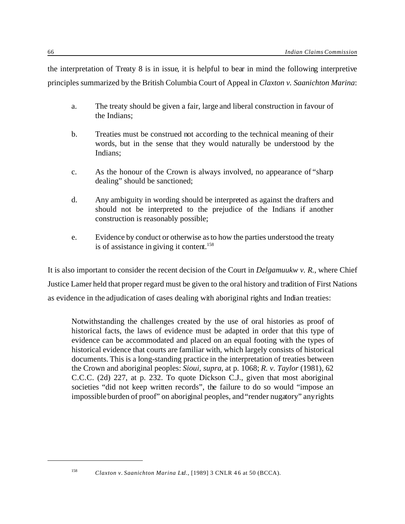the interpretation of Treaty 8 is in issue, it is helpful to bear in mind the following interpretive principles summarized by the British Columbia Court of Appeal in *Claxton v. Saanichton Marina*:

- a. The treaty should be given a fair, large and liberal construction in favour of the Indians;
- b. Treaties must be construed not according to the technical meaning of their words, but in the sense that they would naturally be understood by the Indians;
- c. As the honour of the Crown is always involved, no appearance of "sharp dealing" should be sanctioned;
- d. Any ambiguity in wording should be interpreted as against the drafters and should not be interpreted to the prejudice of the Indians if another construction is reasonably possible;
- e. Evidence by conduct or otherwise as to how the parties understood the treaty is of assistance in giving it content.<sup>158</sup>

It is also important to consider the recent decision of the Court in *Delgamuukw v. R.*, where Chief Justice Lamer held that proper regard must be given to the oral history and tradition of First Nations as evidence in the adjudication of cases dealing with aboriginal rights and Indian treaties:

Notwithstanding the challenges created by the use of oral histories as proof of historical facts, the laws of evidence must be adapted in order that this type of evidence can be accommodated and placed on an equal footing with the types of historical evidence that courts are familiar with, which largely consists of historical documents. This is a long-standing practice in the interpretation of treaties between the Crown and aboriginal peoples: *Sioui*, *supra*, at p. 1068; *R. v. Taylor* (1981), 62 C.C.C. (2d) 227, at p. 232. To quote Dickson C.J., given that most aboriginal societies "did not keep written records", the failure to do so would "impose an impossible burden of proof" on aboriginal peoples, and "render nugatory" any rights

<sup>158</sup> *Claxton v. Saanichton Marina Ltd.*, [1989] 3 CNLR 46 at 50 (BCCA).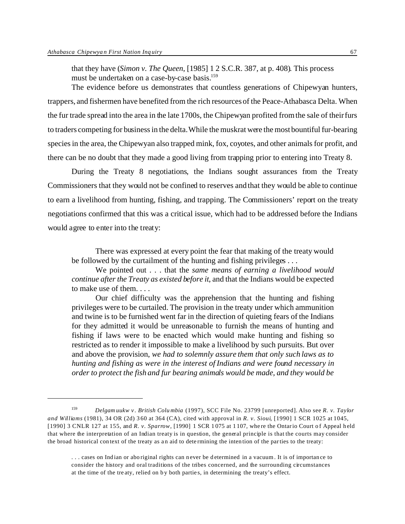that they have (*Simon v. The Queen*, [1985] 1 2 S.C.R. 387, at p. 408). This process must be undertaken on a case-by-case basis.<sup>159</sup>

The evidence before us demonstrates that countless generations of Chipewyan hunters, trappers, and fishermen have benefited from the rich resources of the Peace-Athabasca Delta. When the fur trade spread into the area in the late 1700s, the Chipewyan profited from the sale of their furs to traders competing for business in the delta. While the muskrat were the most bountiful fur-bearing species in the area, the Chipewyan also trapped mink, fox, coyotes, and other animals for profit, and there can be no doubt that they made a good living from trapping prior to entering into Treaty 8.

During the Treaty 8 negotiations, the Indians sought assurances from the Treaty Commissioners that they would not be confined to reserves and that they would be able to continue to earn a livelihood from hunting, fishing, and trapping. The Commissioners' report on the treaty negotiations confirmed that this was a critical issue, which had to be addressed before the Indians would agree to enter into the treaty:

There was expressed at every point the fear that making of the treaty would be followed by the curtailment of the hunting and fishing privileges . . .

We pointed out . . . that the *same means of earning a livelihood would continue after the Treaty as existed before it*, and that the Indians would be expected to make use of them. . . .

Our chief difficulty was the apprehension that the hunting and fishing privileges were to be curtailed. The provision in the treaty under which ammunition and twine is to be furnished went far in the direction of quieting fears of the Indians for they admitted it would be unreasonable to furnish the means of hunting and fishing if laws were to be enacted which would make hunting and fishing so restricted as to render it impossible to make a livelihood by such pursuits. But over and above the provision, *we had to solemnly assure them that only such laws as to hunting and fishing as were in the interest of Indians and were found necessary in order to protect the fish and fur bearing animals would be made, and they would be*

<sup>159</sup> *Delgam uukw v. British Colu mbia* (1997), SCC File No. 23799 [unreported]. Also see *R. v. Taylor and Williams* (1981), 34 OR (2d) 360 at 364 (CA), cited with approval in *R. v. Sioui*, [1990] 1 SCR 1025 at 1045, [1990] 3 CNLR 127 at 155, and *R. v. Sparrow*, [1990] 1 SCR 1 075 at 1107, where the Ontario Court of Appeal held that where the interpretation of an Indian treaty is in question, the general principle is that the courts may consider the broad historical context of the treaty as an aid to determining the intention of the parties to the treaty:

<sup>. . .</sup> cases on Indian or aboriginal rights can never be determined in a vacuum. It is of importance to consider the history and oral traditions of the tribes concerned, and the surrounding circumstances at the time of the treaty, relied on by both parties, in determining the treaty's effect.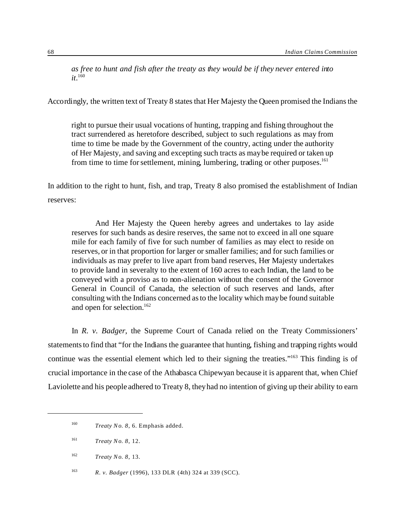*as free to hunt and fish after the treaty as they would be if they never entered into it*. 160

Accordingly, the written text of Treaty 8 states that Her Majesty the Queen promised the Indians the

right to pursue their usual vocations of hunting, trapping and fishing throughout the tract surrendered as heretofore described, subject to such regulations as may from time to time be made by the Government of the country, acting under the authority of Her Majesty, and saving and excepting such tracts as may be required or taken up from time to time for settlement, mining, lumbering, trading or other purposes.<sup>161</sup>

In addition to the right to hunt, fish, and trap, Treaty 8 also promised the establishment of Indian reserves:

And Her Majesty the Queen hereby agrees and undertakes to lay aside reserves for such bands as desire reserves, the same not to exceed in all one square mile for each family of five for such number of families as may elect to reside on reserves, or in that proportion for larger or smaller families; and for such families or individuals as may prefer to live apart from band reserves, Her Majesty undertakes to provide land in severalty to the extent of 160 acres to each Indian, the land to be conveyed with a proviso as to non-alienation without the consent of the Governor General in Council of Canada, the selection of such reserves and lands, after consulting with the Indians concerned as to the locality which may be found suitable and open for selection.<sup>162</sup>

In *R. v. Badger*, the Supreme Court of Canada relied on the Treaty Commissioners' statements to find that "for the Indians the guarantee that hunting, fishing and trapping rights would continue was the essential element which led to their signing the treaties."<sup>163</sup> This finding is of crucial importance in the case of the Athabasca Chipewyan because it is apparent that, when Chief Laviolette and his people adhered to Treaty 8, they had no intention of giving up their ability to earn

<sup>163</sup> *R. v. Badger* (1996), 133 DLR (4th) 324 at 339 (SCC).

<sup>160</sup> *Treaty No. 8*, 6. Emphasis added.

<sup>161</sup> *Treaty No. 8*, 12.

<sup>162</sup> *Treaty No. 8*, 13.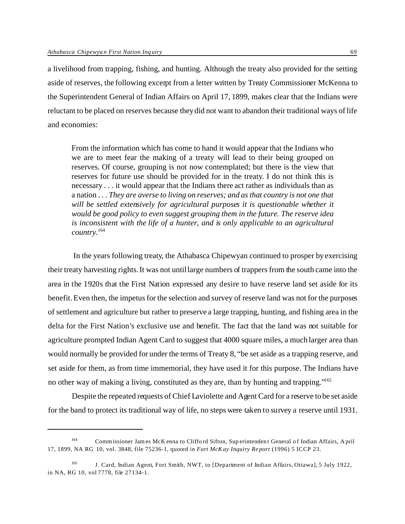a livelihood from trapping, fishing, and hunting. Although the treaty also provided for the setting aside of reserves, the following excerpt from a letter written by Treaty Commissioner McKenna to the Superintendent General of Indian Affairs on April 17, 1899, makes clear that the Indians were reluctant to be placed on reserves because they did not want to abandon their traditional ways of life and economies:

From the information which has come to hand it would appear that the Indians who we are to meet fear the making of a treaty will lead to their being grouped on reserves. Of course, grouping is not now contemplated; but there is the view that reserves for future use should be provided for in the treaty. I do not think this is necessary . . . it would appear that the Indians there act rather as individuals than as a nation . . . *They are averse to living on reserves; and as that country is not one that will be settled extensively for agricultural purposes it is questionable whether it would be good policy to even suggest grouping them in the future. The reserve idea is inconsistent with the life of a hunter, and is only applicable to an agricultural country.*<sup>164</sup>

 In the years following treaty, the Athabasca Chipewyan continued to prosper by exercising their treaty harvesting rights. It was not until large numbers of trappers from the south came into the area in the 1920s that the First Nation expressed any desire to have reserve land set aside for its benefit. Even then, the impetus for the selection and survey of reserve land was not for the purposes of settlement and agriculture but rather to preserve a large trapping, hunting, and fishing area in the delta for the First Nation's exclusive use and benefit. The fact that the land was not suitable for agriculture prompted Indian Agent Card to suggest that 4000 square miles, a much larger area than would normally be provided for under the terms of Treaty 8, "be set aside as a trapping reserve, and set aside for them, as from time immemorial, they have used it for this purpose. The Indians have no other way of making a living, constituted as they are, than by hunting and trapping."<sup>165</sup>

Despite the repeated requests of Chief Laviolette and Agent Card for a reserve to be set aside for the band to protect its traditional way of life, no steps were taken to survey a reserve until 1931.

<sup>164</sup> Commissioner James McK enna to Clifford Sifton, Sup erintendent General of Indian Affairs, A pril 17, 1899, NA RG 10, vol. 3848, file 75236-1, quoted in *Fort McKay Inquiry Report* (1996) 5 ICCP 23.

<sup>165</sup> J. Card, Indian Agent, Fort Smith, NWT, to [Department of Indian Affairs, Ottawa], 5 July 1922, in NA, RG 10, vol 7778, file 27134-1.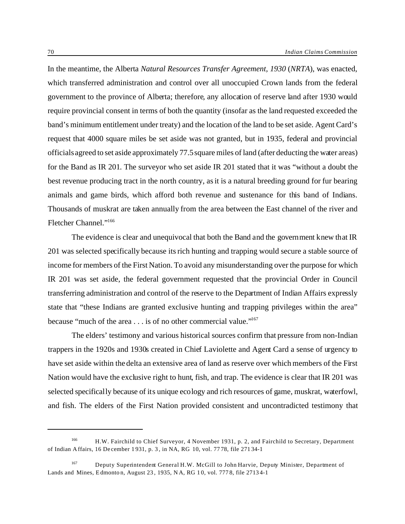In the meantime, the Alberta *Natural Resources Transfer Agreement, 1930* (*NRTA*), was enacted, which transferred administration and control over all unoccupied Crown lands from the federal government to the province of Alberta; therefore, any allocation of reserve land after 1930 would require provincial consent in terms of both the quantity (insofar as the land requested exceeded the band's minimum entitlement under treaty) and the location of the land to be set aside. Agent Card's request that 4000 square miles be set aside was not granted, but in 1935, federal and provincial officials agreed to set aside approximately 77.5 square miles of land (after deducting the water areas) for the Band as IR 201. The surveyor who set aside IR 201 stated that it was "without a doubt the best revenue producing tract in the north country, as it is a natural breeding ground for fur bearing animals and game birds, which afford both revenue and sustenance for this band of Indians. Thousands of muskrat are taken annually from the area between the East channel of the river and Fletcher Channel."<sup>166</sup>

The evidence is clear and unequivocal that both the Band and the government knew that IR 201 was selected specifically because its rich hunting and trapping would secure a stable source of income for members of the First Nation. To avoid any misunderstanding over the purpose for which IR 201 was set aside, the federal government requested that the provincial Order in Council transferring administration and control of the reserve to the Department of Indian Affairs expressly state that "these Indians are granted exclusive hunting and trapping privileges within the area" because "much of the area . . . is of no other commercial value."<sup>167</sup>

The elders' testimony and various historical sources confirm that pressure from non-Indian trappers in the 1920s and 1930s created in Chief Laviolette and Agent Card a sense of urgency to have set aside within the delta an extensive area of land as reserve over which members of the First Nation would have the exclusive right to hunt, fish, and trap. The evidence is clear that IR 201 was selected specifically because of its unique ecology and rich resources of game, muskrat, waterfowl, and fish. The elders of the First Nation provided consistent and uncontradicted testimony that

<sup>166</sup> H.W. Fairchild to Chief Surveyor, 4 November 1931, p. 2, and Fairchild to Secretary, Department of Indian Affairs, 16 December 1 931, p. 3, in NA, RG 10, vol. 77 78, file 27134-1

<sup>167</sup> Deputy Superintendent General H.W. McGill to John Harvie, Deputy Minister, Department of Lands and Mines, Edmonton, August 23 , 1935, N A, RG 1 0, vol. 777 8, file 27134-1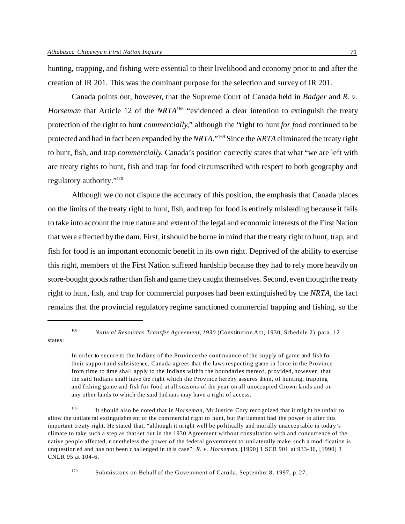hunting, trapping, and fishing were essential to their livelihood and economy prior to and after the creation of IR 201. This was the dominant purpose for the selection and survey of IR 201.

Canada points out, however, that the Supreme Court of Canada held in *Badger* and *R. v. Horseman* that Article 12 of the *NRTA*<sup>168</sup> "evidenced a clear intention to extinguish the treaty protection of the right to hunt *commercially*," although the "right to hunt *for food* continued to be protected and had in fact been expanded by the *NRTA*."<sup>169</sup> Since the *NRTA* eliminated the treaty right to hunt, fish, and trap *commercially*, Canada's position correctly states that what "we are left with are treaty rights to hunt, fish and trap for food circumscribed with respect to both geography and regulatory authority."<sup>170</sup>

Although we do not dispute the accuracy of this position, the emphasis that Canada places on the limits of the treaty right to hunt, fish, and trap for food is entirely misleading because it fails to take into account the true nature and extent of the legal and economic interests of the First Nation that were affected by the dam. First, it should be borne in mind that the treaty right to hunt, trap, and fish for food is an important economic benefit in its own right. Deprived of the ability to exercise this right, members of the First Nation suffered hardship because they had to rely more heavily on store-bought goods rather than fish and game they caught themselves. Second, even though the treaty right to hunt, fish, and trap for commercial purposes had been extinguished by the *NRTA*, the fact remains that the provincial regulatory regime sanctioned commercial trapping and fishing, so the

states:

<sup>168</sup> *Natural Resources Transfer Agreement, 1930* (Constitution Act, 1930, Schedule 2), para. 12

In order to secure to the Indians of the Province the continuance of the supply of game and fish for their support and subsistence, Canada agrees that the laws respecting game in force in the Province from time to time shall apply to the Indians within the boundaries thereof, provided, however, that the said Indians shall have the right which the Province hereby assures them, of hunting, trapping and fishing game and fish for food at all seasons of the year on all unoccupied Crown lands and on any other lands to which the said Indians may have a right of access.

<sup>169</sup> It should also be noted that in *Horseman*, Mr Justice Cory reco gnized that it might be unfair to allow the unilateral extinguishment of the com mercial right to hunt, but Parliament had the power to alter this important treaty right. He stated that, "although it might well be po litically and morally unacceptable in today's climate to take such a step as that set out in the 1930 Agreement without consultation with and concurrence of the native people affected, nonetheless the power of the federal government to unilaterally make such a mod ification is unquestioned and has not been challenged in this case": *R. v. Horseman*, [1990] 1 SCR 901 at 933-36, [1990] 3 CNLR 95 at 104-6.

<sup>170</sup> Submissions on Behalf of the Government of Canada, September 8, 1997, p. 27.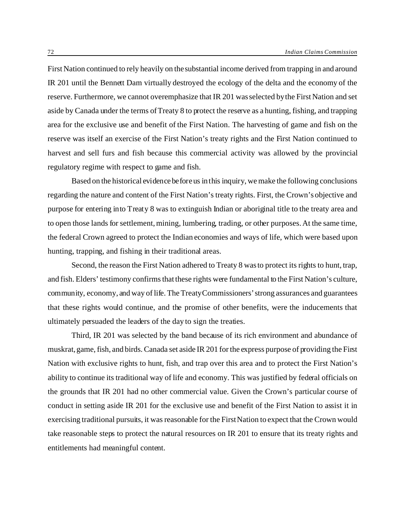First Nation continued to rely heavily on the substantial income derived from trapping in and around IR 201 until the Bennett Dam virtually destroyed the ecology of the delta and the economy of the reserve. Furthermore, we cannot overemphasize that IR 201 was selected by the First Nation and set aside by Canada under the terms of Treaty 8 to protect the reserve as a hunting, fishing, and trapping area for the exclusive use and benefit of the First Nation. The harvesting of game and fish on the reserve was itself an exercise of the First Nation's treaty rights and the First Nation continued to harvest and sell furs and fish because this commercial activity was allowed by the provincial regulatory regime with respect to game and fish.

Based on the historical evidence before us in this inquiry, we make the following conclusions regarding the nature and content of the First Nation's treaty rights. First, the Crown's objective and purpose for entering into Treaty 8 was to extinguish Indian or aboriginal title to the treaty area and to open those lands for settlement, mining, lumbering, trading, or other purposes. At the same time, the federal Crown agreed to protect the Indian economies and ways of life, which were based upon hunting, trapping, and fishing in their traditional areas.

Second, the reason the First Nation adhered to Treaty 8 was to protect its rights to hunt, trap, and fish. Elders' testimony confirms that these rights were fundamental to the First Nation's culture, community, economy, and way of life. The Treaty Commissioners' strong assurances and guarantees that these rights would continue, and the promise of other benefits, were the inducements that ultimately persuaded the leaders of the day to sign the treaties.

Third, IR 201 was selected by the band because of its rich environment and abundance of muskrat, game, fish, and birds. Canada set aside IR 201 for the express purpose of providing the First Nation with exclusive rights to hunt, fish, and trap over this area and to protect the First Nation's ability to continue its traditional way of life and economy. This was justified by federal officials on the grounds that IR 201 had no other commercial value. Given the Crown's particular course of conduct in setting aside IR 201 for the exclusive use and benefit of the First Nation to assist it in exercising traditional pursuits, it was reasonable for the First Nation to expect that the Crown would take reasonable steps to protect the natural resources on IR 201 to ensure that its treaty rights and entitlements had meaningful content.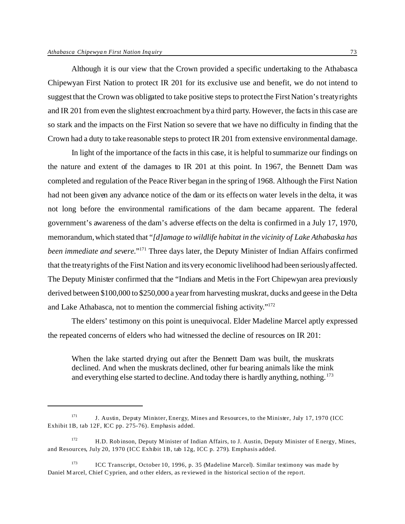Although it is our view that the Crown provided a specific undertaking to the Athabasca Chipewyan First Nation to protect IR 201 for its exclusive use and benefit, we do not intend to suggest that the Crown was obligated to take positive steps to protect the First Nation's treaty rights and IR 201 from even the slightest encroachment by a third party. However, the facts in this case are so stark and the impacts on the First Nation so severe that we have no difficulty in finding that the Crown had a duty to take reasonable steps to protect IR 201 from extensive environmental damage.

In light of the importance of the facts in this case, it is helpful to summarize our findings on the nature and extent of the damages to IR 201 at this point. In 1967, the Bennett Dam was completed and regulation of the Peace River began in the spring of 1968. Although the First Nation had not been given any advance notice of the dam or its effects on water levels in the delta, it was not long before the environmental ramifications of the dam became apparent. The federal government's awareness of the dam's adverse effects on the delta is confirmed in a July 17, 1970, memorandum, which stated that "*[d]amage to wildlife habitat in the vicinity of Lake Athabaska has been immediate and severe*."<sup>171</sup> Three days later, the Deputy Minister of Indian Affairs confirmed that the treaty rights of the First Nation and its very economic livelihood had been seriously affected. The Deputy Minister confirmed that the "Indians and Metis in the Fort Chipewyan area previously derived between \$100,000 to \$250,000 a year from harvesting muskrat, ducks and geese in the Delta and Lake Athabasca, not to mention the commercial fishing activity."<sup>172</sup>

The elders' testimony on this point is unequivocal. Elder Madeline Marcel aptly expressed the repeated concerns of elders who had witnessed the decline of resources on IR 201:

When the lake started drying out after the Bennett Dam was built, the muskrats declined. And when the muskrats declined, other fur bearing animals like the mink and everything else started to decline. And today there is hardly anything, nothing. <sup>173</sup>

 $171$  J. Austin, Deputy Minister, Energy, Mines and Resources, to the Minister, July 17, 1970 (ICC) Exhibit 1B, tab 12F, ICC pp. 275-76). Emphasis added.

<sup>&</sup>lt;sup>172</sup> H.D. Robinson, Deputy Minister of Indian Affairs, to J. Austin, Deputy Minister of Energy, Mines, and Resources, July 20, 1970 (ICC Exhibit 1B, tab 12g, ICC p. 279). Emphasis added.

<sup>&</sup>lt;sup>173</sup> ICC Transcript, October 10, 1996, p. 35 (Madeline Marcel). Similar testimony was made by Daniel M arcel, Chief C yprien, and o ther elders, as re viewed in the historical section of the report.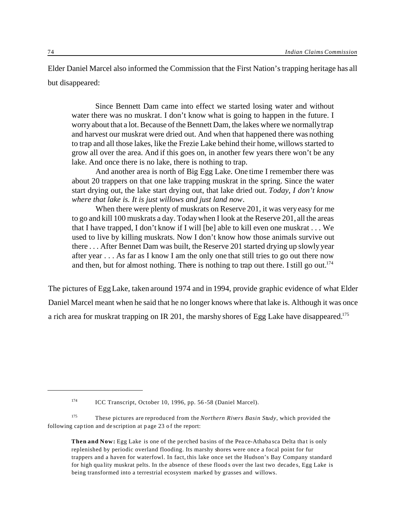Elder Daniel Marcel also informed the Commission that the First Nation's trapping heritage has all but disappeared:

Since Bennett Dam came into effect we started losing water and without water there was no muskrat. I don't know what is going to happen in the future. I worry about that a lot. Because of the Bennett Dam, the lakes where we normally trap and harvest our muskrat were dried out. And when that happened there was nothing to trap and all those lakes, like the Frezie Lake behind their home, willows started to grow all over the area. And if this goes on, in another few years there won't be any lake. And once there is no lake, there is nothing to trap.

And another area is north of Big Egg Lake. One time I remember there was about 20 trappers on that one lake trapping muskrat in the spring. Since the water start drying out, the lake start drying out, that lake dried out. *Today, I don't know where that lake is. It is just willows and just land now*.

When there were plenty of muskrats on Reserve 201, it was very easy for me to go and kill 100 muskrats a day. Today when I look at the Reserve 201, all the areas that I have trapped, I don't know if I will [be] able to kill even one muskrat . . . We used to live by killing muskrats. Now I don't know how those animals survive out there . . . After Bennet Dam was built, the Reserve 201 started drying up slowly year after year . . . As far as I know I am the only one that still tries to go out there now and then, but for almost nothing. There is nothing to trap out there. I still go out.<sup>174</sup>

The pictures of Egg Lake, taken around 1974 and in 1994, provide graphic evidence of what Elder Daniel Marcel meant when he said that he no longer knows where that lake is. Although it was once a rich area for muskrat trapping on IR 201, the marshy shores of Egg Lake have disappeared.<sup>175</sup>

<sup>174</sup> ICC Transcript, October 10, 1996, pp. 56-58 (Daniel Marcel).

<sup>175</sup> These pictures are reproduced from the *Northern Rivers Basin Study*, which provided the following cap tion and description at page 23 of the report:

**Then and Now:** Egg Lake is one of the pe rched basins of the Peace-Athabasca Delta that is only replenished by periodic overland flooding. Its marshy shores were once a focal point for fur trappers and a haven for waterfowl. In fact, this lake once set the Hudson's Bay Company standard for high quality muskrat pelts. In the absence of these floods over the last two decades, Egg Lake is being transformed into a terrestrial ecosystem marked by grasses and willows.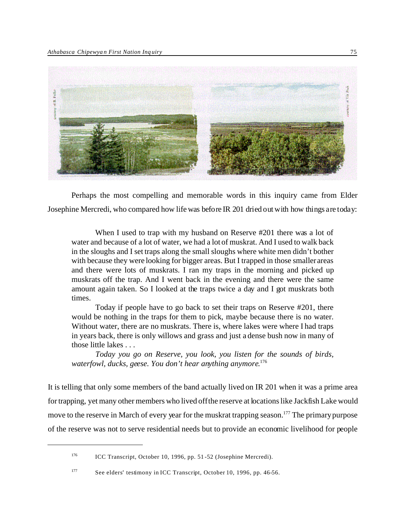

Perhaps the most compelling and memorable words in this inquiry came from Elder Josephine Mercredi, who compared how life was before IR 201 dried out with how things are today:

When I used to trap with my husband on Reserve #201 there was a lot of water and because of a lot of water, we had a lot of muskrat. And I used to walk back in the sloughs and I set traps along the small sloughs where white men didn't bother with because they were looking for bigger areas. But I trapped in those smaller areas and there were lots of muskrats. I ran my traps in the morning and picked up muskrats off the trap. And I went back in the evening and there were the same amount again taken. So I looked at the traps twice a day and I got muskrats both times.

Today if people have to go back to set their traps on Reserve #201, there would be nothing in the traps for them to pick, maybe because there is no water. Without water, there are no muskrats. There is, where lakes were where I had traps in years back, there is only willows and grass and just a dense bush now in many of those little lakes . . .

*Today you go on Reserve, you look, you listen for the sounds of birds, waterfowl, ducks, geese. You don't hear anything anymore*. 176

It is telling that only some members of the band actually lived on IR 201 when it was a prime area for trapping, yet many other members who lived off the reserve at locations like Jackfish Lake would move to the reserve in March of every year for the muskrat trapping season.<sup>177</sup> The primary purpose of the reserve was not to serve residential needs but to provide an economic livelihood for people

<sup>176</sup> ICC Transcript, October 10, 1996, pp. 51-52 (Josephine Mercredi).

<sup>177</sup> See elders' testimony in ICC Transcript, October 10, 1996, pp. 46-56.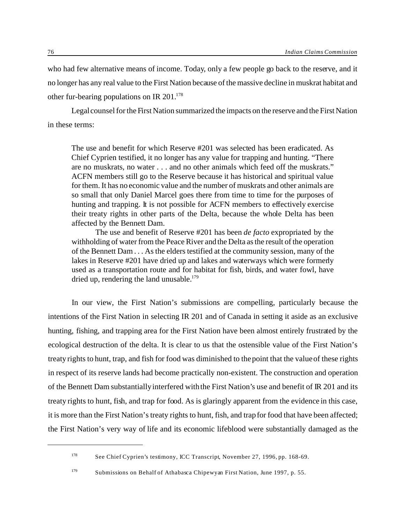who had few alternative means of income. Today, only a few people go back to the reserve, and it no longer has any real value to the First Nation because of the massive decline in muskrat habitat and other fur-bearing populations on IR 201.<sup>178</sup>

Legal counsel for the First Nation summarized the impacts on the reserve and the First Nation in these terms:

The use and benefit for which Reserve #201 was selected has been eradicated. As Chief Cyprien testified, it no longer has any value for trapping and hunting. "There are no muskrats, no water . . . and no other animals which feed off the muskrats." ACFN members still go to the Reserve because it has historical and spiritual value for them. It has no economic value and the number of muskrats and other animals are so small that only Daniel Marcel goes there from time to time for the purposes of hunting and trapping. It is not possible for ACFN members to effectively exercise their treaty rights in other parts of the Delta, because the whole Delta has been affected by the Bennett Dam.

The use and benefit of Reserve #201 has been *de facto* expropriated by the withholding of water from the Peace River and the Delta as the result of the operation of the Bennett Dam . . . As the elders testified at the community session, many of the lakes in Reserve #201 have dried up and lakes and waterways which were formerly used as a transportation route and for habitat for fish, birds, and water fowl, have dried up, rendering the land unusable.<sup>179</sup>

In our view, the First Nation's submissions are compelling, particularly because the intentions of the First Nation in selecting IR 201 and of Canada in setting it aside as an exclusive hunting, fishing, and trapping area for the First Nation have been almost entirely frustrated by the ecological destruction of the delta. It is clear to us that the ostensible value of the First Nation's treaty rights to hunt, trap, and fish for food was diminished to the point that the value of these rights in respect of its reserve lands had become practically non-existent. The construction and operation of the Bennett Dam substantially interfered with the First Nation's use and benefit of IR 201 and its treaty rights to hunt, fish, and trap for food. As is glaringly apparent from the evidence in this case, it is more than the First Nation's treaty rights to hunt, fish, and trap for food that have been affected; the First Nation's very way of life and its economic lifeblood were substantially damaged as the

<sup>178</sup> See Chief Cyprien's testimony, ICC Transcript, November 27, 1996, pp. 168-69.

<sup>179</sup> Submissions on Behalf of Athabasca Chipewyan First Nation, June 1997, p. 55.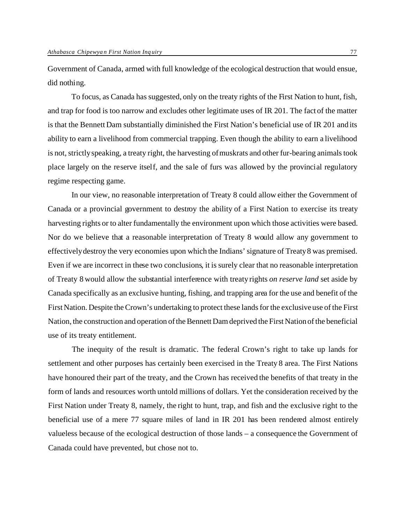Government of Canada, armed with full knowledge of the ecological destruction that would ensue, did nothing.

To focus, as Canada has suggested, only on the treaty rights of the First Nation to hunt, fish, and trap for food is too narrow and excludes other legitimate uses of IR 201. The fact of the matter is that the Bennett Dam substantially diminished the First Nation's beneficial use of IR 201 and its ability to earn a livelihood from commercial trapping. Even though the ability to earn a livelihood is not, strictly speaking, a treaty right, the harvesting of muskrats and other fur-bearing animals took place largely on the reserve itself, and the sale of furs was allowed by the provincial regulatory regime respecting game.

In our view, no reasonable interpretation of Treaty 8 could allow either the Government of Canada or a provincial government to destroy the ability of a First Nation to exercise its treaty harvesting rights or to alter fundamentally the environment upon which those activities were based. Nor do we believe that a reasonable interpretation of Treaty 8 would allow any government to effectively destroy the very economies upon which the Indians' signature of Treaty 8 was premised. Even if we are incorrect in these two conclusions, it is surely clear that no reasonable interpretation of Treaty 8 would allow the substantial interference with treaty rights *on reserve land* set aside by Canada specifically as an exclusive hunting, fishing, and trapping area for the use and benefit of the First Nation. Despite the Crown's undertaking to protect these lands for the exclusive use of the First Nation, the construction and operation of the Bennett Dam deprived the First Nation of the beneficial use of its treaty entitlement.

The inequity of the result is dramatic. The federal Crown's right to take up lands for settlement and other purposes has certainly been exercised in the Treaty 8 area. The First Nations have honoured their part of the treaty, and the Crown has received the benefits of that treaty in the form of lands and resources worth untold millions of dollars. Yet the consideration received by the First Nation under Treaty 8, namely, the right to hunt, trap, and fish and the exclusive right to the beneficial use of a mere 77 square miles of land in IR 201 has been rendered almost entirely valueless because of the ecological destruction of those lands – a consequence the Government of Canada could have prevented, but chose not to.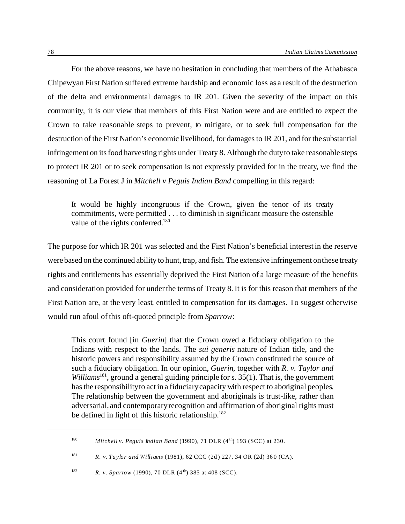For the above reasons, we have no hesitation in concluding that members of the Athabasca Chipewyan First Nation suffered extreme hardship and economic loss as a result of the destruction of the delta and environmental damages to IR 201. Given the severity of the impact on this community, it is our view that members of this First Nation were and are entitled to expect the Crown to take reasonable steps to prevent, to mitigate, or to seek full compensation for the destruction of the First Nation's economic livelihood, for damages to IR 201, and for the substantial infringement on its food harvesting rights under Treaty 8. Although the duty to take reasonable steps to protect IR 201 or to seek compensation is not expressly provided for in the treaty, we find the reasoning of La Forest J in *Mitchell v Peguis Indian Band* compelling in this regard:

It would be highly incongruous if the Crown, given the tenor of its treaty commitments, were permitted . . . to diminish in significant measure the ostensible value of the rights conferred.<sup>180</sup>

The purpose for which IR 201 was selected and the First Nation's beneficial interest in the reserve were based on the continued ability to hunt, trap, and fish. The extensive infringement on these treaty rights and entitlements has essentially deprived the First Nation of a large measure of the benefits and consideration provided for under the terms of Treaty 8. It is for this reason that members of the First Nation are, at the very least, entitled to compensation for its damages. To suggest otherwise would run afoul of this oft-quoted principle from *Sparrow*:

This court found [in *Guerin*] that the Crown owed a fiduciary obligation to the Indians with respect to the lands. The *sui generis* nature of Indian title, and the historic powers and responsibility assumed by the Crown constituted the source of such a fiduciary obligation. In our opinion, *Guerin*, together with *R. v. Taylor and* Williams<sup>181</sup>, ground a general guiding principle for s. 35(1). That is, the government has the responsibility to act in a fiduciary capacity with respect to aboriginal peoples. The relationship between the government and aboriginals is trust-like, rather than adversarial, and contemporary recognition and affirmation of aboriginal rights must be defined in light of this historic relationship. $182$ 

<sup>&</sup>lt;sup>180</sup> *Mitchell v. Peguis Indian Band* (1990), 71 DLR (4<sup>th</sup>) 193 (SCC) at 230.

<sup>181</sup> *R. v. Taylor and Williams* (1981), 62 CCC (2d) 227, 34 OR (2d) 360 (CA).

<sup>&</sup>lt;sup>182</sup> *R. v. Sparrow* (1990), 70 DLR (4<sup>th</sup>) 385 at 408 (SCC).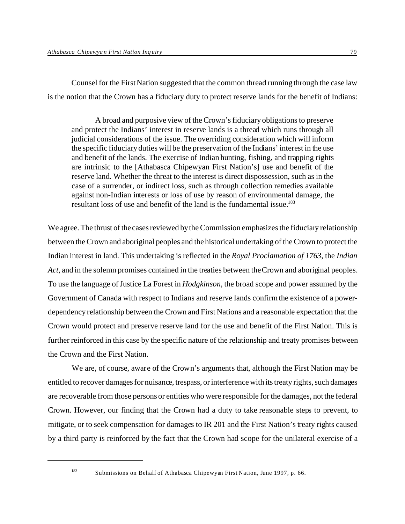Counsel for the First Nation suggested that the common thread running through the case law is the notion that the Crown has a fiduciary duty to protect reserve lands for the benefit of Indians:

A broad and purposive view of the Crown's fiduciary obligations to preserve and protect the Indians' interest in reserve lands is a thread which runs through all judicial considerations of the issue. The overriding consideration which will inform the specific fiduciary duties will be the preservation of the Indians' interest in the use and benefit of the lands. The exercise of Indian hunting, fishing, and trapping rights are intrinsic to the [Athabasca Chipewyan First Nation's] use and benefit of the reserve land. Whether the threat to the interest is direct dispossession, such as in the case of a surrender, or indirect loss, such as through collection remedies available against non-Indian interests or loss of use by reason of environmental damage, the resultant loss of use and benefit of the land is the fundamental issue.<sup>183</sup>

We agree. The thrust of the cases reviewed by the Commission emphasizes the fiduciary relationship between the Crown and aboriginal peoples and the historical undertaking of the Crown to protect the Indian interest in land. This undertaking is reflected in the *Royal Proclamation of 1763*, the *Indian Act*, and in the solemn promises contained in the treaties between the Crown and aboriginal peoples. To use the language of Justice La Forest in *Hodgkinson*, the broad scope and power assumed by the Government of Canada with respect to Indians and reserve lands confirm the existence of a powerdependency relationship between the Crown and First Nations and a reasonable expectation that the Crown would protect and preserve reserve land for the use and benefit of the First Nation. This is further reinforced in this case by the specific nature of the relationship and treaty promises between the Crown and the First Nation.

We are, of course, aware of the Crown's arguments that, although the First Nation may be entitled to recover damages for nuisance, trespass, or interference with its treaty rights, such damages are recoverable from those persons or entities who were responsible for the damages, not the federal Crown. However, our finding that the Crown had a duty to take reasonable steps to prevent, to mitigate, or to seek compensation for damages to IR 201 and the First Nation's treaty rights caused by a third party is reinforced by the fact that the Crown had scope for the unilateral exercise of a

<sup>183</sup> Submissions on Behalf of Athabasca Chipewyan First Nation, June 1997, p. 66.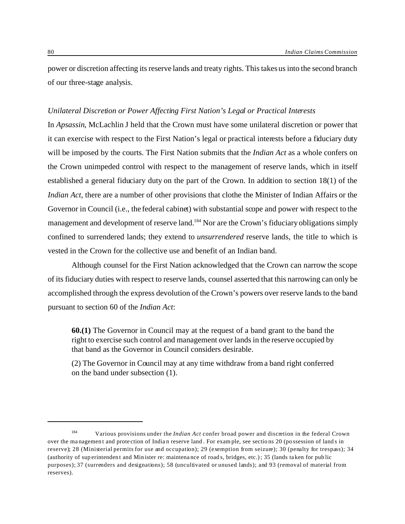power or discretion affecting its reserve lands and treaty rights. This takes us into the second branch of our three-stage analysis.

#### *Unilateral Discretion or Power Affecting First Nation's Legal or Practical Interests*

In *Apsassin*, McLachlin J held that the Crown must have some unilateral discretion or power that it can exercise with respect to the First Nation's legal or practical interests before a fiduciary duty will be imposed by the courts. The First Nation submits that the *Indian Act* as a whole confers on the Crown unimpeded control with respect to the management of reserve lands, which in itself established a general fiduciary duty on the part of the Crown. In addition to section 18(1) of the *Indian Act*, there are a number of other provisions that clothe the Minister of Indian Affairs or the Governor in Council (i.e., the federal cabinet) with substantial scope and power with respect to the management and development of reserve land.<sup>184</sup> Nor are the Crown's fiduciary obligations simply confined to surrendered lands; they extend to *unsurrendered* reserve lands, the title to which is vested in the Crown for the collective use and benefit of an Indian band.

Although counsel for the First Nation acknowledged that the Crown can narrow the scope of its fiduciary duties with respect to reserve lands, counsel asserted that this narrowing can only be accomplished through the express devolution of the Crown's powers over reserve lands to the band pursuant to section 60 of the *Indian Act*:

**60.(1)** The Governor in Council may at the request of a band grant to the band the right to exercise such control and management over lands in the reserve occupied by that band as the Governor in Council considers desirable.

(2) The Governor in Council may at any time withdraw from a band right conferred on the band under subsection (1).

<sup>184</sup> Various provisions under the *Indian Act* confer broad power and discretion in the federal Crown over the ma nagement and protection of Indian reserve land . For example, see sections 20 (po ssession of land s in reserve); 28 (Ministerial permits for use and occupation); 29 (exemption from seizure); 30 (penalty for trespass); 34 (authority of sup erintendent and Minister re: maintenance of road s, bridges, etc.); 35 (lands taken for pub lic purposes); 37 (surrenders and designations); 58 (uncultivated or unused lands); and 93 (removal of material from reserves).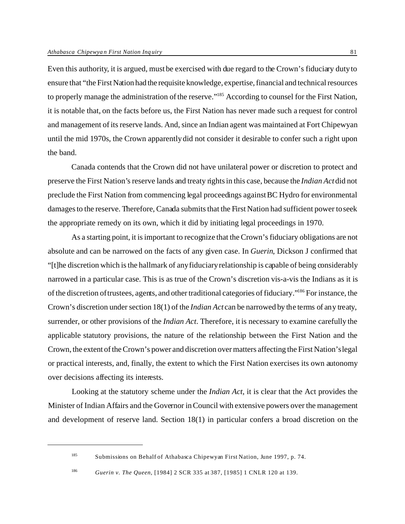Even this authority, it is argued, must be exercised with due regard to the Crown's fiduciary duty to ensure that "the First Nation had the requisite knowledge, expertise, financial and technical resources to properly manage the administration of the reserve."<sup>185</sup> According to counsel for the First Nation, it is notable that, on the facts before us, the First Nation has never made such a request for control and management of its reserve lands. And, since an Indian agent was maintained at Fort Chipewyan until the mid 1970s, the Crown apparently did not consider it desirable to confer such a right upon the band.

Canada contends that the Crown did not have unilateral power or discretion to protect and preserve the First Nation's reserve lands and treaty rights in this case, because the *Indian Act* did not preclude the First Nation from commencing legal proceedings against BC Hydro for environmental damages to the reserve. Therefore, Canada submits that the First Nation had sufficient power to seek the appropriate remedy on its own, which it did by initiating legal proceedings in 1970.

As a starting point, it is important to recognize that the Crown's fiduciary obligations are not absolute and can be narrowed on the facts of any given case. In *Guerin*, Dickson J confirmed that "[t]he discretion which is the hallmark of any fiduciary relationship is capable of being considerably narrowed in a particular case. This is as true of the Crown's discretion vis-a-vis the Indians as it is of the discretion of trustees, agents, and other traditional categories of fiduciary."<sup>186</sup> For instance, the Crown's discretion under section 18(1) of the *Indian Act* can be narrowed by the terms of any treaty, surrender, or other provisions of the *Indian Act*. Therefore, it is necessary to examine carefully the applicable statutory provisions, the nature of the relationship between the First Nation and the Crown, the extent of the Crown's power and discretion over matters affecting the First Nation's legal or practical interests, and, finally, the extent to which the First Nation exercises its own autonomy over decisions affecting its interests.

Looking at the statutory scheme under the *Indian Act*, it is clear that the Act provides the Minister of Indian Affairs and the Governor in Council with extensive powers over the management and development of reserve land. Section 18(1) in particular confers a broad discretion on the

<sup>185</sup> Submissions on Behalf of Athabasca Chipewyan First Nation, June 1997, p. 74.

<sup>186</sup> *Guerin v. The Queen*, [1984] 2 SCR 335 at 387, [1985] 1 CNLR 120 at 139.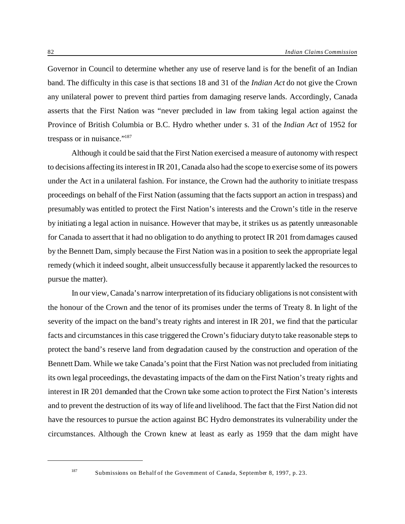Governor in Council to determine whether any use of reserve land is for the benefit of an Indian band. The difficulty in this case is that sections 18 and 31 of the *Indian Act* do not give the Crown any unilateral power to prevent third parties from damaging reserve lands. Accordingly, Canada asserts that the First Nation was "never precluded in law from taking legal action against the Province of British Columbia or B.C. Hydro whether under s. 31 of the *Indian Act* of 1952 for trespass or in nuisance."<sup>187</sup>

Although it could be said that the First Nation exercised a measure of autonomy with respect to decisions affecting its interest in IR 201, Canada also had the scope to exercise some of its powers under the Act in a unilateral fashion. For instance, the Crown had the authority to initiate trespass proceedings on behalf of the First Nation (assuming that the facts support an action in trespass) and presumably was entitled to protect the First Nation's interests and the Crown's title in the reserve by initiating a legal action in nuisance. However that may be, it strikes us as patently unreasonable for Canada to assert that it had no obligation to do anything to protect IR 201 from damages caused by the Bennett Dam, simply because the First Nation was in a position to seek the appropriate legal remedy (which it indeed sought, albeit unsuccessfully because it apparently lacked the resources to pursue the matter).

In our view, Canada's narrow interpretation of its fiduciary obligations is not consistent with the honour of the Crown and the tenor of its promises under the terms of Treaty 8. In light of the severity of the impact on the band's treaty rights and interest in IR 201, we find that the particular facts and circumstances in this case triggered the Crown's fiduciary duty to take reasonable steps to protect the band's reserve land from degradation caused by the construction and operation of the Bennett Dam. While we take Canada's point that the First Nation was not precluded from initiating its own legal proceedings, the devastating impacts of the dam on the First Nation's treaty rights and interest in IR 201 demanded that the Crown take some action to protect the First Nation's interests and to prevent the destruction of its way of life and livelihood. The fact that the First Nation did not have the resources to pursue the action against BC Hydro demonstrates its vulnerability under the circumstances. Although the Crown knew at least as early as 1959 that the dam might have

<sup>&</sup>lt;sup>187</sup> Submissions on Behalf of the Government of Canada, September 8, 1997, p. 23.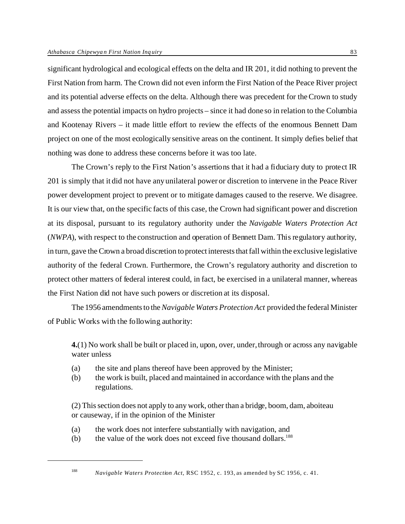significant hydrological and ecological effects on the delta and IR 201, it did nothing to prevent the First Nation from harm. The Crown did not even inform the First Nation of the Peace River project and its potential adverse effects on the delta. Although there was precedent for the Crown to study and assess the potential impacts on hydro projects – since it had done so in relation to the Columbia and Kootenay Rivers – it made little effort to review the effects of the enormous Bennett Dam project on one of the most ecologically sensitive areas on the continent. It simply defies belief that nothing was done to address these concerns before it was too late.

The Crown's reply to the First Nation's assertions that it had a fiduciary duty to protect IR 201 is simply that it did not have any unilateral power or discretion to intervene in the Peace River power development project to prevent or to mitigate damages caused to the reserve. We disagree. It is our view that, on the specific facts of this case, the Crown had significant power and discretion at its disposal, pursuant to its regulatory authority under the *Navigable Waters Protection Act* (*NWPA*), with respect to the construction and operation of Bennett Dam. This regulatory authority, in turn, gave the Crown a broad discretion to protect interests that fall within the exclusive legislative authority of the federal Crown. Furthermore, the Crown's regulatory authority and discretion to protect other matters of federal interest could, in fact, be exercised in a unilateral manner, whereas the First Nation did not have such powers or discretion at its disposal.

The 1956 amendments to the*Navigable Waters Protection Act* provided the federal Minister of Public Works with the following authority:

**4.**(1) No work shall be built or placed in, upon, over, under, through or across any navigable water unless

- (a) the site and plans thereof have been approved by the Minister;
- (b) the work is built, placed and maintained in accordance with the plans and the regulations.

(2) This section does not apply to any work, other than a bridge, boom, dam, aboiteau or causeway, if in the opinion of the Minister

- (a) the work does not interfere substantially with navigation, and
- (b) the value of the work does not exceed five thousand dollars.<sup>188</sup>

<sup>188</sup> *Navigable Waters Protection Act*, RSC 1952, c. 193, as amended by SC 1956, c. 41.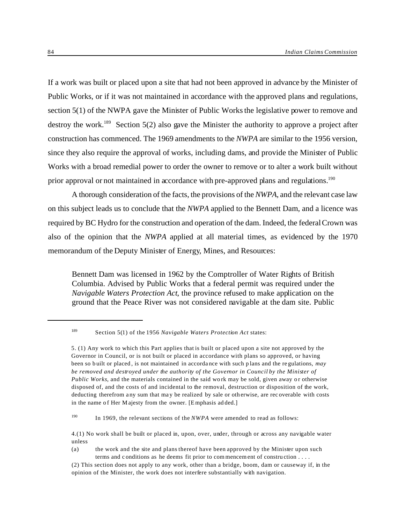If a work was built or placed upon a site that had not been approved in advance by the Minister of Public Works, or if it was not maintained in accordance with the approved plans and regulations, section 5(1) of the NWPA gave the Minister of Public Works the legislative power to remove and destroy the work.<sup>189</sup> Section 5(2) also gave the Minister the authority to approve a project after construction has commenced. The 1969 amendments to the *NWPA* are similar to the 1956 version, since they also require the approval of works, including dams, and provide the Minister of Public Works with a broad remedial power to order the owner to remove or to alter a work built without prior approval or not maintained in accordance with pre-approved plans and regulations.<sup>190</sup>

A thorough consideration of the facts, the provisions of the *NWPA*, and the relevant case law on this subject leads us to conclude that the *NWPA* applied to the Bennett Dam, and a licence was required by BC Hydro for the construction and operation of the dam. Indeed, the federal Crown was also of the opinion that the *NWPA* applied at all material times, as evidenced by the 1970 memorandum of the Deputy Minister of Energy, Mines, and Resources:

Bennett Dam was licensed in 1962 by the Comptroller of Water Rights of British Columbia. Advised by Public Works that a federal permit was required under the *Navigable Waters Protection Act*, the province refused to make application on the ground that the Peace River was not considered navigable at the dam site. Public

<sup>189</sup> Section 5(1) of the 1956 *Navigable Waters Protection Act* states:

<sup>5. (1)</sup> Any work to which this Part applies that is built or placed upon a site not approved by the Governor in Council, or is not built or placed in accordance with plans so approved, or having been so built or placed, is not maintained in accorda nce with such p lans and the regulations, *may be removed and destroyed under the authority of the Governor in Council by the Minister of Public Works*, and the materials contained in the said work may be sold, given away or otherwise disposed of, and the costs of and incidental to the removal, destruction or disposition of the work, deducting therefrom any sum that may be realized by sale or otherwise, are rec overable with costs in the name of Her Majesty from the owner. [Emphasis ad ded.]

<sup>&</sup>lt;sup>190</sup> In 1969, the relevant sections of the *NWPA* were amended to read as follows:

<sup>4.(1)</sup> No work shall be built or placed in, upon, over, under, through or across any navigable water unless

<sup>(</sup>a) the work and the site and plans thereof have been approved by the Minister upon such terms and conditions as he deems fit prior to com mencement of construction . . . .

<sup>(2)</sup> This section does not apply to any work, other than a bridge, boom, dam or causeway if, in the opinion of the Minister, the work does not interfere substantially with navigation.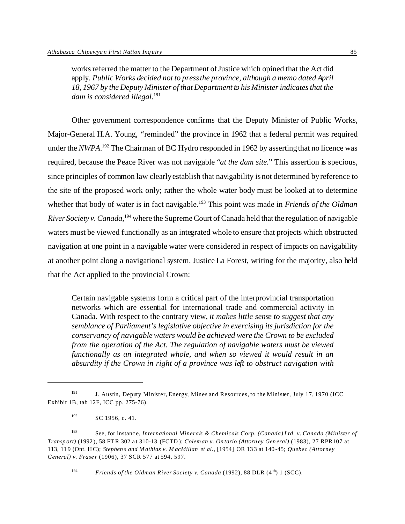works referred the matter to the Department of Justice which opined that the Act did apply. *Public Works decided not to press the province, although a memo dated April 18, 1967 by the Deputy Minister of that Department to his Minister indicates that the dam is considered illegal*. 191

Other government correspondence confirms that the Deputy Minister of Public Works, Major-General H.A. Young, "reminded" the province in 1962 that a federal permit was required under the *NWPA*.<sup>192</sup> The Chairman of BC Hydro responded in 1962 by asserting that no licence was required, because the Peace River was not navigable "*at the dam site*." This assertion is specious, since principles of common law clearly establish that navigability is not determined by reference to the site of the proposed work only; rather the whole water body must be looked at to determine whether that body of water is in fact navigable.<sup>193</sup> This point was made in *Friends of the Oldman River Society v. Canada*, <sup>194</sup> where the Supreme Court of Canada held that the regulation of navigable waters must be viewed functionally as an integrated whole to ensure that projects which obstructed navigation at one point in a navigable water were considered in respect of impacts on navigability at another point along a navigational system. Justice La Forest, writing for the majority, also held that the Act applied to the provincial Crown:

Certain navigable systems form a critical part of the interprovincial transportation networks which are essential for international trade and commercial activity in Canada. With respect to the contrary view, *it makes little sense to suggest that any semblance of Parliament's legislative objective in exercising its jurisdiction for the conservancy of navigable waters would be achieved were the Crown to be excluded from the operation of the Act. The regulation of navigable waters must be viewed functionally as an integrated whole, and when so viewed it would result in an absurdity if the Crown in right of a province was left to obstruct navigation with*

<sup>194</sup> *Friends of the Oldman River Society v. Canada* (1992), 88 DLR (4<sup>th</sup>) 1 (SCC).

<sup>&</sup>lt;sup>191</sup> J. Austin, Deputy Minister, Energy, Mines and Resources, to the Minister, July 17, 1970 (ICC Exhibit 1B, tab 12F, ICC pp. 275-76).

 $192$  SC 1956, c. 41.

<sup>193</sup> See, for instanc e, *International Minerals & Chemicals Corp. (Canada) Ltd. v. Canada (Minister of Transport)* (1992), 58 FTR 302 at 310-13 (FCTD ); *Coleman v. On tario (Attorney General)* (1983), 27 RPR107 at 113, 11 9 (Ont. HC); *Stephen s and M athias v. M acMillan et al.*, [1954] OR 133 at 140-45; *Quebec (Attorney General) v. Fraser* (1906), 37 SCR 577 at 594, 597.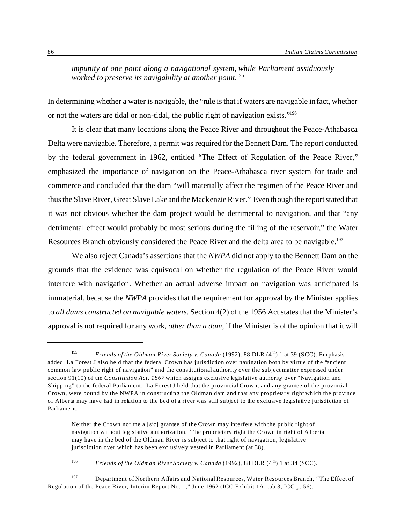*impunity at one point along a navigational system, while Parliament assiduously worked to preserve its navigability at another point*. 195

In determining whether a water is navigable, the "rule is that if waters are navigable in fact, whether or not the waters are tidal or non-tidal, the public right of navigation exists."<sup>196</sup>

It is clear that many locations along the Peace River and throughout the Peace-Athabasca Delta were navigable. Therefore, a permit was required for the Bennett Dam. The report conducted by the federal government in 1962, entitled "The Effect of Regulation of the Peace River," emphasized the importance of navigation on the Peace-Athabasca river system for trade and commerce and concluded that the dam "will materially affect the regimen of the Peace River and thus the Slave River, Great Slave Lake and the Mackenzie River." Even though the report stated that it was not obvious whether the dam project would be detrimental to navigation, and that "any detrimental effect would probably be most serious during the filling of the reservoir," the Water Resources Branch obviously considered the Peace River and the delta area to be navigable.<sup>197</sup>

We also reject Canada's assertions that the *NWPA* did not apply to the Bennett Dam on the grounds that the evidence was equivocal on whether the regulation of the Peace River would interfere with navigation. Whether an actual adverse impact on navigation was anticipated is immaterial, because the *NWPA* provides that the requirement for approval by the Minister applies to *all dams constructed on navigable waters*. Section 4(2) of the 1956 Act states that the Minister's approval is not required for any work, *other than a dam*, if the Minister is of the opinion that it will

<sup>196</sup> *Friends of the Oldman River Society v. Canada* (1992), 88 DLR  $(4<sup>th</sup>)$  1 at 34 (SCC).

<sup>&</sup>lt;sup>195</sup> *Friends of the Oldman River Society v. Canada* (1992), 88 DLR (4<sup>th</sup>) 1 at 39 (SCC). Emphasis added. La Forest J also held that the federal Crown has jurisdiction over navigation both by virtue of the "ancient common law public right of navigation" and the constitutional authority over the subject matter expressed under section 91(10) of the *Constitution Act, 1867* which assigns exclusive legislative authority over "Navigation and Shipping" to the federal Parliament. La Forest J held that the provincial Crown, and any grantee of the provincial Crown, were bound by the NWPA in constructing the Oldman dam and that any proprietary right which the province of Alberta may have had in relation to the bed of a river was still subject to the exclusive legislative jurisdiction of Parliament:

Neither the Crown nor the a [sic] grantee of the Crown may interfere with the public right of navigation without legislative authorization. T he proprietary right the Crown in right of A lberta may have in the bed of the Oldman River is subject to that right of navigation, legislative jurisdiction over which has been exclusively vested in Parliament (at 38).

<sup>197</sup> Department of Northern Affairs and National Resources, Water Resources Branch, "The Effect of Regulation of the Peace River, Interim Report No. 1," June 1962 (ICC Exhibit 1A, tab 3, ICC p. 56).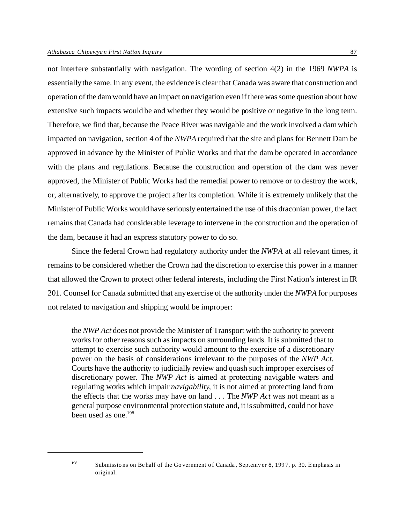not interfere substantially with navigation. The wording of section 4(2) in the 1969 *NWPA* is essentially the same. In any event, the evidence is clear that Canada was aware that construction and operation of the dam would have an impact on navigation even if there was some question about how extensive such impacts would be and whether they would be positive or negative in the long term. Therefore, we find that, because the Peace River was navigable and the work involved a dam which impacted on navigation, section 4 of the *NWPA* required that the site and plans for Bennett Dam be approved in advance by the Minister of Public Works and that the dam be operated in accordance with the plans and regulations. Because the construction and operation of the dam was never approved, the Minister of Public Works had the remedial power to remove or to destroy the work, or, alternatively, to approve the project after its completion. While it is extremely unlikely that the Minister of Public Works would have seriously entertained the use of this draconian power, the fact remains that Canada had considerable leverage to intervene in the construction and the operation of the dam, because it had an express statutory power to do so.

Since the federal Crown had regulatory authority under the *NWPA* at all relevant times, it remains to be considered whether the Crown had the discretion to exercise this power in a manner that allowed the Crown to protect other federal interests, including the First Nation's interest in IR 201. Counsel for Canada submitted that any exercise of the authority under the *NWPA* for purposes not related to navigation and shipping would be improper:

the *NWP Act* does not provide the Minister of Transport with the authority to prevent works for other reasons such as impacts on surrounding lands. It is submitted that to attempt to exercise such authority would amount to the exercise of a discretionary power on the basis of considerations irrelevant to the purposes of the *NWP Act*. Courts have the authority to judicially review and quash such improper exercises of discretionary power. The *NWP Act* is aimed at protecting navigable waters and regulating works which impair *navigability*, it is not aimed at protecting land from the effects that the works may have on land . . . The *NWP Act* was not meant as a general purpose environmental protection statute and, it is submitted, could not have been used as one. $198$ 

<sup>&</sup>lt;sup>198</sup> Submissions on Behalf of the Government of Canada, Septemver 8, 1997, p. 30. Emphasis in original.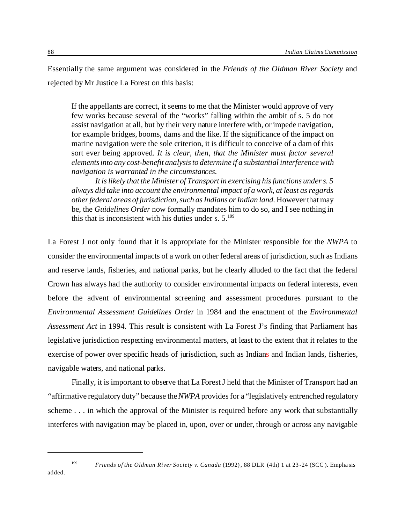Essentially the same argument was considered in the *Friends of the Oldman River Society* and rejected by Mr Justice La Forest on this basis:

If the appellants are correct, it seems to me that the Minister would approve of very few works because several of the "works" falling within the ambit of s. 5 do not assist navigation at all, but by their very nature interfere with, or impede navigation, for example bridges, booms, dams and the like. If the significance of the impact on marine navigation were the sole criterion, it is difficult to conceive of a dam of this sort ever being approved. *It is clear, then, that the Minister must factor several elements into any cost-benefit analysis to determine if a substantial interference with navigation is warranted in the circumstances.*

*It is likely that the Minister of Transport in exercising his functions under s. 5 always did take into account the environmental impact of a work, at least as regards other federal areas of jurisdiction, such as Indians or Indian land.* However that may be, the *Guidelines Order* now formally mandates him to do so, and I see nothing in this that is inconsistent with his duties under s.  $5.^{199}$ 

La Forest J not only found that it is appropriate for the Minister responsible for the *NWPA* to consider the environmental impacts of a work on other federal areas of jurisdiction, such as Indians and reserve lands, fisheries, and national parks, but he clearly alluded to the fact that the federal Crown has always had the authority to consider environmental impacts on federal interests, even before the advent of environmental screening and assessment procedures pursuant to the *Environmental Assessment Guidelines Order* in 1984 and the enactment of the *Environmental Assessment Act* in 1994. This result is consistent with La Forest J's finding that Parliament has legislative jurisdiction respecting environmental matters, at least to the extent that it relates to the exercise of power over specific heads of jurisdiction, such as Indians and Indian lands, fisheries, navigable waters, and national parks.

Finally, it is important to observe that La Forest J held that the Minister of Transport had an "affirmative regulatory duty" because the *NWPA* provides for a "legislatively entrenched regulatory scheme . . . in which the approval of the Minister is required before any work that substantially interferes with navigation may be placed in, upon, over or under, through or across any navigable

added.

<sup>199</sup> *Friends of the Oldman River Society v. Canada* (1992), 88 DLR (4th) 1 at 23 -24 (SCC ). Emphasis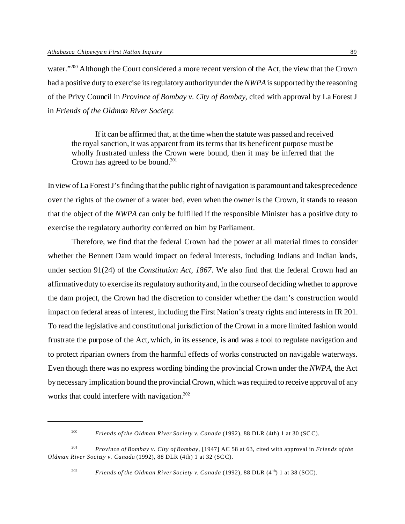water."<sup>200</sup> Although the Court considered a more recent version of the Act, the view that the Crown had a positive duty to exercise its regulatory authority under the *NWPA* is supported by the reasoning of the Privy Council in *Province of Bombay v. City of Bombay*, cited with approval by La Forest J in *Friends of the Oldman River Society*:

If it can be affirmed that, at the time when the statute was passed and received the royal sanction, it was apparent from its terms that its beneficent purpose must be wholly frustrated unless the Crown were bound, then it may be inferred that the Crown has agreed to be bound.<sup>201</sup>

In view of La Forest J's finding that the public right of navigation is paramount and takes precedence over the rights of the owner of a water bed, even when the owner is the Crown, it stands to reason that the object of the *NWPA* can only be fulfilled if the responsible Minister has a positive duty to exercise the regulatory authority conferred on him by Parliament.

Therefore, we find that the federal Crown had the power at all material times to consider whether the Bennett Dam would impact on federal interests, including Indians and Indian lands, under section 91(24) of the *Constitution Act, 1867*. We also find that the federal Crown had an affirmative duty to exercise its regulatory authority and, in the course of deciding whether to approve the dam project, the Crown had the discretion to consider whether the dam's construction would impact on federal areas of interest, including the First Nation's treaty rights and interests in IR 201. To read the legislative and constitutional jurisdiction of the Crown in a more limited fashion would frustrate the purpose of the Act, which, in its essence, is and was a tool to regulate navigation and to protect riparian owners from the harmful effects of works constructed on navigable waterways. Even though there was no express wording binding the provincial Crown under the *NWPA*, the Act by necessary implication bound the provincial Crown, which was required to receive approval of any works that could interfere with navigation.<sup>202</sup>

<sup>200</sup> *Friends of the Oldman River Society v. Canada* (1992), 88 DLR (4th) 1 at 30 (SCC).

<sup>201</sup> *Province of Bombay v. City of Bombay*, [1947] AC 58 at 63, cited with approval in *Friends of the Oldman River Society v. Canada* (1992), 88 DLR (4th) 1 at 32 (SCC).

<sup>&</sup>lt;sup>202</sup> *Friends of the Oldman River Society v. Canada* (1992), 88 DLR  $(4<sup>th</sup>)$  1 at 38 (SCC).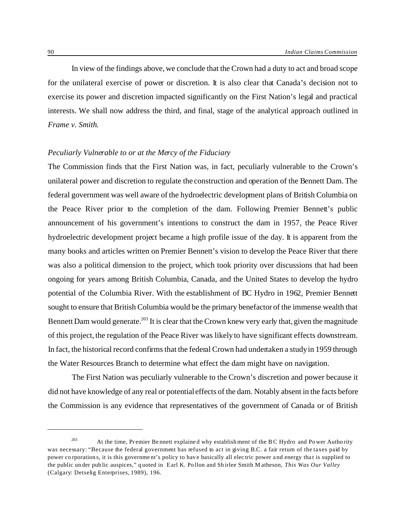In view of the findings above, we conclude that the Crown had a duty to act and broad scope for the unilateral exercise of power or discretion. It is also clear that Canada's decision not to exercise its power and discretion impacted significantly on the First Nation's legal and practical interests. We shall now address the third, and final, stage of the analytical approach outlined in *Frame v. Smith*.

# *Peculiarly Vulnerable to or at the Mercy of the Fiduciary*

The Commission finds that the First Nation was, in fact, peculiarly vulnerable to the Crown's unilateral power and discretion to regulate the construction and operation of the Bennett Dam. The federal government was well aware of the hydroelectric development plans of British Columbia on the Peace River prior to the completion of the dam. Following Premier Bennett's public announcement of his government's intentions to construct the dam in 1957, the Peace River hydroelectric development project became a high profile issue of the day. It is apparent from the many books and articles written on Premier Bennett's vision to develop the Peace River that there was also a political dimension to the project, which took priority over discussions that had been ongoing for years among British Columbia, Canada, and the United States to develop the hydro potential of the Columbia River. With the establishment of BC Hydro in 1962, Premier Bennett sought to ensure that British Columbia would be the primary benefactor of the immense wealth that Bennett Dam would generate.<sup>203</sup> It is clear that the Crown knew very early that, given the magnitude of this project, the regulation of the Peace River was likely to have significant effects downstream. In fact, the historical record confirms that the federal Crown had undertaken a study in 1959 through the Water Resources Branch to determine what effect the dam might have on navigation.

The First Nation was peculiarly vulnerable to the Crown's discretion and power because it did not have knowledge of any real or potential effects of the dam. Notably absent in the facts before the Commission is any evidence that representatives of the government of Canada or of British

<sup>&</sup>lt;sup>203</sup> At the time, Premier Bennett explained why establishment of the BC Hydro and Power Authority was necessary: "Because the federal government has refused to act in giving B.C. a fair return of the taxes paid by power co rporations, it is this government's policy to have basically all electric power and energy that is supplied to the public under public auspices," q uoted in Earl K. Pollon and Shirlee Smith M atheson, *This Was Our Valley* (Calgary: Detselig Enterprises, 1989), 196.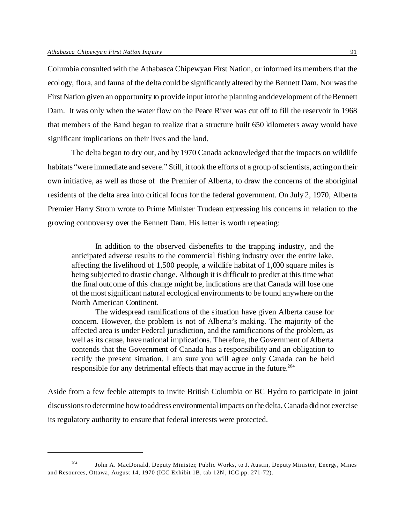Columbia consulted with the Athabasca Chipewyan First Nation, or informed its members that the ecology, flora, and fauna of the delta could be significantly altered by the Bennett Dam. Nor was the First Nation given an opportunity to provide input into the planning and development of the Bennett Dam. It was only when the water flow on the Peace River was cut off to fill the reservoir in 1968 that members of the Band began to realize that a structure built 650 kilometers away would have significant implications on their lives and the land.

The delta began to dry out, and by 1970 Canada acknowledged that the impacts on wildlife habitats "were immediate and severe." Still, it took the efforts of a group of scientists, acting on their own initiative, as well as those of the Premier of Alberta, to draw the concerns of the aboriginal residents of the delta area into critical focus for the federal government. On July 2, 1970, Alberta Premier Harry Strom wrote to Prime Minister Trudeau expressing his concerns in relation to the growing controversy over the Bennett Dam. His letter is worth repeating:

In addition to the observed disbenefits to the trapping industry, and the anticipated adverse results to the commercial fishing industry over the entire lake, affecting the livelihood of 1,500 people, a wildlife habitat of 1,000 square miles is being subjected to drastic change. Although it is difficult to predict at this time what the final outcome of this change might be, indications are that Canada will lose one of the most significant natural ecological environments to be found anywhere on the North American Continent.

The widespread ramifications of the situation have given Alberta cause for concern. However, the problem is not of Alberta's making. The majority of the affected area is under Federal jurisdiction, and the ramifications of the problem, as well as its cause, have national implications. Therefore, the Government of Alberta contends that the Government of Canada has a responsibility and an obligation to rectify the present situation. I am sure you will agree only Canada can be held responsible for any detrimental effects that may accrue in the future.<sup>204</sup>

Aside from a few feeble attempts to invite British Columbia or BC Hydro to participate in joint discussions to determine how to address environmental impacts on the delta, Canada did not exercise its regulatory authority to ensure that federal interests were protected.

<sup>&</sup>lt;sup>204</sup> John A. MacDonald, Deputy Minister, Public Works, to J. Austin, Deputy Minister, Energy, Mines and Resources, Ottawa, August 14, 1970 (ICC Exhibit 1B, tab 12N, ICC pp. 271-72).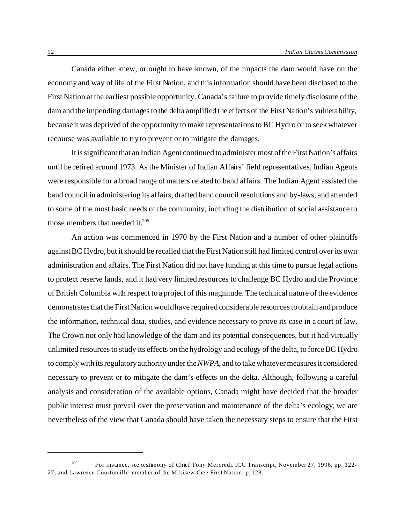Canada either knew, or ought to have known, of the impacts the dam would have on the economy and way of life of the First Nation, and this information should have been disclosed to the First Nation at the earliest possible opportunity. Canada's failure to provide timely disclosure of the dam and the impending damages to the delta amplified the effects of the First Nation's vulnerability, because it was deprived of the opportunity to make representations to BC Hydro or to seek whatever recourse was available to try to prevent or to mitigate the damages.

It is significant that an Indian Agent continued to administer most of the First Nation's affairs until he retired around 1973. As the Minister of Indian Affairs' field representatives, Indian Agents were responsible for a broad range of matters related to band affairs. The Indian Agent assisted the band council in administering its affairs, drafted band council resolutions and by-laws, and attended to some of the most basic needs of the community, including the distribution of social assistance to those members that needed it.<sup>205</sup>

An action was commenced in 1970 by the First Nation and a number of other plaintiffs against BC Hydro, but it should be recalled that the First Nation still had limited control over its own administration and affairs. The First Nation did not have funding at this time to pursue legal actions to protect reserve lands, and it had very limited resources to challenge BC Hydro and the Province of British Columbia with respect to a project of this magnitude. The technical nature of the evidence demonstrates that the First Nation would have required considerable resources to obtain and produce the information, technical data, studies, and evidence necessary to prove its case in a court of law. The Crown not only had knowledge of the dam and its potential consequences, but it had virtually unlimited resources to study its effects on the hydrology and ecology of the delta, to force BC Hydro to comply with its regulatory authority under the *NWPA*, and to take whatever measures it considered necessary to prevent or to mitigate the dam's effects on the delta. Although, following a careful analysis and consideration of the available options, Canada might have decided that the broader public interest must prevail over the preservation and maintenance of the delta's ecology, we are nevertheless of the view that Canada should have taken the necessary steps to ensure that the First

<sup>&</sup>lt;sup>205</sup> For instance, see testimony of Chief Tony Mercredi, ICC Transcript, November 27, 1996, pp. 122-27, and Lawrence Courtoreille, member of the Mikisew Cree First Nation, p. 128.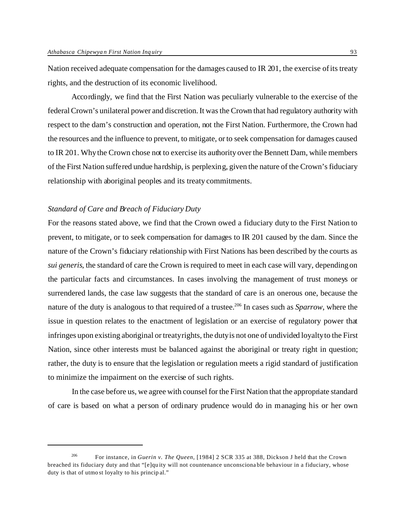Nation received adequate compensation for the damages caused to IR 201, the exercise of its treaty rights, and the destruction of its economic livelihood.

Accordingly, we find that the First Nation was peculiarly vulnerable to the exercise of the federal Crown's unilateral power and discretion. It was the Crown that had regulatory authority with respect to the dam's construction and operation, not the First Nation. Furthermore, the Crown had the resources and the influence to prevent, to mitigate, or to seek compensation for damages caused to IR 201. Why the Crown chose not to exercise its authority over the Bennett Dam, while members of the First Nation suffered undue hardship, is perplexing, given the nature of the Crown's fiduciary relationship with aboriginal peoples and its treaty commitments.

# *Standard of Care and Breach of Fiduciary Duty*

For the reasons stated above, we find that the Crown owed a fiduciary duty to the First Nation to prevent, to mitigate, or to seek compensation for damages to IR 201 caused by the dam. Since the nature of the Crown's fiduciary relationship with First Nations has been described by the courts as *sui generis*, the standard of care the Crown is required to meet in each case will vary, depending on the particular facts and circumstances. In cases involving the management of trust moneys or surrendered lands, the case law suggests that the standard of care is an onerous one, because the nature of the duty is analogous to that required of a trustee.<sup>206</sup> In cases such as *Sparrow*, where the issue in question relates to the enactment of legislation or an exercise of regulatory power that infringes upon existing aboriginal or treaty rights, the duty is not one of undivided loyalty to the First Nation, since other interests must be balanced against the aboriginal or treaty right in question; rather, the duty is to ensure that the legislation or regulation meets a rigid standard of justification to minimize the impairment on the exercise of such rights.

In the case before us, we agree with counsel for the First Nation that the appropriate standard of care is based on what a person of ordinary prudence would do in managing his or her own

<sup>206</sup> For instance, in *Guerin v. The Queen*, [1984] 2 SCR 335 at 388, Dickson J held that the Crown breached its fiduciary duty and that "[e]quity will not countenance unconscionable behaviour in a fiduciary, whose duty is that of utmo st loyalty to his princip al."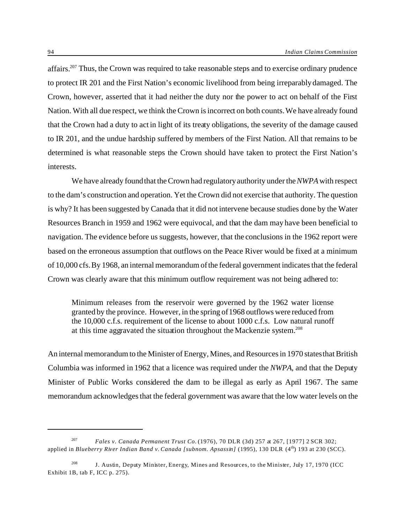affairs.<sup>207</sup> Thus, the Crown was required to take reasonable steps and to exercise ordinary prudence to protect IR 201 and the First Nation's economic livelihood from being irreparably damaged. The Crown, however, asserted that it had neither the duty nor the power to act on behalf of the First Nation. With all due respect, we think the Crown is incorrect on both counts. We have already found that the Crown had a duty to act in light of its treaty obligations, the severity of the damage caused to IR 201, and the undue hardship suffered by members of the First Nation. All that remains to be determined is what reasonable steps the Crown should have taken to protect the First Nation's interests.

We have already found that the Crown had regulatory authority under the *NWPA* with respect to the dam's construction and operation. Yet the Crown did not exercise that authority. The question is why? It has been suggested by Canada that it did not intervene because studies done by the Water Resources Branch in 1959 and 1962 were equivocal, and that the dam may have been beneficial to navigation. The evidence before us suggests, however, that the conclusions in the 1962 report were based on the erroneous assumption that outflows on the Peace River would be fixed at a minimum of 10,000 cfs. By 1968, an internal memorandum of the federal government indicates that the federal Crown was clearly aware that this minimum outflow requirement was not being adhered to:

Minimum releases from the reservoir were governed by the 1962 water license granted by the province. However, in the spring of 1968 outflows were reduced from the 10,000 c.f.s. requirement of the license to about 1000 c.f.s. Low natural runoff at this time aggravated the situation throughout the Mackenzie system.<sup>208</sup>

An internal memorandum to the Minister of Energy, Mines, and Resources in 1970 states that British Columbia was informed in 1962 that a licence was required under the *NWPA*, and that the Deputy Minister of Public Works considered the dam to be illegal as early as April 1967. The same memorandum acknowledges that the federal government was aware that the low water levels on the

<sup>207</sup> *Fales v. Canada Permanent Trust Co.* (1976), 70 DLR (3d) 257 at 267, [1977] 2 SCR 302; applied in *Blueberry River Indian Band v. Canada [subnom. Apsassin]* (1995), 130 DLR (4<sup>th</sup>) 193 at 230 (SCC).

<sup>208</sup> J. Austin, Deputy Minister, Energy, Mines and Resources, to the Minister, July 17, 1970 (ICC Exhibit 1B, tab F, ICC p. 275).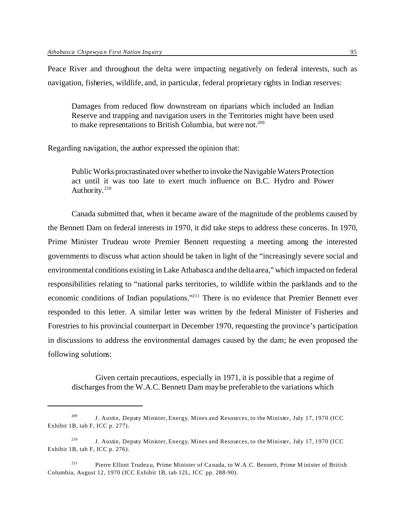Peace River and throughout the delta were impacting negatively on federal interests, such as navigation, fisheries, wildlife, and, in particular, federal proprietary rights in Indian reserves:

Damages from reduced flow downstream on riparians which included an Indian Reserve and trapping and navigation users in the Territories might have been used to make representations to British Columbia, but were not.<sup>209</sup>

Regarding navigation, the author expressed the opinion that:

Public Works procrastinated over whether to invoke the Navigable Waters Protection act until it was too late to exert much influence on B.C. Hydro and Power Authority.<sup>210</sup>

Canada submitted that, when it became aware of the magnitude of the problems caused by the Bennett Dam on federal interests in 1970, it did take steps to address these concerns. In 1970, Prime Minister Trudeau wrote Premier Bennett requesting a meeting among the interested governments to discuss what action should be taken in light of the "increasingly severe social and environmental conditions existing in Lake Athabasca and the delta area," which impacted on federal responsibilities relating to "national parks territories, to wildlife within the parklands and to the economic conditions of Indian populations."<sup>211</sup> There is no evidence that Premier Bennett ever responded to this letter. A similar letter was written by the federal Minister of Fisheries and Forestries to his provincial counterpart in December 1970, requesting the province's participation in discussions to address the environmental damages caused by the dam; he even proposed the following solutions:

Given certain precautions, especially in 1971, it is possible that a regime of discharges from the W.A.C. Bennett Dam may be preferable to the variations which

<sup>&</sup>lt;sup>209</sup> J. Austin, Deputy Minister, Energy, Mines and Resources, to the Minister, July 17, 1970 (ICC Exhibit 1B, tab F, ICC p. 277).

<sup>210</sup> J. Austin, Deputy Minister, Energy, Mines and Resources, to the Minister, July 17, 1970 (ICC Exhibit 1B, tab F, ICC p. 276).

<sup>211</sup> Pierre Elliott Trudeau, Prime Minister of Canada, to W.A.C. Bennett, Prime M inister of British Columbia, August 12, 1970 (ICC Exhibit 1B, tab 12L, ICC pp. 288-90).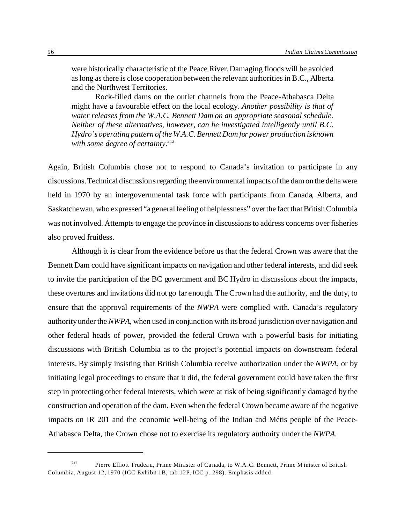were historically characteristic of the Peace River. Damaging floods will be avoided as long as there is close cooperation between the relevant authorities in B.C., Alberta and the Northwest Territories.

Rock-filled dams on the outlet channels from the Peace-Athabasca Delta might have a favourable effect on the local ecology. *Another possibility is that of water releases from the W.A.C. Bennett Dam on an appropriate seasonal schedule. Neither of these alternatives, however, can be investigated intelligently until B.C. Hydro's operating pattern of the W.A.C. Bennett Dam for power production is known* with some degree of certainty.<sup>212</sup>

Again, British Columbia chose not to respond to Canada's invitation to participate in any discussions. Technical discussions regarding the environmental impacts of the dam on the delta were held in 1970 by an intergovernmental task force with participants from Canada, Alberta, and Saskatchewan, who expressed "a general feeling of helplessness" over the fact that British Columbia was not involved. Attempts to engage the province in discussions to address concerns over fisheries also proved fruitless.

Although it is clear from the evidence before us that the federal Crown was aware that the Bennett Dam could have significant impacts on navigation and other federal interests, and did seek to invite the participation of the BC government and BC Hydro in discussions about the impacts, these overtures and invitations did not go far enough. The Crown had the authority, and the duty, to ensure that the approval requirements of the *NWPA* were complied with. Canada's regulatory authority under the *NWPA*, when used in conjunction with its broad jurisdiction over navigation and other federal heads of power, provided the federal Crown with a powerful basis for initiating discussions with British Columbia as to the project's potential impacts on downstream federal interests. By simply insisting that British Columbia receive authorization under the *NWPA*, or by initiating legal proceedings to ensure that it did, the federal government could have taken the first step in protecting other federal interests, which were at risk of being significantly damaged by the construction and operation of the dam. Even when the federal Crown became aware of the negative impacts on IR 201 and the economic well-being of the Indian and Métis people of the Peace-Athabasca Delta, the Crown chose not to exercise its regulatory authority under the *NWPA*.

<sup>212</sup> Pierre Elliott Trudeau, Prime Minister of Canada, to W.A.C. Bennett, Prime M inister of British Columbia, August 12, 1970 (ICC Exhibit 1B, tab 12P, ICC p. 298). Emphasis added.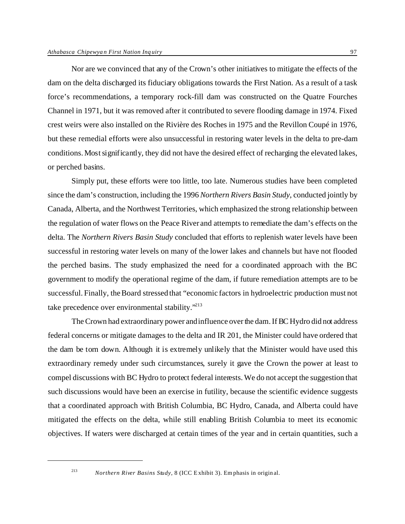Nor are we convinced that any of the Crown's other initiatives to mitigate the effects of the dam on the delta discharged its fiduciary obligations towards the First Nation. As a result of a task force's recommendations, a temporary rock-fill dam was constructed on the Quatre Fourches Channel in 1971, but it was removed after it contributed to severe flooding damage in 1974. Fixed crest weirs were also installed on the Rivière des Roches in 1975 and the Revillon Coupé in 1976, but these remedial efforts were also unsuccessful in restoring water levels in the delta to pre-dam conditions. Most significantly, they did not have the desired effect of recharging the elevated lakes, or perched basins.

Simply put, these efforts were too little, too late. Numerous studies have been completed since the dam's construction, including the 1996 *Northern Rivers Basin Study*, conducted jointly by Canada, Alberta, and the Northwest Territories, which emphasized the strong relationship between the regulation of water flows on the Peace River and attempts to remediate the dam's effects on the delta. The *Northern Rivers Basin Study* concluded that efforts to replenish water levels have been successful in restoring water levels on many of the lower lakes and channels but have not flooded the perched basins. The study emphasized the need for a coordinated approach with the BC government to modify the operational regime of the dam, if future remediation attempts are to be successful. Finally, the Board stressed that "economic factors in hydroelectric production must not take precedence over environmental stability."<sup>213</sup>

The Crown had extraordinary power and influence over the dam. If BC Hydro did not address federal concerns or mitigate damages to the delta and IR 201, the Minister could have ordered that the dam be torn down. Although it is extremely unlikely that the Minister would have used this extraordinary remedy under such circumstances, surely it gave the Crown the power at least to compel discussions with BC Hydro to protect federal interests. We do not accept the suggestion that such discussions would have been an exercise in futility, because the scientific evidence suggests that a coordinated approach with British Columbia, BC Hydro, Canada, and Alberta could have mitigated the effects on the delta, while still enabling British Columbia to meet its economic objectives. If waters were discharged at certain times of the year and in certain quantities, such a

<sup>213</sup> *Northern River Basins Study*, 8 (ICC E xhibit 3). Em phasis in original.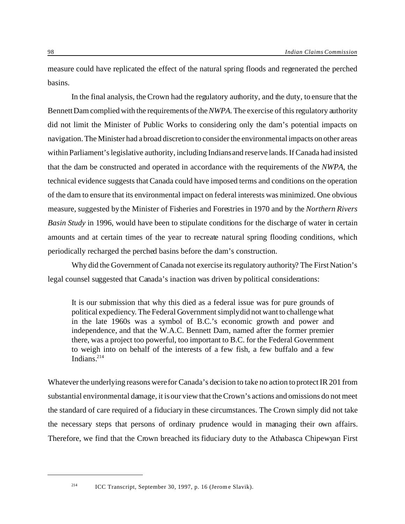measure could have replicated the effect of the natural spring floods and regenerated the perched basins.

In the final analysis, the Crown had the regulatory authority, and the duty, to ensure that the Bennett Dam complied with the requirements of the *NWPA*. The exercise of this regulatory authority did not limit the Minister of Public Works to considering only the dam's potential impacts on navigation. The Minister had a broad discretion to consider the environmental impacts on other areas within Parliament's legislative authority, including Indians and reserve lands. If Canada had insisted that the dam be constructed and operated in accordance with the requirements of the *NWPA*, the technical evidence suggests that Canada could have imposed terms and conditions on the operation of the dam to ensure that its environmental impact on federal interests was minimized. One obvious measure, suggested by the Minister of Fisheries and Forestries in 1970 and by the *Northern Rivers Basin Study* in 1996, would have been to stipulate conditions for the discharge of water in certain amounts and at certain times of the year to recreate natural spring flooding conditions, which periodically recharged the perched basins before the dam's construction.

Why did the Government of Canada not exercise its regulatory authority? The First Nation's legal counsel suggested that Canada's inaction was driven by political considerations:

It is our submission that why this died as a federal issue was for pure grounds of political expediency. The Federal Government simply did not want to challenge what in the late 1960s was a symbol of B.C.'s economic growth and power and independence, and that the W.A.C. Bennett Dam, named after the former premier there, was a project too powerful, too important to B.C. for the Federal Government to weigh into on behalf of the interests of a few fish, a few buffalo and a few Indians $214$ 

Whatever the underlying reasons were for Canada's decision to take no action to protect IR 201 from substantial environmental damage, it is our view that the Crown's actions and omissions do not meet the standard of care required of a fiduciary in these circumstances. The Crown simply did not take the necessary steps that persons of ordinary prudence would in managing their own affairs. Therefore, we find that the Crown breached its fiduciary duty to the Athabasca Chipewyan First

<sup>214</sup> ICC Transcript, September 30, 1997, p. 16 (Jerome Slavik).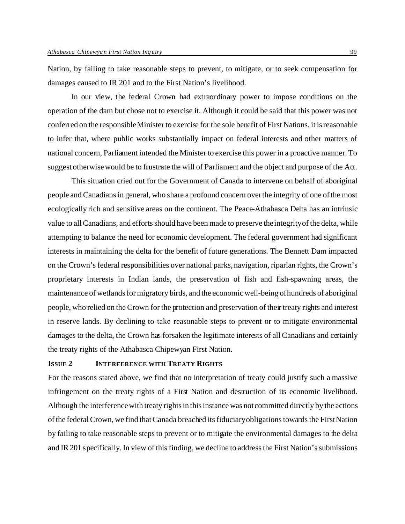Nation, by failing to take reasonable steps to prevent, to mitigate, or to seek compensation for damages caused to IR 201 and to the First Nation's livelihood.

In our view, the federal Crown had extraordinary power to impose conditions on the operation of the dam but chose not to exercise it. Although it could be said that this power was not conferred on the responsible Minister to exercise for the sole benefit of First Nations, it is reasonable to infer that, where public works substantially impact on federal interests and other matters of national concern, Parliament intended the Minister to exercise this power in a proactive manner. To suggest otherwise would be to frustrate the will of Parliament and the object and purpose of the Act.

This situation cried out for the Government of Canada to intervene on behalf of aboriginal people and Canadians in general, who share a profound concern over the integrity of one of the most ecologically rich and sensitive areas on the continent. The Peace-Athabasca Delta has an intrinsic value to all Canadians, and efforts should have been made to preserve the integrity of the delta, while attempting to balance the need for economic development. The federal government had significant interests in maintaining the delta for the benefit of future generations. The Bennett Dam impacted on the Crown's federal responsibilities over national parks, navigation, riparian rights, the Crown's proprietary interests in Indian lands, the preservation of fish and fish-spawning areas, the maintenance of wetlands for migratory birds, and the economic well-being of hundreds of aboriginal people, who relied on the Crown for the protection and preservation of their treaty rights and interest in reserve lands. By declining to take reasonable steps to prevent or to mitigate environmental damages to the delta, the Crown has forsaken the legitimate interests of all Canadians and certainly the treaty rights of the Athabasca Chipewyan First Nation.

# **ISSUE 2 INTERFERENCE WITH TREATY RIGHTS**

For the reasons stated above, we find that no interpretation of treaty could justify such a massive infringement on the treaty rights of a First Nation and destruction of its economic livelihood. Although the interference with treaty rights in this instance was not committed directly by the actions of the federal Crown, we find that Canada breached its fiduciary obligations towards the First Nation by failing to take reasonable steps to prevent or to mitigate the environmental damages to the delta and IR 201 specifically. In view of this finding, we decline to address the First Nation's submissions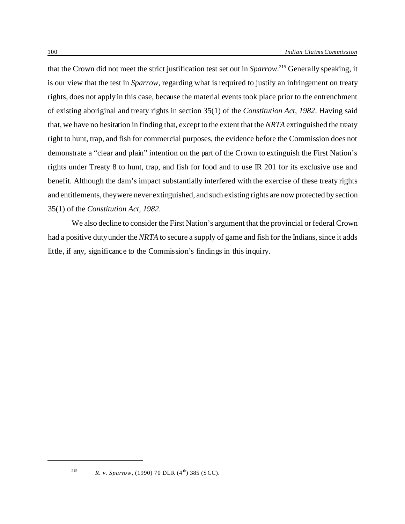that the Crown did not meet the strict justification test set out in *Sparrow*. <sup>215</sup> Generally speaking, it is our view that the test in *Sparrow*, regarding what is required to justify an infringement on treaty rights, does not apply in this case, because the material events took place prior to the entrenchment of existing aboriginal and treaty rights in section 35(1) of the *Constitution Act, 1982*. Having said that, we have no hesitation in finding that, except to the extent that the *NRTA* extinguished the treaty right to hunt, trap, and fish for commercial purposes, the evidence before the Commission does not demonstrate a "clear and plain" intention on the part of the Crown to extinguish the First Nation's rights under Treaty 8 to hunt, trap, and fish for food and to use IR 201 for its exclusive use and benefit. Although the dam's impact substantially interfered with the exercise of these treaty rights and entitlements, they were never extinguished, and such existing rights are now protected by section 35(1) of the *Constitution Act, 1982*.

We also decline to consider the First Nation's argument that the provincial or federal Crown had a positive duty under the *NRTA* to secure a supply of game and fish for the Indians, since it adds little, if any, significance to the Commission's findings in this inquiry.

<sup>&</sup>lt;sup>215</sup> *R. v. Sparrow*, (1990) 70 DLR (4<sup>th</sup>) 385 (SCC).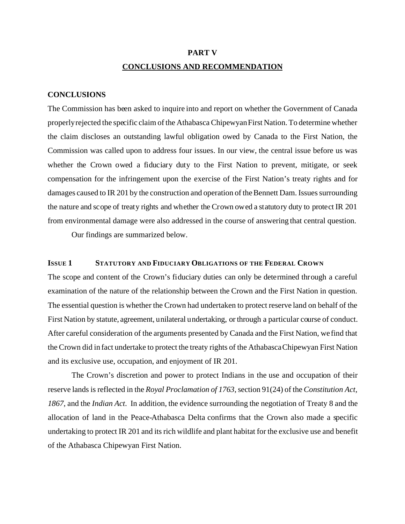#### **PART V**

### **CONCLUSIONS AND RECOMMENDATION**

#### **CONCLUSIONS**

The Commission has been asked to inquire into and report on whether the Government of Canada properly rejected the specific claim of the Athabasca Chipewyan First Nation. To determine whether the claim discloses an outstanding lawful obligation owed by Canada to the First Nation, the Commission was called upon to address four issues. In our view, the central issue before us was whether the Crown owed a fiduciary duty to the First Nation to prevent, mitigate, or seek compensation for the infringement upon the exercise of the First Nation's treaty rights and for damages caused to IR 201 by the construction and operation of the Bennett Dam. Issues surrounding the nature and scope of treaty rights and whether the Crown owed a statutory duty to protect IR 201 from environmental damage were also addressed in the course of answering that central question.

Our findings are summarized below.

# **ISSUE 1 STATUTORY AND FIDUCIARY OBLIGATIONS OF THE FEDERAL CROWN**

The scope and content of the Crown's fiduciary duties can only be determined through a careful examination of the nature of the relationship between the Crown and the First Nation in question. The essential question is whether the Crown had undertaken to protect reserve land on behalf of the First Nation by statute, agreement, unilateral undertaking, or through a particular course of conduct. After careful consideration of the arguments presented by Canada and the First Nation, we find that the Crown did in fact undertake to protect the treaty rights of the Athabasca Chipewyan First Nation and its exclusive use, occupation, and enjoyment of IR 201.

The Crown's discretion and power to protect Indians in the use and occupation of their reserve lands is reflected in the *Royal Proclamation of 1763*, section 91(24) of the *Constitution Act, 1867*, and the *Indian Act*. In addition, the evidence surrounding the negotiation of Treaty 8 and the allocation of land in the Peace-Athabasca Delta confirms that the Crown also made a specific undertaking to protect IR 201 and its rich wildlife and plant habitat for the exclusive use and benefit of the Athabasca Chipewyan First Nation.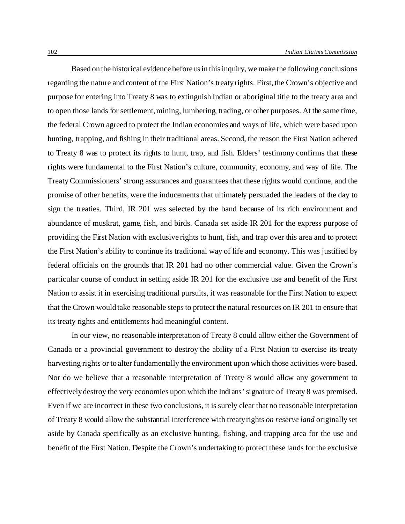Based on the historical evidence before us in this inquiry, we make the following conclusions regarding the nature and content of the First Nation's treaty rights. First, the Crown's objective and purpose for entering into Treaty 8 was to extinguish Indian or aboriginal title to the treaty area and to open those lands for settlement, mining, lumbering, trading, or other purposes. At the same time, the federal Crown agreed to protect the Indian economies and ways of life, which were based upon hunting, trapping, and fishing in their traditional areas. Second, the reason the First Nation adhered to Treaty 8 was to protect its rights to hunt, trap, and fish. Elders' testimony confirms that these rights were fundamental to the First Nation's culture, community, economy, and way of life. The Treaty Commissioners' strong assurances and guarantees that these rights would continue, and the promise of other benefits, were the inducements that ultimately persuaded the leaders of the day to sign the treaties. Third, IR 201 was selected by the band because of its rich environment and abundance of muskrat, game, fish, and birds. Canada set aside IR 201 for the express purpose of providing the First Nation with exclusive rights to hunt, fish, and trap over this area and to protect the First Nation's ability to continue its traditional way of life and economy. This was justified by federal officials on the grounds that IR 201 had no other commercial value. Given the Crown's particular course of conduct in setting aside IR 201 for the exclusive use and benefit of the First Nation to assist it in exercising traditional pursuits, it was reasonable for the First Nation to expect that the Crown would take reasonable steps to protect the natural resources on IR 201 to ensure that its treaty rights and entitlements had meaningful content.

In our view, no reasonable interpretation of Treaty 8 could allow either the Government of Canada or a provincial government to destroy the ability of a First Nation to exercise its treaty harvesting rights or to alter fundamentally the environment upon which those activities were based. Nor do we believe that a reasonable interpretation of Treaty 8 would allow any government to effectively destroy the very economies upon which the Indians' signature of Treaty 8 was premised. Even if we are incorrect in these two conclusions, it is surely clear that no reasonable interpretation of Treaty 8 would allow the substantial interference with treaty rights *on reserve land* originally set aside by Canada specifically as an exclusive hunting, fishing, and trapping area for the use and benefit of the First Nation. Despite the Crown's undertaking to protect these lands for the exclusive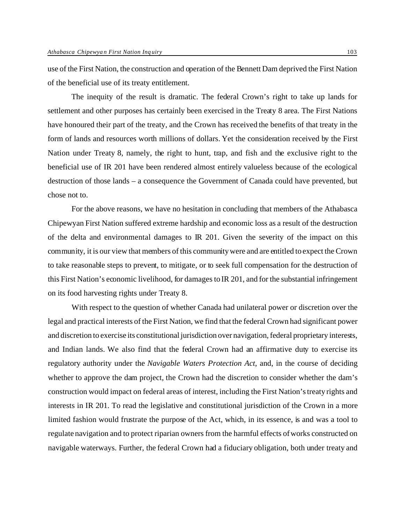use of the First Nation, the construction and operation of the Bennett Dam deprived the First Nation of the beneficial use of its treaty entitlement.

The inequity of the result is dramatic. The federal Crown's right to take up lands for settlement and other purposes has certainly been exercised in the Treaty 8 area. The First Nations have honoured their part of the treaty, and the Crown has received the benefits of that treaty in the form of lands and resources worth millions of dollars. Yet the consideration received by the First Nation under Treaty 8, namely, the right to hunt, trap, and fish and the exclusive right to the beneficial use of IR 201 have been rendered almost entirely valueless because of the ecological destruction of those lands – a consequence the Government of Canada could have prevented, but chose not to.

For the above reasons, we have no hesitation in concluding that members of the Athabasca Chipewyan First Nation suffered extreme hardship and economic loss as a result of the destruction of the delta and environmental damages to IR 201. Given the severity of the impact on this community, it is our view that members of this community were and are entitled to expect the Crown to take reasonable steps to prevent, to mitigate, or to seek full compensation for the destruction of this First Nation's economic livelihood, for damages to IR 201, and for the substantial infringement on its food harvesting rights under Treaty 8.

With respect to the question of whether Canada had unilateral power or discretion over the legal and practical interests of the First Nation, we find that the federal Crown had significant power and discretion to exercise its constitutional jurisdiction over navigation, federal proprietary interests, and Indian lands. We also find that the federal Crown had an affirmative duty to exercise its regulatory authority under the *Navigable Waters Protection Act*, and, in the course of deciding whether to approve the dam project, the Crown had the discretion to consider whether the dam's construction would impact on federal areas of interest, including the First Nation's treaty rights and interests in IR 201. To read the legislative and constitutional jurisdiction of the Crown in a more limited fashion would frustrate the purpose of the Act, which, in its essence, is and was a tool to regulate navigation and to protect riparian owners from the harmful effects of works constructed on navigable waterways. Further, the federal Crown had a fiduciary obligation, both under treaty and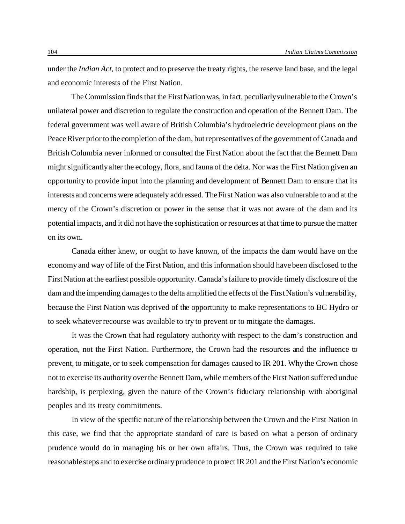under the *Indian Act*, to protect and to preserve the treaty rights, the reserve land base, and the legal and economic interests of the First Nation.

The Commission finds that the First Nation was, in fact, peculiarly vulnerable to the Crown's unilateral power and discretion to regulate the construction and operation of the Bennett Dam. The federal government was well aware of British Columbia's hydroelectric development plans on the Peace River prior to the completion of the dam, but representatives of the government of Canada and British Columbia never informed or consulted the First Nation about the fact that the Bennett Dam might significantly alter the ecology, flora, and fauna of the delta. Nor was the First Nation given an opportunity to provide input into the planning and development of Bennett Dam to ensure that its interests and concerns were adequately addressed. The First Nation was also vulnerable to and at the mercy of the Crown's discretion or power in the sense that it was not aware of the dam and its potential impacts, and it did not have the sophistication or resources at that time to pursue the matter on its own.

Canada either knew, or ought to have known, of the impacts the dam would have on the economy and way of life of the First Nation, and this information should have been disclosed to the First Nation at the earliest possible opportunity. Canada's failure to provide timely disclosure of the dam and the impending damages to the delta amplified the effects of the First Nation's vulnerability, because the First Nation was deprived of the opportunity to make representations to BC Hydro or to seek whatever recourse was available to try to prevent or to mitigate the damages.

It was the Crown that had regulatory authority with respect to the dam's construction and operation, not the First Nation. Furthermore, the Crown had the resources and the influence to prevent, to mitigate, or to seek compensation for damages caused to IR 201. Why the Crown chose not to exercise its authority over the Bennett Dam, while members of the First Nation suffered undue hardship, is perplexing, given the nature of the Crown's fiduciary relationship with aboriginal peoples and its treaty commitments.

In view of the specific nature of the relationship between the Crown and the First Nation in this case, we find that the appropriate standard of care is based on what a person of ordinary prudence would do in managing his or her own affairs. Thus, the Crown was required to take reasonable steps and to exercise ordinary prudence to protect IR 201 and the First Nation's economic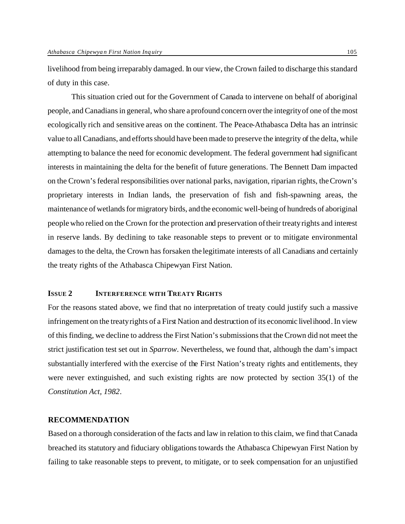livelihood from being irreparably damaged. In our view, the Crown failed to discharge this standard of duty in this case.

This situation cried out for the Government of Canada to intervene on behalf of aboriginal people, and Canadians in general, who share a profound concern over the integrity of one of the most ecologically rich and sensitive areas on the continent. The Peace-Athabasca Delta has an intrinsic value to all Canadians, and efforts should have been made to preserve the integrity of the delta, while attempting to balance the need for economic development. The federal government had significant interests in maintaining the delta for the benefit of future generations. The Bennett Dam impacted on the Crown's federal responsibilities over national parks, navigation, riparian rights, the Crown's proprietary interests in Indian lands, the preservation of fish and fish-spawning areas, the maintenance of wetlands for migratory birds, and the economic well-being of hundreds of aboriginal people who relied on the Crown for the protection and preservation of their treaty rights and interest in reserve lands. By declining to take reasonable steps to prevent or to mitigate environmental damages to the delta, the Crown has forsaken the legitimate interests of all Canadians and certainly the treaty rights of the Athabasca Chipewyan First Nation.

## **ISSUE 2 INTERFERENCE WITH TREATY RIGHTS**

For the reasons stated above, we find that no interpretation of treaty could justify such a massive infringement on the treaty rights of a First Nation and destruction of its economic livelihood. In view of this finding, we decline to address the First Nation's submissions that the Crown did not meet the strict justification test set out in *Sparrow*. Nevertheless, we found that, although the dam's impact substantially interfered with the exercise of the First Nation's treaty rights and entitlements, they were never extinguished, and such existing rights are now protected by section 35(1) of the *Constitution Act, 1982*.

#### **RECOMMENDATION**

Based on a thorough consideration of the facts and law in relation to this claim, we find that Canada breached its statutory and fiduciary obligations towards the Athabasca Chipewyan First Nation by failing to take reasonable steps to prevent, to mitigate, or to seek compensation for an unjustified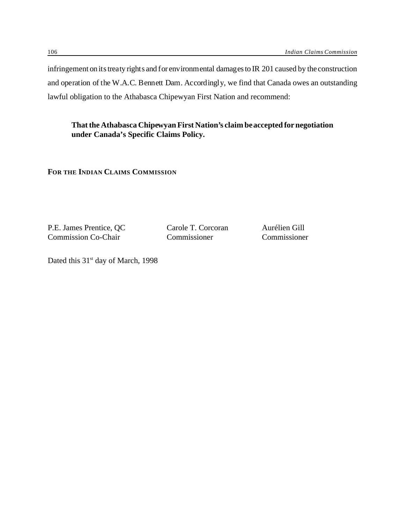infringement on its treaty rights and for environmental damages to IR 201 caused by the construction and operation of the W.A.C. Bennett Dam. Accordingly, we find that Canada owes an outstanding lawful obligation to the Athabasca Chipewyan First Nation and recommend:

**That the Athabasca Chipewyan First Nation's claim be accepted for negotiation under Canada's Specific Claims Policy.**

**FOR THE INDIAN CLAIMS COMMISSION**

P.E. James Prentice, QC Carole T. Corcoran Aurélien Gill<br>
Commission Co-Chair Commissioner Commissioner Commission Co-Chair

Dated this 31<sup>st</sup> day of March, 1998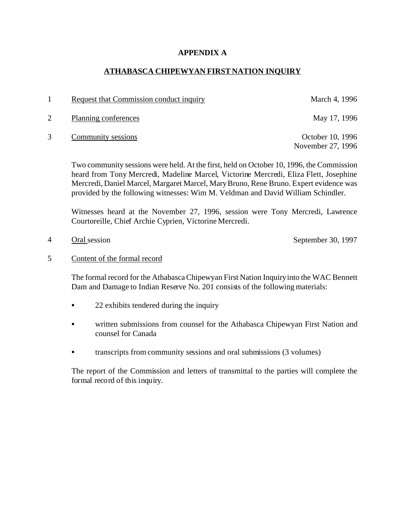## **APPENDIX A**

## **ATHABASCA CHIPEWYAN FIRST NATION INQUIRY**

- 1 Request that Commission conduct inquiry March 4, 1996
- 2 Planning conferences May 17, 1996
- 3 Community sessions October 10, 1996

November 27, 1996

Two community sessions were held. At the first, held on October 10, 1996, the Commission heard from Tony Mercredi, Madeline Marcel, Victorine Mercredi, Eliza Flett, Josephine Mercredi, Daniel Marcel, Margaret Marcel, Mary Bruno, Rene Bruno. Expert evidence was provided by the following witnesses: Wim M. Veldman and David William Schindler.

Witnesses heard at the November 27, 1996, session were Tony Mercredi, Lawrence Courtoreille, Chief Archie Cyprien, Victorine Mercredi.

4 Oral session September 30, 1997

5 Content of the formal record

The formal record for the Athabasca Chipewyan First Nation Inquiry into the WAC Bennett Dam and Damage to Indian Reserve No. 201 consists of the following materials:

- $\bullet$  22 exhibits tendered during the inquiry
- written submissions from counsel for the Athabasca Chipewyan First Nation and counsel for Canada
- transcripts from community sessions and oral submissions (3 volumes)

The report of the Commission and letters of transmittal to the parties will complete the formal record of this inquiry.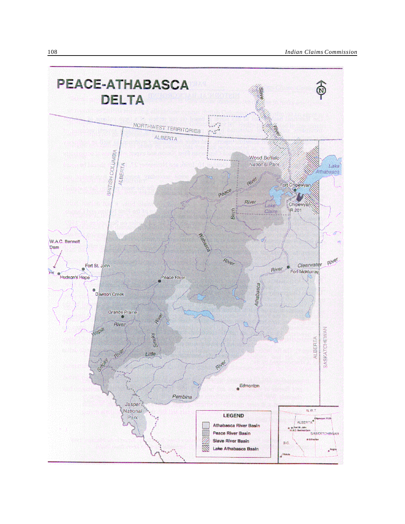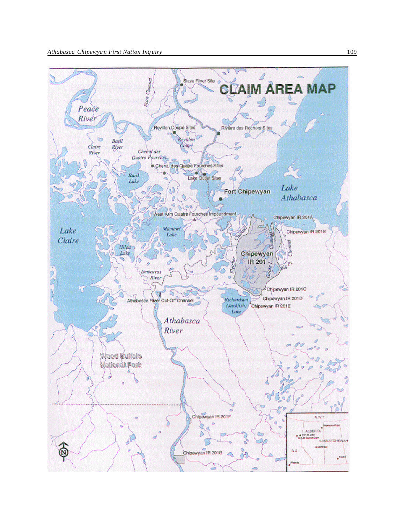